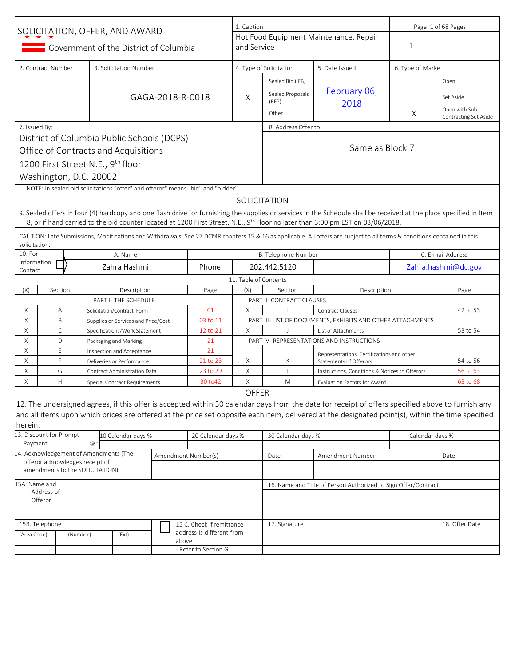| SOLICITATION, OFFER, AND AWARD |                                                                     |          |   | 1. Caption                                                        |                  |                                                                                 | Page 1 of 68 Pages    |                                                                                         |                                                                                                                                                                          |                   |                                         |
|--------------------------------|---------------------------------------------------------------------|----------|---|-------------------------------------------------------------------|------------------|---------------------------------------------------------------------------------|-----------------------|-----------------------------------------------------------------------------------------|--------------------------------------------------------------------------------------------------------------------------------------------------------------------------|-------------------|-----------------------------------------|
|                                |                                                                     |          |   |                                                                   |                  |                                                                                 |                       |                                                                                         | Hot Food Equipment Maintenance, Repair                                                                                                                                   |                   |                                         |
|                                |                                                                     |          |   | Government of the District of Columbia                            |                  |                                                                                 | and Service           |                                                                                         |                                                                                                                                                                          | 1                 |                                         |
|                                | 2. Contract Number                                                  |          |   | 3. Solicitation Number                                            |                  |                                                                                 |                       | 4. Type of Solicitation                                                                 | 5. Date Issued                                                                                                                                                           | 6. Type of Market |                                         |
|                                |                                                                     |          |   |                                                                   |                  |                                                                                 |                       | Sealed Bid (IFB)                                                                        |                                                                                                                                                                          |                   | Open                                    |
|                                |                                                                     |          |   |                                                                   | GAGA-2018-R-0018 |                                                                                 | X                     | Sealed Proposals<br>(RFP)                                                               | February 06,<br>2018                                                                                                                                                     |                   | Set Aside                               |
|                                |                                                                     |          |   |                                                                   |                  |                                                                                 |                       | Other                                                                                   |                                                                                                                                                                          | X                 | Open with Sub-<br>Contracting Set Aside |
| 7. Issued By:                  |                                                                     |          |   |                                                                   |                  |                                                                                 |                       | 8. Address Offer to:                                                                    |                                                                                                                                                                          |                   |                                         |
|                                |                                                                     |          |   | District of Columbia Public Schools (DCPS)                        |                  |                                                                                 |                       |                                                                                         |                                                                                                                                                                          |                   |                                         |
|                                |                                                                     |          |   | Office of Contracts and Acquisitions                              |                  |                                                                                 |                       |                                                                                         | Same as Block 7                                                                                                                                                          |                   |                                         |
|                                |                                                                     |          |   | 1200 First Street N.E., 9 <sup>th</sup> floor                     |                  |                                                                                 |                       |                                                                                         |                                                                                                                                                                          |                   |                                         |
|                                | Washington, D.C. 20002                                              |          |   |                                                                   |                  |                                                                                 |                       |                                                                                         |                                                                                                                                                                          |                   |                                         |
|                                |                                                                     |          |   |                                                                   |                  | NOTE: In sealed bid solicitations "offer" and offeror" means "bid" and "bidder" |                       |                                                                                         |                                                                                                                                                                          |                   |                                         |
|                                |                                                                     |          |   |                                                                   |                  |                                                                                 |                       | SOLICITATION                                                                            |                                                                                                                                                                          |                   |                                         |
|                                |                                                                     |          |   |                                                                   |                  |                                                                                 |                       |                                                                                         | 9. Sealed offers in four (4) hardcopy and one flash drive for furnishing the supplies or services in the Schedule shall be received at the place specified in Item       |                   |                                         |
|                                |                                                                     |          |   |                                                                   |                  |                                                                                 |                       |                                                                                         | 8, or if hand carried to the bid counter located at 1200 First Street, N.E., 9 <sup>th</sup> Floor no later than 3:00 pm EST on 03/06/2018.                              |                   |                                         |
|                                |                                                                     |          |   |                                                                   |                  |                                                                                 |                       |                                                                                         | CAUTION: Late Submissions, Modifications and Withdrawals: See 27 DCMR chapters 15 & 16 as applicable. All offers are subject to all terms & conditions contained in this |                   |                                         |
| solicitation.                  |                                                                     |          |   |                                                                   |                  |                                                                                 |                       |                                                                                         |                                                                                                                                                                          |                   |                                         |
| 10. For<br>Information         |                                                                     |          |   | A. Name                                                           |                  |                                                                                 |                       | B. Telephone Number                                                                     |                                                                                                                                                                          |                   | C. E-mail Address                       |
| Contact                        |                                                                     |          |   | Zahra Hashmi                                                      |                  | Phone                                                                           |                       | 202.442.5120                                                                            |                                                                                                                                                                          |                   | Zahra.hashmi@dc.gov                     |
|                                |                                                                     |          |   |                                                                   |                  |                                                                                 | 11. Table of Contents |                                                                                         |                                                                                                                                                                          |                   |                                         |
| (X)                            | Section                                                             |          |   | Description                                                       |                  | Page                                                                            | (X)                   | Section                                                                                 | Description                                                                                                                                                              |                   | Page                                    |
|                                |                                                                     |          |   | PART I- THE SCHEDULE                                              |                  |                                                                                 | X                     | PART II- CONTRACT CLAUSES                                                               |                                                                                                                                                                          |                   |                                         |
| Χ<br>Χ                         | Α<br>B                                                              |          |   | Solicitation/Contract Form<br>Supplies or Services and Price/Cost |                  | 01<br>03 to 11                                                                  |                       |                                                                                         | Contract Clauses                                                                                                                                                         |                   | 42 to 53                                |
| Χ                              | C                                                                   |          |   | Specifications/Work Statement                                     |                  | 12 to 21                                                                        | X                     | PART III- LIST OF DOCUMENTS, EXHIBITS AND OTHER ATTACHMENTS<br>J<br>List of Attachments |                                                                                                                                                                          | 53 to 54          |                                         |
| Χ                              | D                                                                   |          |   | Packaging and Marking                                             |                  | 21                                                                              |                       |                                                                                         | PART IV- REPRESENTATIONS AND INSTRUCTIONS                                                                                                                                |                   |                                         |
| Χ                              | E                                                                   |          |   | Inspection and Acceptance                                         |                  | 21                                                                              |                       |                                                                                         | Representations, Certifications and other                                                                                                                                |                   |                                         |
| Χ                              | F                                                                   |          |   | Deliveries or Performance                                         |                  | 21 to 23                                                                        | Χ                     | К                                                                                       | <b>Statements of Offerors</b>                                                                                                                                            |                   | 54 to 56                                |
| Χ                              | G                                                                   |          |   | Contract Administration Data                                      |                  | 23 to 29                                                                        | X                     | L                                                                                       | Instructions, Conditions & Notices to Offerors                                                                                                                           |                   | 56 to 63                                |
| Χ                              | Н                                                                   |          |   | Special Contract Requirements                                     |                  | 30 to 42                                                                        | X                     | M                                                                                       | <b>Evaluation Factors for Award</b>                                                                                                                                      |                   | 63 to 68                                |
|                                |                                                                     |          |   |                                                                   |                  |                                                                                 | OFFER                 |                                                                                         |                                                                                                                                                                          |                   |                                         |
|                                |                                                                     |          |   |                                                                   |                  |                                                                                 |                       |                                                                                         | 12. The undersigned agrees, if this offer is accepted within 30 calendar days from the date for receipt of offers specified above to furnish any                         |                   |                                         |
| herein.                        |                                                                     |          |   |                                                                   |                  |                                                                                 |                       |                                                                                         | and all items upon which prices are offered at the price set opposite each item, delivered at the designated point(s), within the time specified                         |                   |                                         |
|                                | 13. Discount for Prompt                                             |          |   | 10 Calendar days %                                                |                  | 20 Calendar days %                                                              |                       | 30 Calendar days %                                                                      |                                                                                                                                                                          | Calendar days %   |                                         |
| Payment                        |                                                                     |          | ☞ |                                                                   |                  |                                                                                 |                       |                                                                                         |                                                                                                                                                                          |                   |                                         |
|                                | 14. Acknowledgement of Amendments (The                              |          |   |                                                                   |                  | Amendment Number(s)                                                             |                       | Date                                                                                    | Amendment Number                                                                                                                                                         |                   | Date                                    |
|                                | offeror acknowledges receipt of<br>amendments to the SOLICITATION): |          |   |                                                                   |                  |                                                                                 |                       |                                                                                         |                                                                                                                                                                          |                   |                                         |
| 15A. Name and                  |                                                                     |          |   |                                                                   |                  |                                                                                 |                       |                                                                                         | 16. Name and Title of Person Authorized to Sign Offer/Contract                                                                                                           |                   |                                         |
|                                | Address of                                                          |          |   |                                                                   |                  |                                                                                 |                       |                                                                                         |                                                                                                                                                                          |                   |                                         |
|                                | Offeror                                                             |          |   |                                                                   |                  |                                                                                 |                       |                                                                                         |                                                                                                                                                                          |                   |                                         |
|                                |                                                                     |          |   |                                                                   |                  |                                                                                 |                       |                                                                                         |                                                                                                                                                                          |                   |                                         |
|                                | 15B. Telephone                                                      |          |   |                                                                   |                  | 15 C. Check if remittance                                                       |                       | 17. Signature                                                                           |                                                                                                                                                                          |                   | 18. Offer Date                          |
| (Area Code)                    |                                                                     | (Number) |   | (Ext)                                                             | above            | address is different from                                                       |                       |                                                                                         |                                                                                                                                                                          |                   |                                         |
|                                |                                                                     |          |   |                                                                   |                  | - Refer to Section G                                                            |                       |                                                                                         |                                                                                                                                                                          |                   |                                         |
|                                |                                                                     |          |   |                                                                   |                  |                                                                                 |                       |                                                                                         |                                                                                                                                                                          |                   |                                         |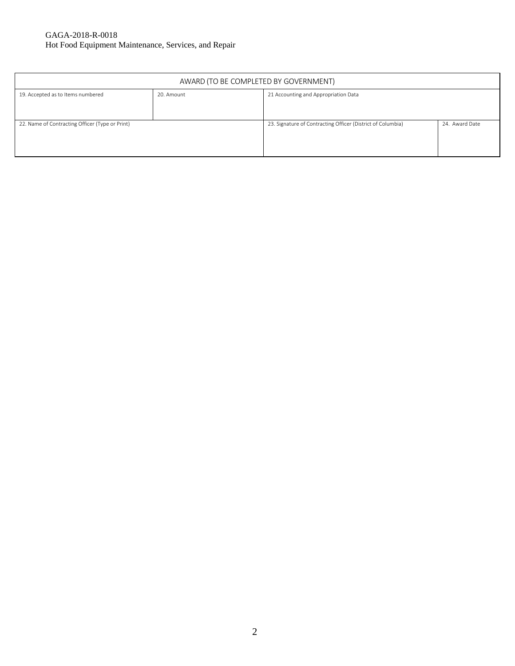#### GAGA-2018-R-0018 Hot Food Equipment Maintenance, Services, and Repair

| AWARD (TO BE COMPLETED BY GOVERNMENT)                                                   |  |                                                             |                |  |  |  |  |
|-----------------------------------------------------------------------------------------|--|-------------------------------------------------------------|----------------|--|--|--|--|
| 19. Accepted as to Items numbered<br>21 Accounting and Appropriation Data<br>20. Amount |  |                                                             |                |  |  |  |  |
|                                                                                         |  |                                                             |                |  |  |  |  |
|                                                                                         |  |                                                             |                |  |  |  |  |
| 22. Name of Contracting Officer (Type or Print)                                         |  | 23. Signature of Contracting Officer (District of Columbia) | 24. Award Date |  |  |  |  |
|                                                                                         |  |                                                             |                |  |  |  |  |
|                                                                                         |  |                                                             |                |  |  |  |  |
|                                                                                         |  |                                                             |                |  |  |  |  |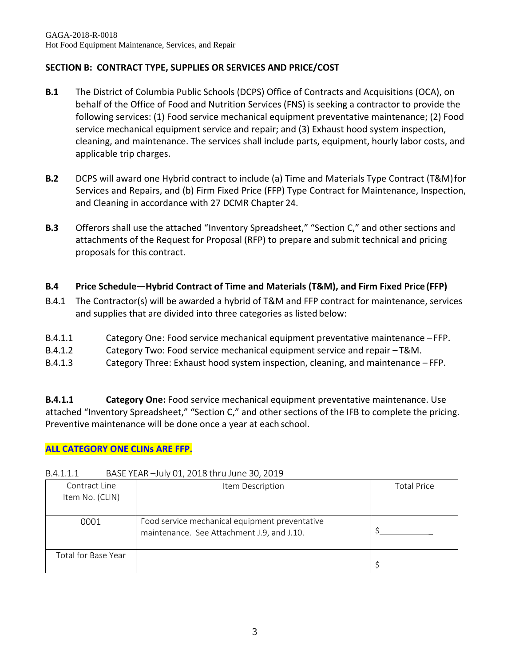# **SECTION B: CONTRACT TYPE, SUPPLIES OR SERVICES AND PRICE/COST**

- **B.1** The District of Columbia Public Schools (DCPS) Office of Contracts and Acquisitions (OCA), on behalf of the Office of Food and Nutrition Services (FNS) is seeking a contractor to provide the following services: (1) Food service mechanical equipment preventative maintenance; (2) Food service mechanical equipment service and repair; and (3) Exhaust hood system inspection, cleaning, and maintenance. The services shall include parts, equipment, hourly labor costs, and applicable trip charges.
- **B.2** DCPS will award one Hybrid contract to include (a) Time and Materials Type Contract (T&M)for Services and Repairs, and (b) Firm Fixed Price (FFP) Type Contract for Maintenance, Inspection, and Cleaning in accordance with 27 DCMR Chapter 24.
- **B.3** Offerors shall use the attached "Inventory Spreadsheet," "Section C," and other sections and attachments of the Request for Proposal (RFP) to prepare and submit technical and pricing proposals for this contract.

# **B.4 Price Schedule—Hybrid Contract of Time and Materials (T&M), and Firm Fixed Price (FFP)**

- B.4.1 The Contractor(s) will be awarded a hybrid of T&M and FFP contract for maintenance, services and supplies that are divided into three categories as listed below:
- B.4.1.1 Category One: Food service mechanical equipment preventative maintenance –FFP.
- B.4.1.2 Category Two: Food service mechanical equipment service and repair T&M.
- B.4.1.3 Category Three: Exhaust hood system inspection, cleaning, and maintenance FFP.

**B.4.1.1 Category One:** Food service mechanical equipment preventative maintenance. Use attached "Inventory Spreadsheet," "Section C," and other sections of the IFB to complete the pricing. Preventive maintenance will be done once a year at each school.

## **ALL CATEGORY ONE CLINs ARE FFP.**

| Contract Line<br>Item No. (CLIN) | Item Description                                                                             | <b>Total Price</b> |  |  |  |
|----------------------------------|----------------------------------------------------------------------------------------------|--------------------|--|--|--|
| 0001                             | Food service mechanical equipment preventative<br>maintenance. See Attachment J.9, and J.10. |                    |  |  |  |
| Total for Base Year              |                                                                                              |                    |  |  |  |

## B.4.1.1.1 BASE YEAR –July 01, 2018 thru June 30, 2019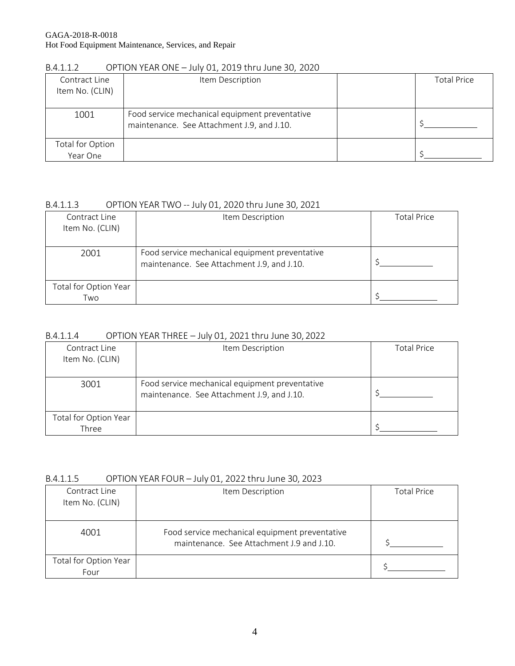| Contract Line<br>Item No. (CLIN) | Item Description                                                                             | <b>Total Price</b> |
|----------------------------------|----------------------------------------------------------------------------------------------|--------------------|
| 1001                             | Food service mechanical equipment preventative<br>maintenance. See Attachment J.9, and J.10. |                    |
| Total for Option<br>Year One     |                                                                                              |                    |

#### B.4.1.1.2 OPTION YEAR ONE – July 01, 2019 thru June 30, 2020

# B.4.1.1.3 OPTION YEAR TWO -- July 01, 2020 thru June 30, 2021

| Contract Line<br>Item No. (CLIN) | Item Description                                                                             | <b>Total Price</b> |
|----------------------------------|----------------------------------------------------------------------------------------------|--------------------|
| 2001                             | Food service mechanical equipment preventative<br>maintenance. See Attachment J.9, and J.10. |                    |
| Total for Option Year<br>Two     |                                                                                              |                    |

#### B.4.1.1.4 OPTION YEAR THREE – July 01, 2021 thru June 30, 2022

| Contract Line<br>Item No. (CLIN) | Item Description                                                                             | <b>Total Price</b> |
|----------------------------------|----------------------------------------------------------------------------------------------|--------------------|
| 3001                             | Food service mechanical equipment preventative<br>maintenance. See Attachment J.9, and J.10. |                    |
| Total for Option Year<br>Three   |                                                                                              |                    |

#### B.4.1.1.5 OPTION YEAR FOUR – July 01, 2022 thru June 30, 2023

| Contract Line<br>Item No. (CLIN) | Item Description                                                                            | <b>Total Price</b> |
|----------------------------------|---------------------------------------------------------------------------------------------|--------------------|
| 4001                             | Food service mechanical equipment preventative<br>maintenance. See Attachment J.9 and J.10. |                    |
| Total for Option Year<br>Four    |                                                                                             |                    |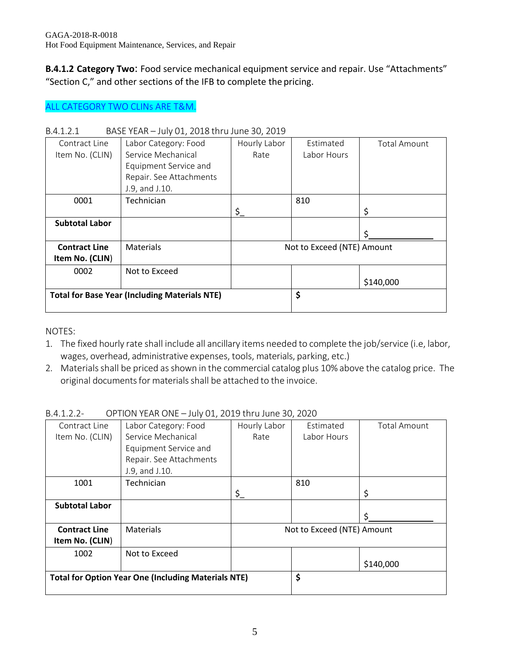**B.4.1.2 Category Two**: Food service mechanical equipment service and repair. Use "Attachments" "Section C," and other sections of the IFB to complete the pricing.

# ALL CATEGORY TWO CLINs ARE T&M.

| <u>レ, T, ⊥, ∠, ⊥</u>  | $D \cap D$ in the state of $D$ is the state of $D$ in the state of $D$ |                |                            |                     |
|-----------------------|------------------------------------------------------------------------|----------------|----------------------------|---------------------|
| Contract Line         | Labor Category: Food                                                   | Hourly Labor   | Estimated                  | <b>Total Amount</b> |
| Item No. (CLIN)       | Service Mechanical                                                     | Rate           | Labor Hours                |                     |
|                       | Equipment Service and                                                  |                |                            |                     |
|                       | Repair. See Attachments                                                |                |                            |                     |
|                       | J.9, and J.10.                                                         |                |                            |                     |
| 0001                  | Technician                                                             |                | 810                        |                     |
|                       |                                                                        | $\mathsf{S}_-$ |                            | \$                  |
| <b>Subtotal Labor</b> |                                                                        |                |                            |                     |
|                       |                                                                        |                |                            | \$                  |
| <b>Contract Line</b>  | <b>Materials</b>                                                       |                | Not to Exceed (NTE) Amount |                     |
| Item No. (CLIN)       |                                                                        |                |                            |                     |
| 0002                  | Not to Exceed                                                          |                |                            |                     |
|                       |                                                                        |                |                            | \$140,000           |
|                       | <b>Total for Base Year (Including Materials NTE)</b>                   |                | \$                         |                     |
|                       |                                                                        |                |                            |                     |

#### B.4.1.2.1 BASE YEAR – July 01, 2018 thru June 30, 2019

NOTES:

- 1. The fixed hourly rate shall include all ancillary items needed to complete the job/service (i.e, labor, wages, overhead, administrative expenses, tools, materials, parking, etc.)
- 2. Materials shall be priced as shown in the commercial catalog plus 10% above the catalog price. The original documents for materials shall be attached to the invoice.

| Contract Line         | Labor Category: Food                                       | Hourly Labor | Estimated                  | <b>Total Amount</b> |
|-----------------------|------------------------------------------------------------|--------------|----------------------------|---------------------|
| Item No. (CLIN)       | Service Mechanical                                         | Rate         | Labor Hours                |                     |
|                       | Equipment Service and                                      |              |                            |                     |
|                       | Repair. See Attachments                                    |              |                            |                     |
|                       | J.9, and J.10.                                             |              |                            |                     |
| 1001                  | Technician                                                 |              | 810                        |                     |
|                       |                                                            | \$_          |                            | \$                  |
| <b>Subtotal Labor</b> |                                                            |              |                            |                     |
|                       |                                                            |              |                            |                     |
| <b>Contract Line</b>  | <b>Materials</b>                                           |              | Not to Exceed (NTE) Amount |                     |
| Item No. (CLIN)       |                                                            |              |                            |                     |
| 1002                  | Not to Exceed                                              |              |                            |                     |
|                       |                                                            |              |                            | \$140,000           |
|                       | <b>Total for Option Year One (Including Materials NTE)</b> |              | \$                         |                     |
|                       |                                                            |              |                            |                     |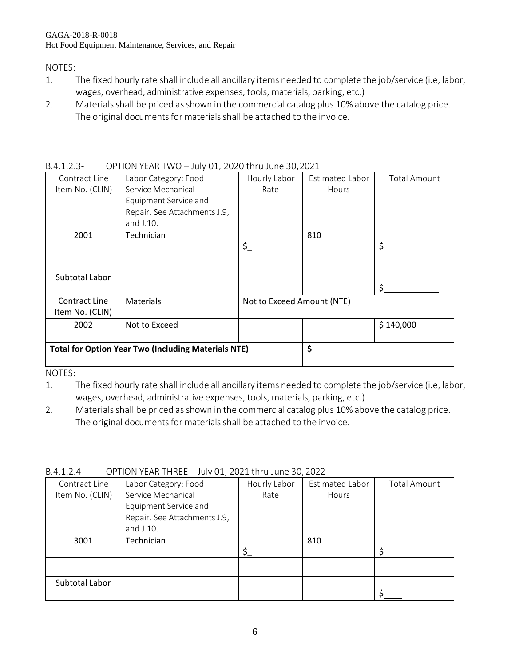#### GAGA-2018-R-0018 Hot Food Equipment Maintenance, Services, and Repair

#### NOTES:

- 1. The fixed hourly rate shall include all ancillary items needed to complete the job/service (i.e, labor, wages, overhead, administrative expenses, tools, materials, parking, etc.)
- 2. Materials shall be priced as shown in the commercial catalog plus 10% above the catalog price. The original documents for materials shall be attached to the invoice.

| Contract Line   | Labor Category: Food                                       | Hourly Labor               | Estimated Labor | <b>Total Amount</b> |
|-----------------|------------------------------------------------------------|----------------------------|-----------------|---------------------|
| Item No. (CLIN) | Service Mechanical                                         | Rate                       | Hours           |                     |
|                 | Equipment Service and                                      |                            |                 |                     |
|                 | Repair. See Attachments J.9,                               |                            |                 |                     |
|                 | and J.10.                                                  |                            |                 |                     |
| 2001            | Technician                                                 |                            | 810             |                     |
|                 |                                                            | \$_                        |                 | \$                  |
|                 |                                                            |                            |                 |                     |
|                 |                                                            |                            |                 |                     |
| Subtotal Labor  |                                                            |                            |                 |                     |
|                 |                                                            |                            |                 | ς                   |
| Contract Line   | <b>Materials</b>                                           | Not to Exceed Amount (NTE) |                 |                     |
| Item No. (CLIN) |                                                            |                            |                 |                     |
| 2002            | Not to Exceed                                              |                            |                 | \$140,000           |
|                 |                                                            |                            |                 |                     |
|                 | <b>Total for Option Year Two (Including Materials NTE)</b> | \$                         |                 |                     |
|                 |                                                            |                            |                 |                     |
|                 |                                                            |                            |                 |                     |

B.4.1.2.3- OPTION YEAR TWO – July 01, 2020 thru June 30,2021

NOTES:

1. The fixed hourly rate shall include all ancillary items needed to complete the job/service (i.e, labor, wages, overhead, administrative expenses, tools, materials, parking, etc.)

2. Materials shall be priced as shown in the commercial catalog plus 10% above the catalog price. The original documents for materials shall be attached to the invoice.

| Contract Line   | Labor Category: Food         | Hourly Labor | <b>Estimated Labor</b> | <b>Total Amount</b> |  |  |
|-----------------|------------------------------|--------------|------------------------|---------------------|--|--|
| Item No. (CLIN) | Service Mechanical           | Rate         | <b>Hours</b>           |                     |  |  |
|                 | Equipment Service and        |              |                        |                     |  |  |
|                 | Repair. See Attachments J.9, |              |                        |                     |  |  |
|                 | and J.10.                    |              |                        |                     |  |  |
| 3001            | Technician                   |              | 810                    |                     |  |  |
|                 |                              |              |                        | ς                   |  |  |
|                 |                              |              |                        |                     |  |  |
|                 |                              |              |                        |                     |  |  |
| Subtotal Labor  |                              |              |                        |                     |  |  |
|                 |                              |              |                        |                     |  |  |

B.4.1.2.4- OPTION YEAR THREE – July 01, 2021 thru June 30, 2022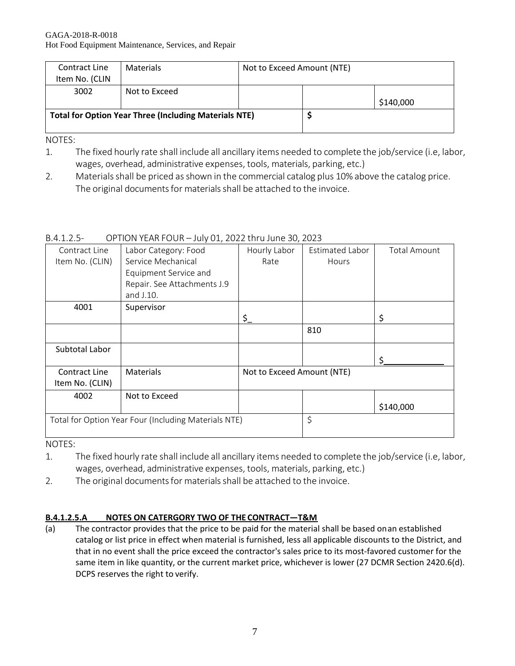| Contract Line                                                | <b>Materials</b> | Not to Exceed Amount (NTE) |  |           |
|--------------------------------------------------------------|------------------|----------------------------|--|-----------|
| Item No. (CLIN                                               |                  |                            |  |           |
| 3002                                                         | Not to Exceed    |                            |  |           |
|                                                              |                  |                            |  | \$140,000 |
| <b>Total for Option Year Three (Including Materials NTE)</b> |                  |                            |  |           |
|                                                              |                  |                            |  |           |

NOTES:

- 1. The fixed hourly rate shall include all ancillary items needed to complete the job/service (i.e, labor, wages, overhead, administrative expenses, tools, materials, parking, etc.)
- 2. Materials shall be priced as shown in the commercial catalog plus 10% above the catalog price. The original documents for materials shall be attached to the invoice.

| $B.4.1.2.5-$ |                                                     |
|--------------|-----------------------------------------------------|
|              | OPTION YEAR FOUR - July 01, 2022 thru June 30, 2023 |

| Contract Line   | Labor Category: Food                                 | Hourly Labor               | Estimated Labor | <b>Total Amount</b> |
|-----------------|------------------------------------------------------|----------------------------|-----------------|---------------------|
| Item No. (CLIN) | Service Mechanical                                   | Rate                       | <b>Hours</b>    |                     |
|                 | Equipment Service and                                |                            |                 |                     |
|                 | Repair. See Attachments J.9                          |                            |                 |                     |
|                 | and J.10.                                            |                            |                 |                     |
| 4001            | Supervisor                                           |                            |                 |                     |
|                 |                                                      | \$_                        |                 | \$                  |
|                 |                                                      |                            | 810             |                     |
|                 |                                                      |                            |                 |                     |
| Subtotal Labor  |                                                      |                            |                 |                     |
|                 |                                                      |                            |                 |                     |
| Contract Line   | <b>Materials</b>                                     | Not to Exceed Amount (NTE) |                 |                     |
| Item No. (CLIN) |                                                      |                            |                 |                     |
| 4002            | Not to Exceed                                        |                            |                 |                     |
|                 |                                                      |                            |                 | \$140,000           |
|                 | Total for Option Year Four (Including Materials NTE) |                            | \$              |                     |
|                 |                                                      |                            |                 |                     |

NOTES:

- 1. The fixed hourly rate shall include all ancillary items needed to complete the job/service (i.e, labor, wages, overhead, administrative expenses, tools, materials, parking, etc.)
- 2. The original documents for materials shall be attached to the invoice.

# **B.4.1.2.5.A NOTES ON CATERGORY TWO OF THE CONTRACT—T&M**

(a) The contractor provides that the price to be paid for the material shall be based onan established catalog or list price in effect when material is furnished, less all applicable discounts to the District, and that in no event shall the price exceed the contractor's sales price to its most-favored customer for the same item in like quantity, or the current market price, whichever is lower (27 DCMR Section 2420.6(d). DCPS reserves the right to verify.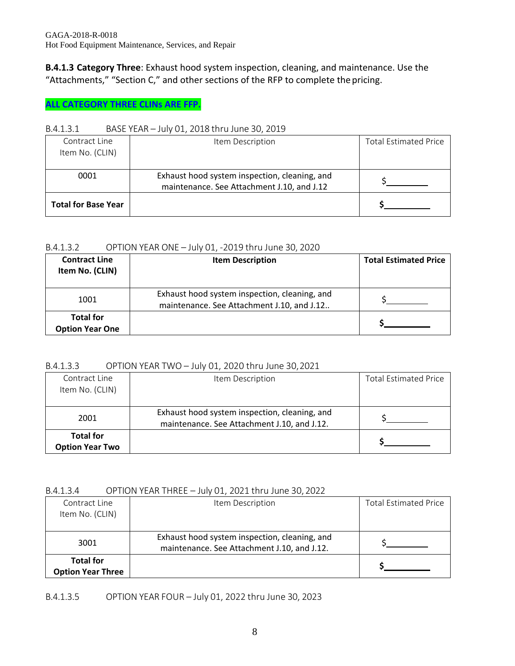**B.4.1.3 Category Three**: Exhaust hood system inspection, cleaning, and maintenance. Use the "Attachments," "Section C," and other sections of the RFP to complete the pricing.

#### **ALL CATEGORY THREE CLINs ARE FFP.**

#### B.4.1.3.1 BASE YEAR – July 01, 2018 thru June 30, 2019

| Contract Line<br>Item No. (CLIN) | Item Description                                                                            | <b>Total Estimated Price</b> |
|----------------------------------|---------------------------------------------------------------------------------------------|------------------------------|
| 0001                             | Exhaust hood system inspection, cleaning, and<br>maintenance. See Attachment J.10, and J.12 |                              |
| <b>Total for Base Year</b>       |                                                                                             |                              |

#### B.4.1.3.2 OPTION YEAR ONE – July 01, -2019 thru June 30, 2020

| <b>Contract Line</b><br>Item No. (CLIN)    | <b>Item Description</b>                                                                     | <b>Total Estimated Price</b> |
|--------------------------------------------|---------------------------------------------------------------------------------------------|------------------------------|
| 1001                                       | Exhaust hood system inspection, cleaning, and<br>maintenance. See Attachment J.10, and J.12 |                              |
| <b>Total for</b><br><b>Option Year One</b> |                                                                                             |                              |

#### B.4.1.3.3 OPTION YEAR TWO – July 01, 2020 thru June 30,2021

| Contract Line          | Item Description                              | <b>Total Estimated Price</b> |
|------------------------|-----------------------------------------------|------------------------------|
| Item No. (CLIN)        |                                               |                              |
|                        |                                               |                              |
| 2001                   | Exhaust hood system inspection, cleaning, and |                              |
|                        | maintenance. See Attachment J.10, and J.12.   |                              |
| <b>Total for</b>       |                                               |                              |
| <b>Option Year Two</b> |                                               |                              |

#### B.4.1.3.4 OPTION YEAR THREE – July 01, 2021 thru June 30, 2022

| Contract Line<br>Item No. (CLIN)             | Item Description                                                                             | <b>Total Estimated Price</b> |
|----------------------------------------------|----------------------------------------------------------------------------------------------|------------------------------|
| 3001                                         | Exhaust hood system inspection, cleaning, and<br>maintenance. See Attachment J.10, and J.12. |                              |
| <b>Total for</b><br><b>Option Year Three</b> |                                                                                              |                              |

B.4.1.3.5 OPTION YEAR FOUR – July 01, 2022 thru June 30, 2023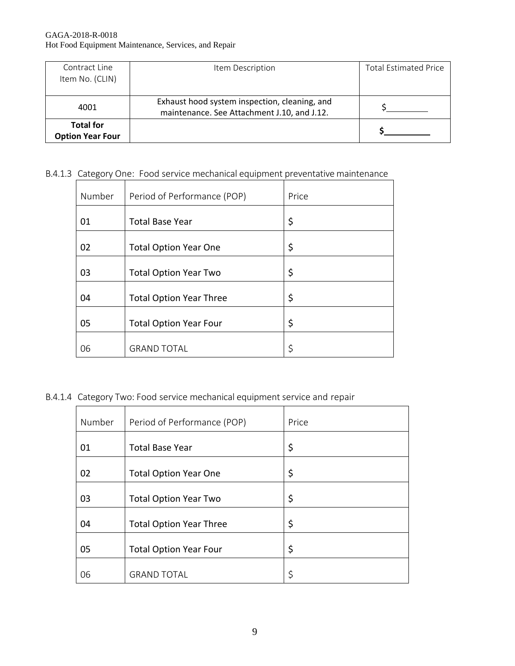| Contract Line           | Item Description                              | <b>Total Estimated Price</b> |
|-------------------------|-----------------------------------------------|------------------------------|
| Item No. (CLIN)         |                                               |                              |
|                         |                                               |                              |
| 4001                    | Exhaust hood system inspection, cleaning, and |                              |
|                         | maintenance. See Attachment J.10, and J.12.   |                              |
| <b>Total for</b>        |                                               |                              |
| <b>Option Year Four</b> |                                               |                              |

# B.4.1.3 Category One: Food service mechanical equipment preventative maintenance

| Number | Period of Performance (POP)    | Price |
|--------|--------------------------------|-------|
| 01     | <b>Total Base Year</b>         | \$    |
| 02     | <b>Total Option Year One</b>   | \$    |
| 03     | <b>Total Option Year Two</b>   | \$    |
| 04     | <b>Total Option Year Three</b> | \$    |
| 05     | <b>Total Option Year Four</b>  | \$    |
| 06     | <b>GRAND TOTAL</b>             | \$    |

B.4.1.4 Category Two: Food service mechanical equipment service and repair

| Number | Period of Performance (POP)    | Price |
|--------|--------------------------------|-------|
| 01     | <b>Total Base Year</b>         | \$    |
| 02     | <b>Total Option Year One</b>   | \$    |
| 03     | <b>Total Option Year Two</b>   | \$    |
| 04     | <b>Total Option Year Three</b> | \$    |
| 05     | <b>Total Option Year Four</b>  | \$    |
| 06     | <b>GRAND TOTAL</b>             | \$    |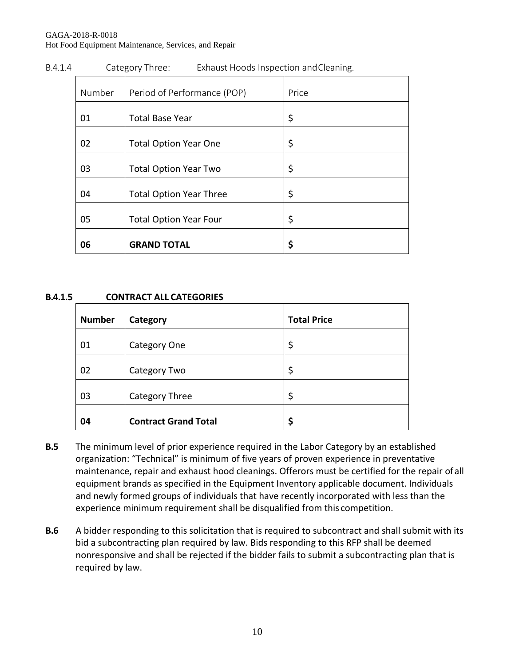#### GAGA-2018-R-0018 Hot Food Equipment Maintenance, Services, and Repair

| Number | Period of Performance (POP)    | Price |
|--------|--------------------------------|-------|
| 01     | <b>Total Base Year</b>         | \$    |
| 02     | <b>Total Option Year One</b>   | \$    |
| 03     | <b>Total Option Year Two</b>   | \$    |
| 04     | <b>Total Option Year Three</b> | \$    |
| 05     | <b>Total Option Year Four</b>  | \$    |
| 06     | <b>GRAND TOTAL</b>             | \$    |

#### B.4.1.4 Category Three: Exhaust Hoods Inspection andCleaning.

#### **B.4.1.5 CONTRACT ALL CATEGORIES**

| <b>Number</b> | Category                    | <b>Total Price</b> |
|---------------|-----------------------------|--------------------|
| 01            | Category One                | \$                 |
| 02            | Category Two                | \$                 |
| 03            | Category Three              | \$                 |
| 04            | <b>Contract Grand Total</b> | \$                 |

- **B.5** The minimum level of prior experience required in the Labor Category by an established organization: "Technical" is minimum of five years of proven experience in preventative maintenance, repair and exhaust hood cleanings. Offerors must be certified for the repair ofall equipment brands as specified in the Equipment Inventory applicable document. Individuals and newly formed groups of individuals that have recently incorporated with less than the experience minimum requirement shall be disqualified from this competition.
- **B.6** A bidder responding to this solicitation that is required to subcontract and shall submit with its bid a subcontracting plan required by law. Bids responding to this RFP shall be deemed nonresponsive and shall be rejected if the bidder fails to submit a subcontracting plan that is required by law.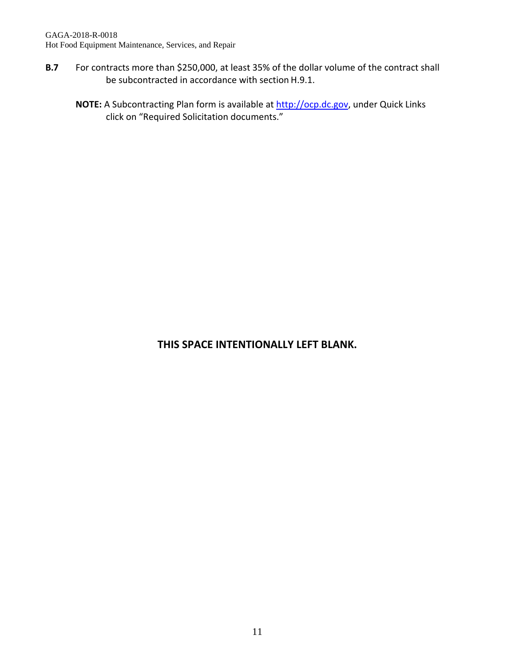- **B.7** For contracts more than \$250,000, at least 35% of the dollar volume of the contract shall be subcontracted in accordance with section H.9.1.
	- **NOTE:** A Subcontracting Plan form is available at [http://ocp.dc.gov,](http://ocp.dc.gov/) under Quick Links click on "Required Solicitation documents."

# **THIS SPACE INTENTIONALLY LEFT BLANK.**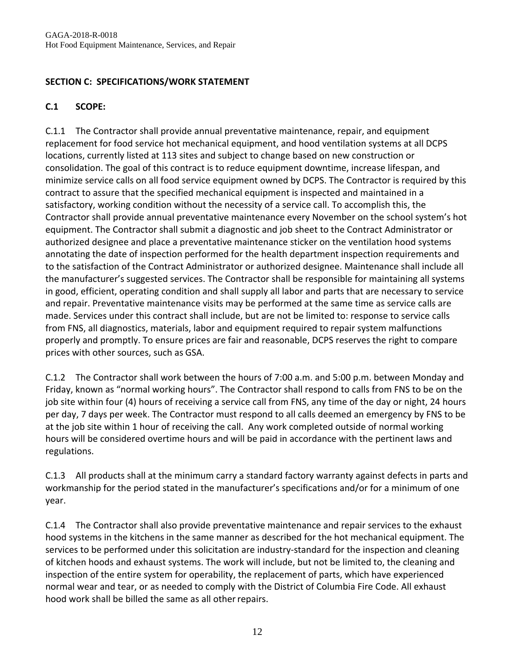# **SECTION C: SPECIFICATIONS/WORK STATEMENT**

# **C.1 SCOPE:**

C.1.1 The Contractor shall provide annual preventative maintenance, repair, and equipment replacement for food service hot mechanical equipment, and hood ventilation systems at all DCPS locations, currently listed at 113 sites and subject to change based on new construction or consolidation. The goal of this contract is to reduce equipment downtime, increase lifespan, and minimize service calls on all food service equipment owned by DCPS. The Contractor is required by this contract to assure that the specified mechanical equipment is inspected and maintained in a satisfactory, working condition without the necessity of a service call. To accomplish this, the Contractor shall provide annual preventative maintenance every November on the school system's hot equipment. The Contractor shall submit a diagnostic and job sheet to the Contract Administrator or authorized designee and place a preventative maintenance sticker on the ventilation hood systems annotating the date of inspection performed for the health department inspection requirements and to the satisfaction of the Contract Administrator or authorized designee. Maintenance shall include all the manufacturer's suggested services. The Contractor shall be responsible for maintaining all systems in good, efficient, operating condition and shall supply all labor and parts that are necessary to service and repair. Preventative maintenance visits may be performed at the same time as service calls are made. Services under this contract shall include, but are not be limited to: response to service calls from FNS, all diagnostics, materials, labor and equipment required to repair system malfunctions properly and promptly. To ensure prices are fair and reasonable, DCPS reserves the right to compare prices with other sources, such as GSA.

C.1.2 The Contractor shall work between the hours of 7:00 a.m. and 5:00 p.m. between Monday and Friday, known as "normal working hours". The Contractor shall respond to calls from FNS to be on the job site within four (4) hours of receiving a service call from FNS, any time of the day or night, 24 hours per day, 7 days per week. The Contractor must respond to all calls deemed an emergency by FNS to be at the job site within 1 hour of receiving the call. Any work completed outside of normal working hours will be considered overtime hours and will be paid in accordance with the pertinent laws and regulations.

C.1.3 All products shall at the minimum carry a standard factory warranty against defects in parts and workmanship for the period stated in the manufacturer's specifications and/or for a minimum of one year.

C.1.4 The Contractor shall also provide preventative maintenance and repair services to the exhaust hood systems in the kitchens in the same manner as described for the hot mechanical equipment. The services to be performed under this solicitation are industry-standard for the inspection and cleaning of kitchen hoods and exhaust systems. The work will include, but not be limited to, the cleaning and inspection of the entire system for operability, the replacement of parts, which have experienced normal wear and tear, or as needed to comply with the District of Columbia Fire Code. All exhaust hood work shall be billed the same as all otherrepairs.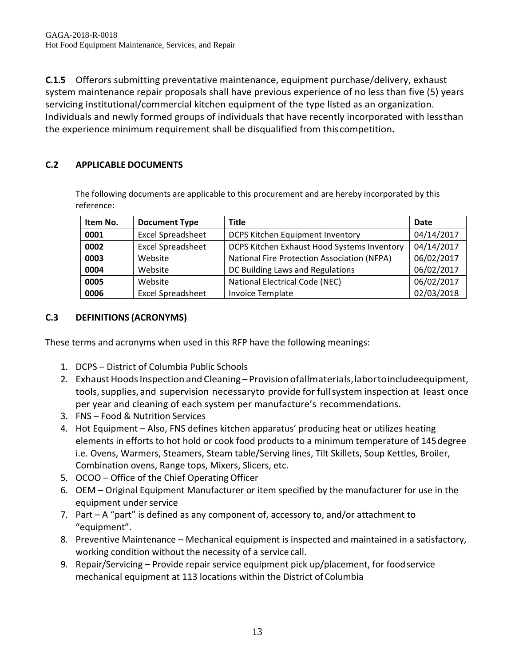**C.1.5** Offerors submitting preventative maintenance, equipment purchase/delivery, exhaust system maintenance repair proposals shall have previous experience of no less than five (5) years servicing institutional/commercial kitchen equipment of the type listed as an organization. Individuals and newly formed groups of individuals that have recently incorporated with lessthan the experience minimum requirement shall be disqualified from thiscompetition**.**

## **C.2 APPLICABLE DOCUMENTS**

The following documents are applicable to this procurement and are hereby incorporated by this reference:

| Item No. | <b>Document Type</b>     | <b>Title</b>                                       | Date       |
|----------|--------------------------|----------------------------------------------------|------------|
| 0001     | <b>Excel Spreadsheet</b> | DCPS Kitchen Equipment Inventory                   | 04/14/2017 |
| 0002     | <b>Excel Spreadsheet</b> | DCPS Kitchen Exhaust Hood Systems Inventory        | 04/14/2017 |
| 0003     | Website                  | <b>National Fire Protection Association (NFPA)</b> | 06/02/2017 |
| 0004     | Website                  | DC Building Laws and Regulations                   | 06/02/2017 |
| 0005     | Website                  | <b>National Electrical Code (NEC)</b>              | 06/02/2017 |
| 0006     | <b>Excel Spreadsheet</b> | <b>Invoice Template</b>                            | 02/03/2018 |

## **C.3 DEFINITIONS (ACRONYMS)**

These terms and acronyms when used in this RFP have the following meanings:

- 1. DCPS District of Columbia Public Schools
- 2. Exhaust Hoods Inspection and Cleaning Provision ofallmaterials, labortoincludeequipment, tools, supplies, and supervision necessaryto provide for full system inspection at least once per year and cleaning of each system per manufacture's recommendations.
- 3. FNS Food & Nutrition Services
- 4. Hot Equipment Also, FNS defines kitchen apparatus' producing heat or utilizes heating elements in efforts to hot hold or cook food products to a minimum temperature of 145degree i.e. Ovens, Warmers, Steamers, Steam table/Serving lines, Tilt Skillets, Soup Kettles, Broiler, Combination ovens, Range tops, Mixers, Slicers, etc.
- 5. OCOO Office of the Chief Operating Officer
- 6. OEM Original Equipment Manufacturer or item specified by the manufacturer for use in the equipment under service
- 7. Part A "part" is defined as any component of, accessory to, and/or attachment to "equipment".
- 8. Preventive Maintenance Mechanical equipment is inspected and maintained in a satisfactory, working condition without the necessity of a service call.
- 9. Repair/Servicing Provide repair service equipment pick up/placement, for foodservice mechanical equipment at 113 locations within the District of Columbia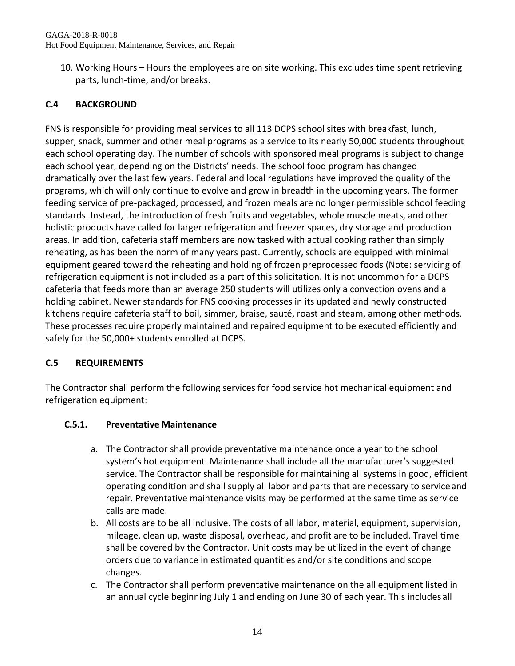10. Working Hours – Hours the employees are on site working. This excludes time spent retrieving parts, lunch-time, and/or breaks.

# **C.4 BACKGROUND**

FNS is responsible for providing meal services to all 113 DCPS school sites with breakfast, lunch, supper, snack, summer and other meal programs as a service to its nearly 50,000 students throughout each school operating day. The number of schools with sponsored meal programs is subject to change each school year, depending on the Districts' needs. The school food program has changed dramatically over the last few years. Federal and local regulations have improved the quality of the programs, which will only continue to evolve and grow in breadth in the upcoming years. The former feeding service of pre-packaged, processed, and frozen meals are no longer permissible school feeding standards. Instead, the introduction of fresh fruits and vegetables, whole muscle meats, and other holistic products have called for larger refrigeration and freezer spaces, dry storage and production areas. In addition, cafeteria staff members are now tasked with actual cooking rather than simply reheating, as has been the norm of many years past. Currently, schools are equipped with minimal equipment geared toward the reheating and holding of frozen preprocessed foods (Note: servicing of refrigeration equipment is not included as a part of this solicitation. It is not uncommon for a DCPS cafeteria that feeds more than an average 250 students will utilizes only a convection ovens and a holding cabinet. Newer standards for FNS cooking processes in its updated and newly constructed kitchens require cafeteria staff to boil, simmer, braise, sauté, roast and steam, among other methods. These processes require properly maintained and repaired equipment to be executed efficiently and safely for the 50,000+ students enrolled at DCPS.

# **C.5 REQUIREMENTS**

The Contractor shall perform the following services for food service hot mechanical equipment and refrigeration equipment:

## **C.5.1. Preventative Maintenance**

- a. The Contractor shall provide preventative maintenance once a year to the school system's hot equipment. Maintenance shall include all the manufacturer's suggested service. The Contractor shall be responsible for maintaining all systems in good, efficient operating condition and shall supply all labor and parts that are necessary to serviceand repair. Preventative maintenance visits may be performed at the same time as service calls are made.
- b. All costs are to be all inclusive. The costs of all labor, material, equipment, supervision, mileage, clean up, waste disposal, overhead, and profit are to be included. Travel time shall be covered by the Contractor. Unit costs may be utilized in the event of change orders due to variance in estimated quantities and/or site conditions and scope changes.
- c. The Contractor shall perform preventative maintenance on the all equipment listed in an annual cycle beginning July 1 and ending on June 30 of each year. This includes all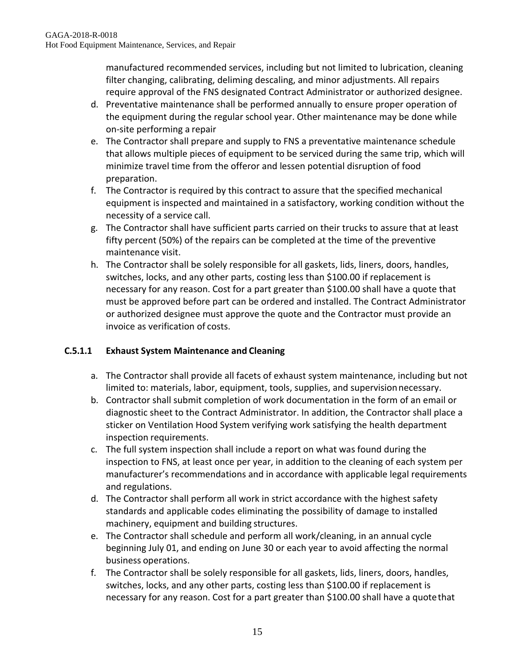manufactured recommended services, including but not limited to lubrication, cleaning filter changing, calibrating, deliming descaling, and minor adjustments. All repairs require approval of the FNS designated Contract Administrator or authorized designee.

- d. Preventative maintenance shall be performed annually to ensure proper operation of the equipment during the regular school year. Other maintenance may be done while on-site performing a repair
- e. The Contractor shall prepare and supply to FNS a preventative maintenance schedule that allows multiple pieces of equipment to be serviced during the same trip, which will minimize travel time from the offeror and lessen potential disruption of food preparation.
- f. The Contractor is required by this contract to assure that the specified mechanical equipment is inspected and maintained in a satisfactory, working condition without the necessity of a service call.
- g. The Contractor shall have sufficient parts carried on their trucks to assure that at least fifty percent (50%) of the repairs can be completed at the time of the preventive maintenance visit.
- h. The Contractor shall be solely responsible for all gaskets, lids, liners, doors, handles, switches, locks, and any other parts, costing less than \$100.00 if replacement is necessary for any reason. Cost for a part greater than \$100.00 shall have a quote that must be approved before part can be ordered and installed. The Contract Administrator or authorized designee must approve the quote and the Contractor must provide an invoice as verification of costs.

# **C.5.1.1 Exhaust System Maintenance and Cleaning**

- a. The Contractor shall provide all facets of exhaust system maintenance, including but not limited to: materials, labor, equipment, tools, supplies, and supervisionnecessary.
- b. Contractor shall submit completion of work documentation in the form of an email or diagnostic sheet to the Contract Administrator. In addition, the Contractor shall place a sticker on Ventilation Hood System verifying work satisfying the health department inspection requirements.
- c. The full system inspection shall include a report on what was found during the inspection to FNS, at least once per year, in addition to the cleaning of each system per manufacturer's recommendations and in accordance with applicable legal requirements and regulations.
- d. The Contractor shall perform all work in strict accordance with the highest safety standards and applicable codes eliminating the possibility of damage to installed machinery, equipment and building structures.
- e. The Contractor shall schedule and perform all work/cleaning, in an annual cycle beginning July 01, and ending on June 30 or each year to avoid affecting the normal business operations.
- f. The Contractor shall be solely responsible for all gaskets, lids, liners, doors, handles, switches, locks, and any other parts, costing less than \$100.00 if replacement is necessary for any reason. Cost for a part greater than \$100.00 shall have a quotethat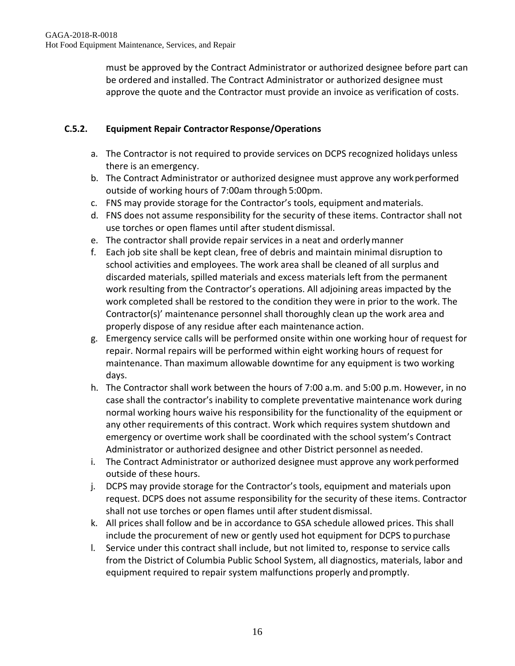must be approved by the Contract Administrator or authorized designee before part can be ordered and installed. The Contract Administrator or authorized designee must approve the quote and the Contractor must provide an invoice as verification of costs.

# **C.5.2. Equipment Repair Contractor Response/Operations**

- a. The Contractor is not required to provide services on DCPS recognized holidays unless there is an emergency.
- b. The Contract Administrator or authorized designee must approve any workperformed outside of working hours of 7:00am through 5:00pm.
- c. FNS may provide storage for the Contractor's tools, equipment andmaterials.
- d. FNS does not assume responsibility for the security of these items. Contractor shall not use torches or open flames until after student dismissal.
- e. The contractor shall provide repair services in a neat and orderlymanner
- f. Each job site shall be kept clean, free of debris and maintain minimal disruption to school activities and employees. The work area shall be cleaned of all surplus and discarded materials, spilled materials and excess materials left from the permanent work resulting from the Contractor's operations. All adjoining areas impacted by the work completed shall be restored to the condition they were in prior to the work. The Contractor(s)' maintenance personnel shall thoroughly clean up the work area and properly dispose of any residue after each maintenance action.
- g. Emergency service calls will be performed onsite within one working hour of request for repair. Normal repairs will be performed within eight working hours of request for maintenance. Than maximum allowable downtime for any equipment is two working days.
- h. The Contractor shall work between the hours of 7:00 a.m. and 5:00 p.m. However, in no case shall the contractor's inability to complete preventative maintenance work during normal working hours waive his responsibility for the functionality of the equipment or any other requirements of this contract. Work which requires system shutdown and emergency or overtime work shall be coordinated with the school system's Contract Administrator or authorized designee and other District personnel as needed.
- i. The Contract Administrator or authorized designee must approve any workperformed outside of these hours.
- j. DCPS may provide storage for the Contractor's tools, equipment and materials upon request. DCPS does not assume responsibility for the security of these items. Contractor shall not use torches or open flames until after student dismissal.
- k. All prices shall follow and be in accordance to GSA schedule allowed prices. This shall include the procurement of new or gently used hot equipment for DCPS to purchase
- l. Service under this contract shall include, but not limited to, response to service calls from the District of Columbia Public School System, all diagnostics, materials, labor and equipment required to repair system malfunctions properly and promptly.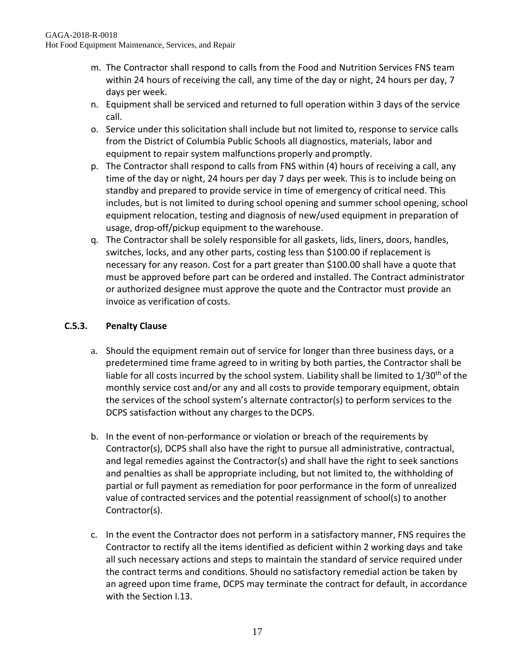- m. The Contractor shall respond to calls from the Food and Nutrition Services FNS team within 24 hours of receiving the call, any time of the day or night, 24 hours per day, 7 days per week.
- n. Equipment shall be serviced and returned to full operation within 3 days of the service call.
- o. Service under this solicitation shall include but not limited to, response to service calls from the District of Columbia Public Schools all diagnostics, materials, labor and equipment to repair system malfunctions properly and promptly.
- p. The Contractor shall respond to calls from FNS within (4) hours of receiving a call, any time of the day or night, 24 hours per day 7 days per week. This is to include being on standby and prepared to provide service in time of emergency of critical need. This includes, but is not limited to during school opening and summer school opening, school equipment relocation, testing and diagnosis of new/used equipment in preparation of usage, drop-off/pickup equipment to the warehouse.
- q. The Contractor shall be solely responsible for all gaskets, lids, liners, doors, handles, switches, locks, and any other parts, costing less than \$100.00 if replacement is necessary for any reason. Cost for a part greater than \$100.00 shall have a quote that must be approved before part can be ordered and installed. The Contract administrator or authorized designee must approve the quote and the Contractor must provide an invoice as verification of costs.

# **C.5.3. Penalty Clause**

- a. Should the equipment remain out of service for longer than three business days, or a predetermined time frame agreed to in writing by both parties, the Contractor shall be liable for all costs incurred by the school system. Liability shall be limited to  $1/30<sup>th</sup>$  of the monthly service cost and/or any and all costs to provide temporary equipment, obtain the services of the school system's alternate contractor(s) to perform services to the DCPS satisfaction without any charges to the DCPS.
- b. In the event of non-performance or violation or breach of the requirements by Contractor(s), DCPS shall also have the right to pursue all administrative, contractual, and legal remedies against the Contractor(s) and shall have the right to seek sanctions and penalties as shall be appropriate including, but not limited to, the withholding of partial or full payment as remediation for poor performance in the form of unrealized value of contracted services and the potential reassignment of school(s) to another Contractor(s).
- c. In the event the Contractor does not perform in a satisfactory manner, FNS requires the Contractor to rectify all the items identified as deficient within 2 working days and take all such necessary actions and steps to maintain the standard of service required under the contract terms and conditions. Should no satisfactory remedial action be taken by an agreed upon time frame, DCPS may terminate the contract for default, in accordance with the Section I.13.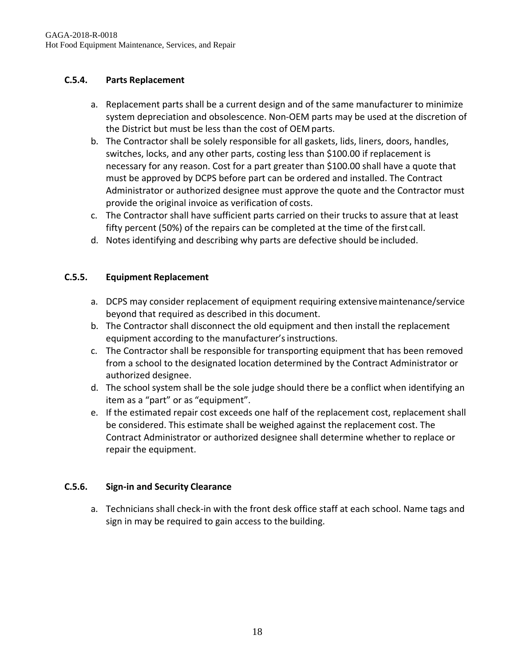# **C.5.4. Parts Replacement**

- a. Replacement parts shall be a current design and of the same manufacturer to minimize system depreciation and obsolescence. Non-OEM parts may be used at the discretion of the District but must be less than the cost of OEM parts.
- b. The Contractor shall be solely responsible for all gaskets, lids, liners, doors, handles, switches, locks, and any other parts, costing less than \$100.00 if replacement is necessary for any reason. Cost for a part greater than \$100.00 shall have a quote that must be approved by DCPS before part can be ordered and installed. The Contract Administrator or authorized designee must approve the quote and the Contractor must provide the original invoice as verification of costs.
- c. The Contractor shall have sufficient parts carried on their trucks to assure that at least fifty percent (50%) of the repairs can be completed at the time of the first call.
- d. Notes identifying and describing why parts are defective should be included.

# **C.5.5. Equipment Replacement**

- a. DCPS may consider replacement of equipment requiring extensivemaintenance/service beyond that required as described in this document.
- b. The Contractor shall disconnect the old equipment and then install the replacement equipment according to the manufacturer's instructions.
- c. The Contractor shall be responsible for transporting equipment that has been removed from a school to the designated location determined by the Contract Administrator or authorized designee.
- d. The school system shall be the sole judge should there be a conflict when identifying an item as a "part" or as "equipment".
- e. If the estimated repair cost exceeds one half of the replacement cost, replacement shall be considered. This estimate shall be weighed against the replacement cost. The Contract Administrator or authorized designee shall determine whether to replace or repair the equipment.

## **C.5.6. Sign-in and Security Clearance**

a. Technicians shall check-in with the front desk office staff at each school. Name tags and sign in may be required to gain access to the building.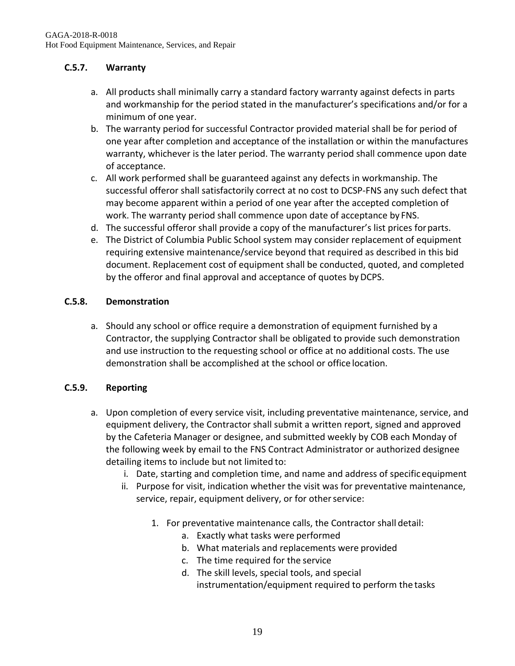# **C.5.7. Warranty**

- a. All products shall minimally carry a standard factory warranty against defects in parts and workmanship for the period stated in the manufacturer's specifications and/or for a minimum of one year.
- b. The warranty period for successful Contractor provided material shall be for period of one year after completion and acceptance of the installation or within the manufactures warranty, whichever is the later period. The warranty period shall commence upon date of acceptance.
- c. All work performed shall be guaranteed against any defects in workmanship. The successful offeror shall satisfactorily correct at no cost to DCSP-FNS any such defect that may become apparent within a period of one year after the accepted completion of work. The warranty period shall commence upon date of acceptance by FNS.
- d. The successful offeror shall provide a copy of the manufacturer's list prices forparts.
- e. The District of Columbia Public School system may consider replacement of equipment requiring extensive maintenance/service beyond that required as described in this bid document. Replacement cost of equipment shall be conducted, quoted, and completed by the offeror and final approval and acceptance of quotes by DCPS.

#### **C.5.8. Demonstration**

a. Should any school or office require a demonstration of equipment furnished by a Contractor, the supplying Contractor shall be obligated to provide such demonstration and use instruction to the requesting school or office at no additional costs. The use demonstration shall be accomplished at the school or office location.

## **C.5.9. Reporting**

- a. Upon completion of every service visit, including preventative maintenance, service, and equipment delivery, the Contractor shall submit a written report, signed and approved by the Cafeteria Manager or designee, and submitted weekly by COB each Monday of the following week by email to the FNS Contract Administrator or authorized designee detailing items to include but not limited to:
	- i. Date, starting and completion time, and name and address of specificequipment
	- ii. Purpose for visit, indication whether the visit was for preventative maintenance, service, repair, equipment delivery, or for other service:
		- 1. For preventative maintenance calls, the Contractor shall detail:
			- a. Exactly what tasks were performed
			- b. What materials and replacements were provided
			- c. The time required for the service
			- d. The skill levels, special tools, and special instrumentation/equipment required to perform the tasks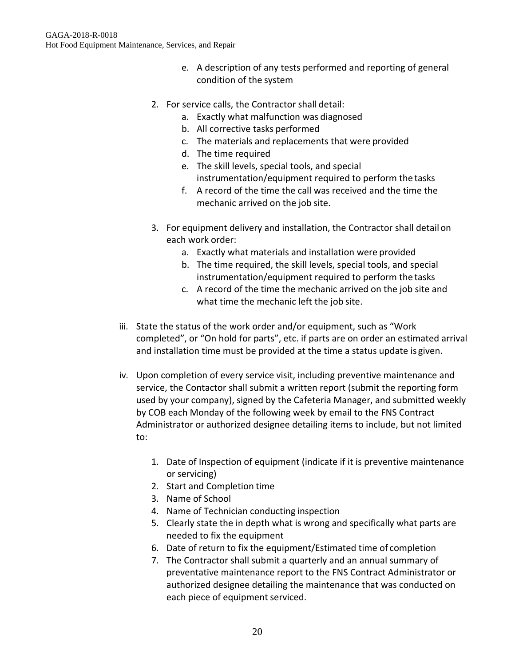- e. A description of any tests performed and reporting of general condition of the system
- 2. For service calls, the Contractor shall detail:
	- a. Exactly what malfunction was diagnosed
	- b. All corrective tasks performed
	- c. The materials and replacements that were provided
	- d. The time required
	- e. The skill levels, special tools, and special instrumentation/equipment required to perform the tasks
	- f. A record of the time the call was received and the time the mechanic arrived on the job site.
- 3. For equipment delivery and installation, the Contractor shall detailon each work order:
	- a. Exactly what materials and installation were provided
	- b. The time required, the skill levels, special tools, and special instrumentation/equipment required to perform the tasks
	- c. A record of the time the mechanic arrived on the job site and what time the mechanic left the job site.
- iii. State the status of the work order and/or equipment, such as "Work completed", or "On hold for parts", etc. if parts are on order an estimated arrival and installation time must be provided at the time a status update is given.
- iv. Upon completion of every service visit, including preventive maintenance and service, the Contactor shall submit a written report (submit the reporting form used by your company), signed by the Cafeteria Manager, and submitted weekly by COB each Monday of the following week by email to the FNS Contract Administrator or authorized designee detailing items to include, but not limited to:
	- 1. Date of Inspection of equipment (indicate if it is preventive maintenance or servicing)
	- 2. Start and Completion time
	- 3. Name of School
	- 4. Name of Technician conducting inspection
	- 5. Clearly state the in depth what is wrong and specifically what parts are needed to fix the equipment
	- 6. Date of return to fix the equipment/Estimated time of completion
	- 7. The Contractor shall submit a quarterly and an annual summary of preventative maintenance report to the FNS Contract Administrator or authorized designee detailing the maintenance that was conducted on each piece of equipment serviced.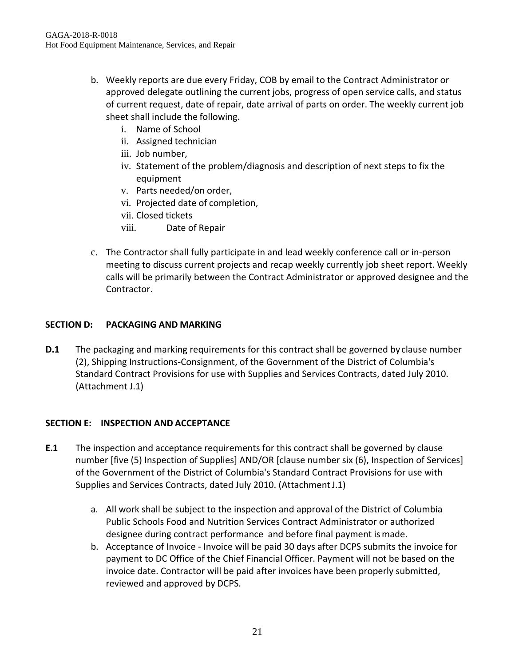- b. Weekly reports are due every Friday, COB by email to the Contract Administrator or approved delegate outlining the current jobs, progress of open service calls, and status of current request, date of repair, date arrival of parts on order. The weekly current job sheet shall include the following.
	- i. Name of School
	- ii. Assigned technician
	- iii. Job number,
	- iv. Statement of the problem/diagnosis and description of next steps to fix the equipment
	- v. Parts needed/on order,
	- vi. Projected date of completion,
	- vii. Closed tickets
	- viii. Date of Repair
- c. The Contractor shall fully participate in and lead weekly conference call or in-person meeting to discuss current projects and recap weekly currently job sheet report. Weekly calls will be primarily between the Contract Administrator or approved designee and the Contractor.

#### **SECTION D: PACKAGING AND MARKING**

**D.1** The packaging and marking requirements for this contract shall be governed by clause number (2), Shipping Instructions-Consignment, of the Government of the District of Columbia's Standard Contract Provisions for use with Supplies and Services Contracts, dated July 2010. (Attachment J.1)

## **SECTION E: INSPECTION AND ACCEPTANCE**

- **E.1** The inspection and acceptance requirements for this contract shall be governed by clause number [five (5) Inspection of Supplies] AND/OR [clause number six (6), Inspection of Services] of the Government of the District of Columbia's Standard Contract Provisions for use with Supplies and Services Contracts, dated July 2010. (Attachment J.1)
	- a. All work shall be subject to the inspection and approval of the District of Columbia Public Schools Food and Nutrition Services Contract Administrator or authorized designee during contract performance and before final payment ismade.
	- b. Acceptance of Invoice Invoice will be paid 30 days after DCPS submits the invoice for payment to DC Office of the Chief Financial Officer. Payment will not be based on the invoice date. Contractor will be paid after invoices have been properly submitted, reviewed and approved by DCPS.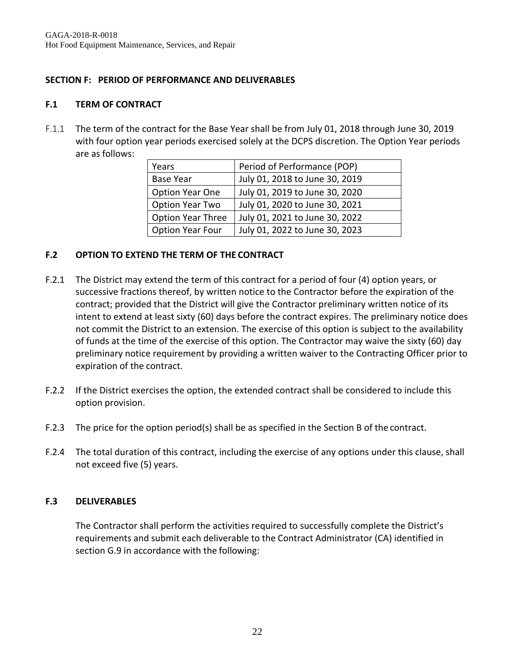### **SECTION F: PERIOD OF PERFORMANCE AND DELIVERABLES**

#### **F.1 TERM OF CONTRACT**

F.1.1 The term of the contract for the Base Year shall be from July 01, 2018 through June 30, 2019 with four option year periods exercised solely at the DCPS discretion. The Option Year periods are as follows:

| Years                    | Period of Performance (POP)    |
|--------------------------|--------------------------------|
| <b>Base Year</b>         | July 01, 2018 to June 30, 2019 |
| Option Year One          | July 01, 2019 to June 30, 2020 |
| Option Year Two          | July 01, 2020 to June 30, 2021 |
| <b>Option Year Three</b> | July 01, 2021 to June 30, 2022 |
| Option Year Four         | July 01, 2022 to June 30, 2023 |

#### **F.2 OPTION TO EXTEND THE TERM OF THE CONTRACT**

- F.2.1 The District may extend the term of this contract for a period of four (4) option years, or successive fractions thereof, by written notice to the Contractor before the expiration of the contract; provided that the District will give the Contractor preliminary written notice of its intent to extend at least sixty (60) days before the contract expires. The preliminary notice does not commit the District to an extension. The exercise of this option is subject to the availability of funds at the time of the exercise of this option. The Contractor may waive the sixty (60) day preliminary notice requirement by providing a written waiver to the Contracting Officer prior to expiration of the contract.
- F.2.2 If the District exercises the option, the extended contract shall be considered to include this option provision.
- F.2.3 The price for the option period(s) shall be as specified in the Section B of the contract.
- F.2.4 The total duration of this contract, including the exercise of any options under this clause, shall not exceed five (5) years.

## **F.3 DELIVERABLES**

The Contractor shall perform the activities required to successfully complete the District's requirements and submit each deliverable to the Contract Administrator (CA) identified in section G.9 in accordance with the following: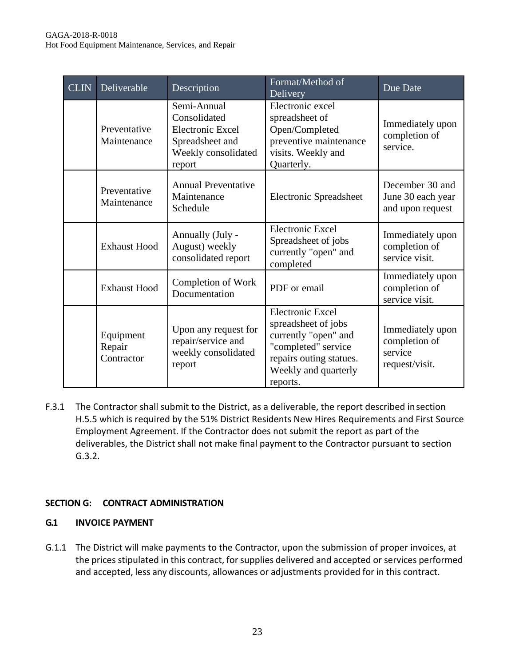| CLIN | Deliverable                       | Description                                                                                                | Format/Method of<br>Delivery                                                                                                                                 | Due Date                                                       |
|------|-----------------------------------|------------------------------------------------------------------------------------------------------------|--------------------------------------------------------------------------------------------------------------------------------------------------------------|----------------------------------------------------------------|
|      | Preventative<br>Maintenance       | Semi-Annual<br>Consolidated<br><b>Electronic Excel</b><br>Spreadsheet and<br>Weekly consolidated<br>report | Electronic excel<br>spreadsheet of<br>Open/Completed<br>preventive maintenance<br>visits. Weekly and<br>Quarterly.                                           | Immediately upon<br>completion of<br>service.                  |
|      | Preventative<br>Maintenance       | <b>Annual Preventative</b><br>Maintenance<br>Schedule                                                      | <b>Electronic Spreadsheet</b>                                                                                                                                | December 30 and<br>June 30 each year<br>and upon request       |
|      | <b>Exhaust Hood</b>               | Annually (July -<br>August) weekly<br>consolidated report                                                  | <b>Electronic Excel</b><br>Spreadsheet of jobs<br>currently "open" and<br>completed                                                                          | Immediately upon<br>completion of<br>service visit.            |
|      | <b>Exhaust Hood</b>               | Completion of Work<br>Documentation                                                                        | PDF or email                                                                                                                                                 | Immediately upon<br>completion of<br>service visit.            |
|      | Equipment<br>Repair<br>Contractor | Upon any request for<br>repair/service and<br>weekly consolidated<br>report                                | <b>Electronic Excel</b><br>spreadsheet of jobs<br>currently "open" and<br>"completed" service<br>repairs outing statues.<br>Weekly and quarterly<br>reports. | Immediately upon<br>completion of<br>service<br>request/visit. |

F.3.1 The Contractor shall submit to the District, as a deliverable, the report described insection H.5.5 which is required by the 51% District Residents New Hires Requirements and First Source Employment Agreement. If the Contractor does not submit the report as part of the deliverables, the District shall not make final payment to the Contractor pursuant to section G.3.2.

## **SECTION G: CONTRACT ADMINISTRATION**

### **G.1 INVOICE PAYMENT**

G.1.1 The District will make payments to the Contractor, upon the submission of proper invoices, at the prices stipulated in this contract, for supplies delivered and accepted or services performed and accepted, less any discounts, allowances or adjustments provided for in this contract.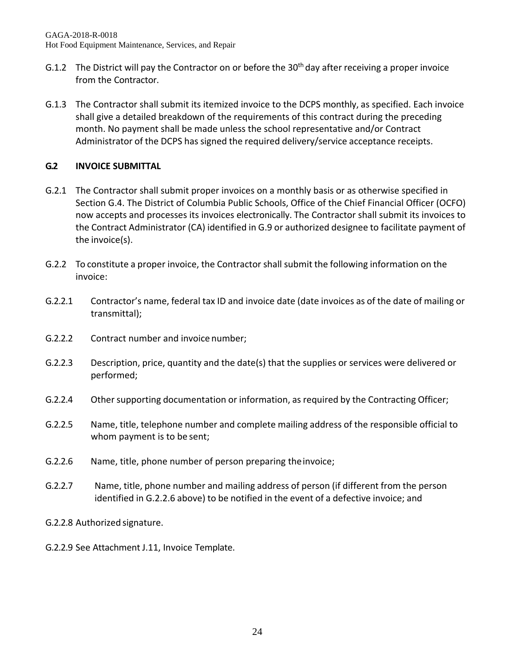- G.1.2 The District will pay the Contractor on or before the 30<sup>th</sup> day after receiving a proper invoice from the Contractor.
- G.1.3 The Contractor shall submit its itemized invoice to the DCPS monthly, as specified. Each invoice shall give a detailed breakdown of the requirements of this contract during the preceding month. No payment shall be made unless the school representative and/or Contract Administrator of the DCPS has signed the required delivery/service acceptance receipts.

# **G.2 INVOICE SUBMITTAL**

- G.2.1 The Contractor shall submit proper invoices on a monthly basis or as otherwise specified in Section G.4. The District of Columbia Public Schools, Office of the Chief Financial Officer (OCFO) now accepts and processes its invoices electronically. The Contractor shall submit its invoices to the Contract Administrator (CA) identified in G.9 or authorized designee to facilitate payment of the invoice(s).
- G.2.2 To constitute a proper invoice, the Contractor shall submit the following information on the invoice:
- G.2.2.1 Contractor's name, federal tax ID and invoice date (date invoices as of the date of mailing or transmittal);
- G.2.2.2 Contract number and invoice number;
- G.2.2.3 Description, price, quantity and the date(s) that the supplies or services were delivered or performed;
- G.2.2.4 Other supporting documentation or information, as required by the Contracting Officer;
- G.2.2.5 Name, title, telephone number and complete mailing address of the responsible official to whom payment is to be sent;
- G.2.2.6 Name, title, phone number of person preparing theinvoice;
- G.2.2.7 Name, title, phone number and mailing address of person (if different from the person identified in G.2.2.6 above) to be notified in the event of a defective invoice; and
- G.2.2.8 Authorized signature.
- G.2.2.9 See Attachment J.11, Invoice Template.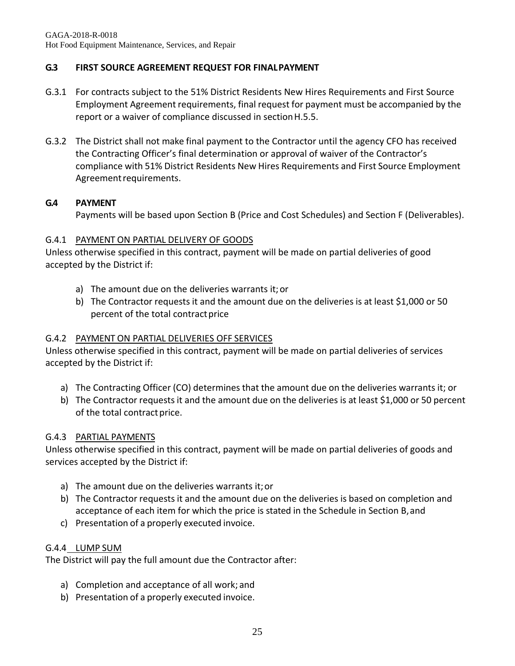# **G.3 FIRST SOURCE AGREEMENT REQUEST FOR FINALPAYMENT**

- G.3.1 For contracts subject to the 51% District Residents New Hires Requirements and First Source Employment Agreement requirements, final request for payment must be accompanied by the report or a waiver of compliance discussed in sectionH.5.5.
- G.3.2 The District shall not make final payment to the Contractor until the agency CFO has received the Contracting Officer's final determination or approval of waiver of the Contractor's compliance with 51% District Residents New Hires Requirements and First Source Employment Agreementrequirements.

## **G.4 PAYMENT**

Payments will be based upon Section B (Price and Cost Schedules) and Section F (Deliverables).

#### G.4.1 PAYMENT ON PARTIAL DELIVERY OF GOODS

Unless otherwise specified in this contract, payment will be made on partial deliveries of good accepted by the District if:

- a) The amount due on the deliveries warrants it;or
- b) The Contractor requests it and the amount due on the deliveries is at least \$1,000 or 50 percent of the total contract price

#### G.4.2 PAYMENT ON PARTIAL DELIVERIES OFF SERVICES

Unless otherwise specified in this contract, payment will be made on partial deliveries of services accepted by the District if:

- a) The Contracting Officer (CO) determines that the amount due on the deliveries warrants it; or
- b) The Contractor requests it and the amount due on the deliveries is at least \$1,000 or 50 percent of the total contract price.

#### G.4.3 PARTIAL PAYMENTS

Unless otherwise specified in this contract, payment will be made on partial deliveries of goods and services accepted by the District if:

- a) The amount due on the deliveries warrants it;or
- b) The Contractor requests it and the amount due on the deliveries is based on completion and acceptance of each item for which the price is stated in the Schedule in Section B,and
- c) Presentation of a properly executed invoice.

#### G.4.4 LUMP SUM

The District will pay the full amount due the Contractor after:

- a) Completion and acceptance of all work; and
- b) Presentation of a properly executed invoice.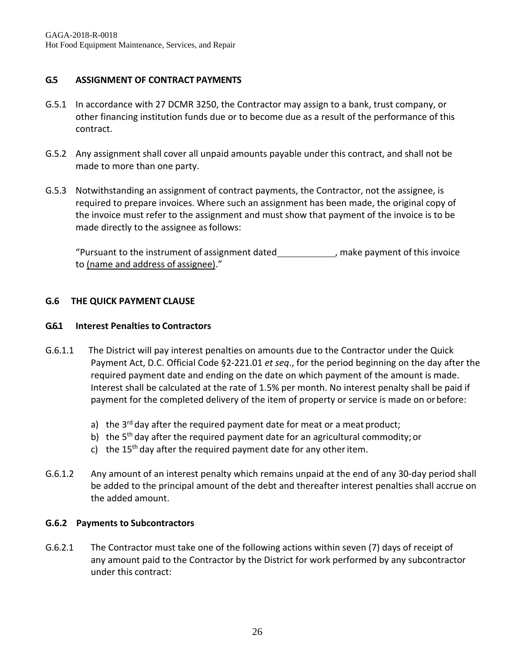### **G.5 ASSIGNMENT OF CONTRACT PAYMENTS**

- G.5.1 In accordance with 27 DCMR 3250, the Contractor may assign to a bank, trust company, or other financing institution funds due or to become due as a result of the performance of this contract.
- G.5.2 Any assignment shall cover all unpaid amounts payable under this contract, and shall not be made to more than one party.
- G.5.3 Notwithstanding an assignment of contract payments, the Contractor, not the assignee, is required to prepare invoices. Where such an assignment has been made, the original copy of the invoice must refer to the assignment and must show that payment of the invoice is to be made directly to the assignee as follows:

"Pursuant to the instrument of assignment dated , make payment of this invoice to (name and address of assignee)."

#### **G.6 THE QUICK PAYMENT CLAUSE**

#### **G.6.1 Interest Penalties to Contractors**

- G.6.1.1 The District will pay interest penalties on amounts due to the Contractor under the Quick Payment Act, D.C. Official Code §2-221.01 *et seq*., for the period beginning on the day after the required payment date and ending on the date on which payment of the amount is made. Interest shall be calculated at the rate of 1.5% per month. No interest penalty shall be paid if payment for the completed delivery of the item of property or service is made on orbefore:
	- a) the  $3^{rd}$  day after the required payment date for meat or a meat product;
	- b) the  $5<sup>th</sup>$  day after the required payment date for an agricultural commodity; or
	- c) the 15<sup>th</sup> day after the required payment date for any other item.
- G.6.1.2 Any amount of an interest penalty which remains unpaid at the end of any 30-day period shall be added to the principal amount of the debt and thereafter interest penalties shall accrue on the added amount.

#### **G.6.2 Payments to Subcontractors**

G.6.2.1 The Contractor must take one of the following actions within seven (7) days of receipt of any amount paid to the Contractor by the District for work performed by any subcontractor under this contract: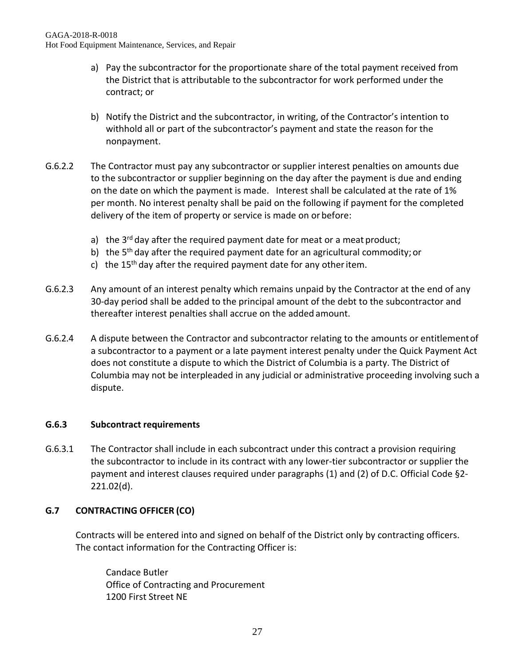- a) Pay the subcontractor for the proportionate share of the total payment received from the District that is attributable to the subcontractor for work performed under the contract; or
- b) Notify the District and the subcontractor, in writing, of the Contractor's intention to withhold all or part of the subcontractor's payment and state the reason for the nonpayment.
- G.6.2.2 The Contractor must pay any subcontractor or supplier interest penalties on amounts due to the subcontractor or supplier beginning on the day after the payment is due and ending on the date on which the payment is made. Interest shall be calculated at the rate of 1% per month. No interest penalty shall be paid on the following if payment for the completed delivery of the item of property or service is made on or before:
	- a) the  $3^{rd}$  day after the required payment date for meat or a meat product;
	- b) the  $5<sup>th</sup>$  day after the required payment date for an agricultural commodity; or
	- c) the 15<sup>th</sup> day after the required payment date for any other item.
- G.6.2.3 Any amount of an interest penalty which remains unpaid by the Contractor at the end of any 30-day period shall be added to the principal amount of the debt to the subcontractor and thereafter interest penalties shall accrue on the added amount.
- G.6.2.4 A dispute between the Contractor and subcontractor relating to the amounts or entitlementof a subcontractor to a payment or a late payment interest penalty under the Quick Payment Act does not constitute a dispute to which the District of Columbia is a party. The District of Columbia may not be interpleaded in any judicial or administrative proceeding involving such a dispute.

#### **G.6.3 Subcontract requirements**

G.6.3.1 The Contractor shall include in each subcontract under this contract a provision requiring the subcontractor to include in its contract with any lower-tier subcontractor or supplier the payment and interest clauses required under paragraphs (1) and (2) of D.C. Official Code §2- 221.02(d).

## **G.7 CONTRACTING OFFICER (CO)**

Contracts will be entered into and signed on behalf of the District only by contracting officers. The contact information for the Contracting Officer is:

Candace Butler Office of Contracting and Procurement 1200 First Street NE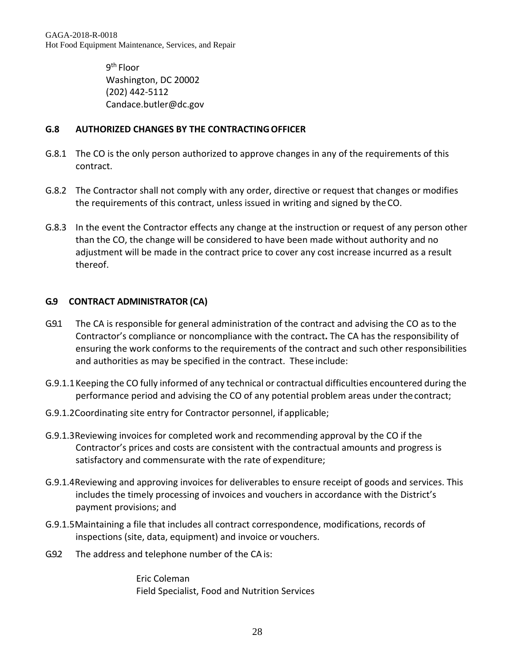GAGA-2018-R-0018 Hot Food Equipment Maintenance, Services, and Repair

> 9th Floor Washington, DC 20002 (202) 442-5112 [Candace.butler@dc.gov](mailto:Candace.butler@dc.gov)

#### **G.8 AUTHORIZED CHANGES BY THE CONTRACTINGOFFICER**

- G.8.1 The CO is the only person authorized to approve changes in any of the requirements of this contract.
- G.8.2 The Contractor shall not comply with any order, directive or request that changes or modifies the requirements of this contract, unless issued in writing and signed by theCO.
- G.8.3 In the event the Contractor effects any change at the instruction or request of any person other than the CO, the change will be considered to have been made without authority and no adjustment will be made in the contract price to cover any cost increase incurred as a result thereof.

#### **G.9 CONTRACT ADMINISTRATOR (CA)**

- G.9.1 The CA is responsible for general administration of the contract and advising the CO as to the Contractor's compliance or noncompliance with the contract**.** The CA has the responsibility of ensuring the work conforms to the requirements of the contract and such other responsibilities and authorities as may be specified in the contract. These include:
- G.9.1.1Keeping the CO fully informed of any technical or contractual difficulties encountered during the performance period and advising the CO of any potential problem areas under thecontract;
- G.9.1.2Coordinating site entry for Contractor personnel, if applicable;
- G.9.1.3Reviewing invoices for completed work and recommending approval by the CO if the Contractor's prices and costs are consistent with the contractual amounts and progress is satisfactory and commensurate with the rate of expenditure;
- G.9.1.4Reviewing and approving invoices for deliverables to ensure receipt of goods and services. This includes the timely processing of invoices and vouchers in accordance with the District's payment provisions; and
- G.9.1.5Maintaining a file that includes all contract correspondence, modifications, records of inspections (site, data, equipment) and invoice or vouchers.
- G.9.2 The address and telephone number of the CA is:

Eric Coleman Field Specialist, Food and Nutrition Services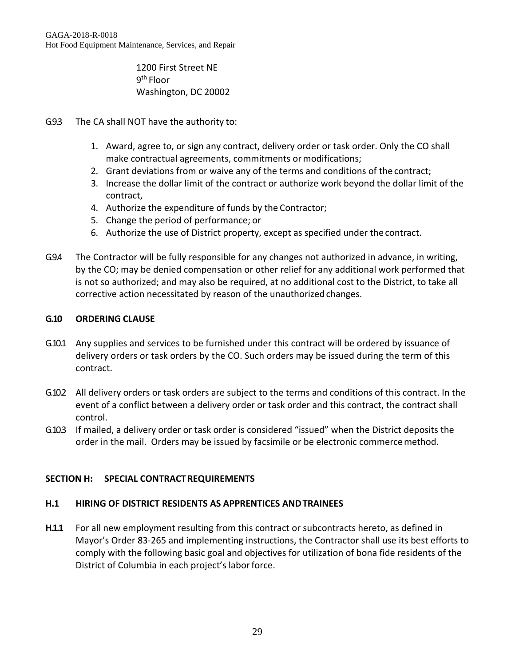1200 First Street NE 9th Floor Washington, DC 20002

- G.9.3 The CA shall NOT have the authority to:
	- 1. Award, agree to, or sign any contract, delivery order or task order. Only the CO shall make contractual agreements, commitments or modifications;
	- 2. Grant deviations from or waive any of the terms and conditions of the contract;
	- 3. Increase the dollar limit of the contract or authorize work beyond the dollar limit of the contract,
	- 4. Authorize the expenditure of funds by the Contractor;
	- 5. Change the period of performance; or
	- 6. Authorize the use of District property, except as specified under the contract.
- G.9.4 The Contractor will be fully responsible for any changes not authorized in advance, in writing, by the CO; may be denied compensation or other relief for any additional work performed that is not so authorized; and may also be required, at no additional cost to the District, to take all corrective action necessitated by reason of the unauthorized changes.

#### **G.10 ORDERING CLAUSE**

- G.10.1 Any supplies and services to be furnished under this contract will be ordered by issuance of delivery orders or task orders by the CO. Such orders may be issued during the term of this contract.
- G.10.2 All delivery orders or task orders are subject to the terms and conditions of this contract. In the event of a conflict between a delivery order or task order and this contract, the contract shall control.
- G.10.3 If mailed, a delivery order or task order is considered "issued" when the District deposits the order in the mail. Orders may be issued by facsimile or be electronic commercemethod.

#### **SECTION H: SPECIAL CONTRACTREQUIREMENTS**

#### **H.1 HIRING OF DISTRICT RESIDENTS AS APPRENTICES ANDTRAINEES**

**H.1.1** For all new employment resulting from this contract or subcontracts hereto, as defined in Mayor's Order 83-265 and implementing instructions, the Contractor shall use its best efforts to comply with the following basic goal and objectives for utilization of bona fide residents of the District of Columbia in each project's labor force.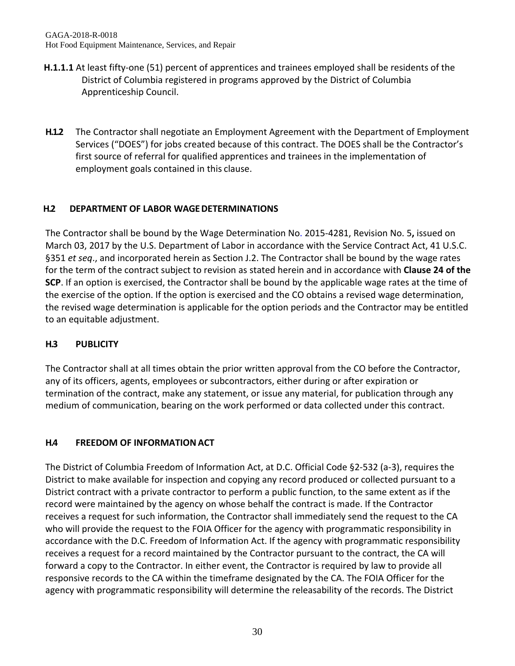- **H.1.1.1** At least fifty-one (51) percent of apprentices and trainees employed shall be residents of the District of Columbia registered in programs approved by the District of Columbia Apprenticeship Council.
- **H.1.2** The Contractor shall negotiate an Employment Agreement with the Department of Employment Services ("DOES") for jobs created because of this contract. The DOES shall be the Contractor's first source of referral for qualified apprentices and trainees in the implementation of employment goals contained in this clause.

# **H.2 DEPARTMENT OF LABOR WAGEDETERMINATIONS**

The Contractor shall be bound by the Wage Determination No. 2015-4281, Revision No. 5**,** issued on March 03, 2017 by the U.S. Department of Labor in accordance with the Service Contract Act, 41 U.S.C. §351 *et seq*., and incorporated herein as Section J.2. The Contractor shall be bound by the wage rates for the term of the contract subject to revision as stated herein and in accordance with **Clause 24 of the SCP**. If an option is exercised, the Contractor shall be bound by the applicable wage rates at the time of the exercise of the option. If the option is exercised and the CO obtains a revised wage determination, the revised wage determination is applicable for the option periods and the Contractor may be entitled to an equitable adjustment.

# **H.3 PUBLICITY**

The Contractor shall at all times obtain the prior written approval from the CO before the Contractor, any of its officers, agents, employees or subcontractors, either during or after expiration or termination of the contract, make any statement, or issue any material, for publication through any medium of communication, bearing on the work performed or data collected under this contract.

# **H.4 FREEDOM OF INFORMATIONACT**

The District of Columbia Freedom of Information Act, at D.C. Official Code §2-532 (a-3), requires the District to make available for inspection and copying any record produced or collected pursuant to a District contract with a private contractor to perform a public function, to the same extent as if the record were maintained by the agency on whose behalf the contract is made. If the Contractor receives a request for such information, the Contractor shall immediately send the request to the CA who will provide the request to the FOIA Officer for the agency with programmatic responsibility in accordance with the D.C. Freedom of Information Act. If the agency with programmatic responsibility receives a request for a record maintained by the Contractor pursuant to the contract, the CA will forward a copy to the Contractor. In either event, the Contractor is required by law to provide all responsive records to the CA within the timeframe designated by the CA. The FOIA Officer for the agency with programmatic responsibility will determine the releasability of the records. The District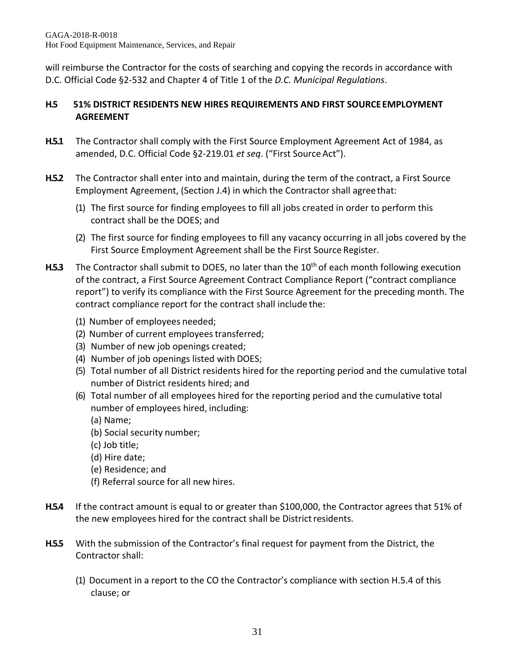will reimburse the Contractor for the costs of searching and copying the records in accordance with D.C. Official Code §2-532 and Chapter 4 of Title 1 of the *D.C. Municipal Regulations*.

# **H.5 51% DISTRICT RESIDENTS NEW HIRES REQUIREMENTS AND FIRST SOURCEEMPLOYMENT AGREEMENT**

- **H.5.1** The Contractor shall comply with the First Source Employment Agreement Act of 1984, as amended, D.C. Official Code §2-219.01 *et seq*. ("First Source Act").
- **H.5.2** The Contractor shall enter into and maintain, during the term of the contract, a First Source Employment Agreement, (Section J.4) in which the Contractor shall agreethat:
	- (1) The first source for finding employees to fill all jobs created in order to perform this contract shall be the DOES; and
	- (2) The first source for finding employees to fill any vacancy occurring in all jobs covered by the First Source Employment Agreement shall be the First Source Register.
- **H.5.3** The Contractor shall submit to DOES, no later than the 10<sup>th</sup> of each month following execution of the contract, a First Source Agreement Contract Compliance Report ("contract compliance report") to verify its compliance with the First Source Agreement for the preceding month. The contract compliance report for the contract shall include the:
	- (1) Number of employees needed;
	- (2) Number of current employees transferred;
	- (3) Number of new job openings created;
	- (4) Number of job openings listed with DOES;
	- (5) Total number of all District residents hired for the reporting period and the cumulative total number of District residents hired; and
	- (6) Total number of all employees hired for the reporting period and the cumulative total number of employees hired, including:
		- (a) Name;
		- (b) Social security number;
		- (c) Job title;
		- (d) Hire date;
		- (e) Residence; and
		- (f) Referral source for all new hires.
- **H.5.4** If the contract amount is equal to or greater than \$100,000, the Contractor agrees that 51% of the new employees hired for the contract shall be District residents.
- **H.5.5** With the submission of the Contractor's final request for payment from the District, the Contractor shall:
	- (1) Document in a report to the CO the Contractor's compliance with section H.5.4 of this clause; or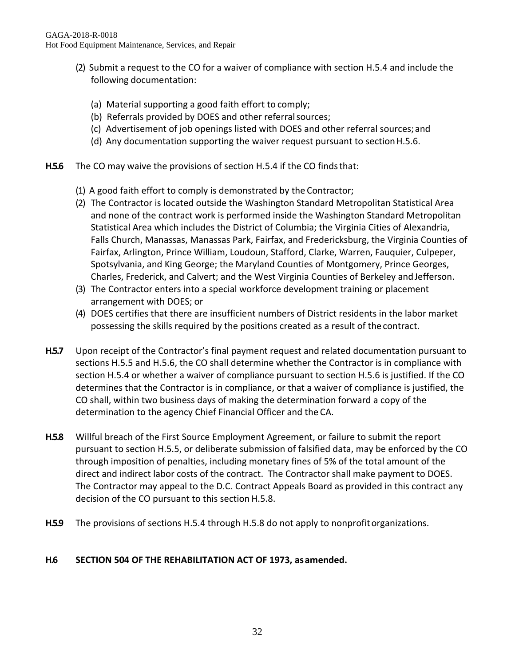- (2) Submit a request to the CO for a waiver of compliance with section H.5.4 and include the following documentation:
	- (a) Material supporting a good faith effort to comply;
	- (b) Referrals provided by DOES and other referral sources;
	- (c) Advertisement of job openings listed with DOES and other referral sources;and
	- (d) Any documentation supporting the waiver request pursuant to section H.5.6.
- H.5.6 The CO may waive the provisions of section H.5.4 if the CO finds that:
	- (1) A good faith effort to comply is demonstrated by the Contractor;
	- (2) The Contractor is located outside the Washington Standard Metropolitan Statistical Area and none of the contract work is performed inside the Washington Standard Metropolitan Statistical Area which includes the District of Columbia; the Virginia Cities of Alexandria, Falls Church, Manassas, Manassas Park, Fairfax, and Fredericksburg, the Virginia Counties of Fairfax, Arlington, Prince William, Loudoun, Stafford, Clarke, Warren, Fauquier, Culpeper, Spotsylvania, and King George; the Maryland Counties of Montgomery, Prince Georges, Charles, Frederick, and Calvert; and the West Virginia Counties of Berkeley andJefferson.
	- (3) The Contractor enters into a special workforce development training or placement arrangement with DOES; or
	- (4) DOES certifies that there are insufficient numbers of District residents in the labor market possessing the skills required by the positions created as a result of the contract.
- **H.5.7** Upon receipt of the Contractor's final payment request and related documentation pursuant to sections H.5.5 and H.5.6, the CO shall determine whether the Contractor is in compliance with section H.5.4 or whether a waiver of compliance pursuant to section H.5.6 is justified. If the CO determines that the Contractor is in compliance, or that a waiver of compliance is justified, the CO shall, within two business days of making the determination forward a copy of the determination to the agency Chief Financial Officer and the CA.
- **H.5.8** Willful breach of the First Source Employment Agreement, or failure to submit the report pursuant to section H.5.5, or deliberate submission of falsified data, may be enforced by the CO through imposition of penalties, including monetary fines of 5% of the total amount of the direct and indirect labor costs of the contract. The Contractor shall make payment to DOES. The Contractor may appeal to the D.C. Contract Appeals Board as provided in this contract any decision of the CO pursuant to this section H.5.8.
- **H.5.9** The provisions of sections H.5.4 through H.5.8 do not apply to nonprofitorganizations.

## **H.6 SECTION 504 OF THE REHABILITATION ACT OF 1973, asamended.**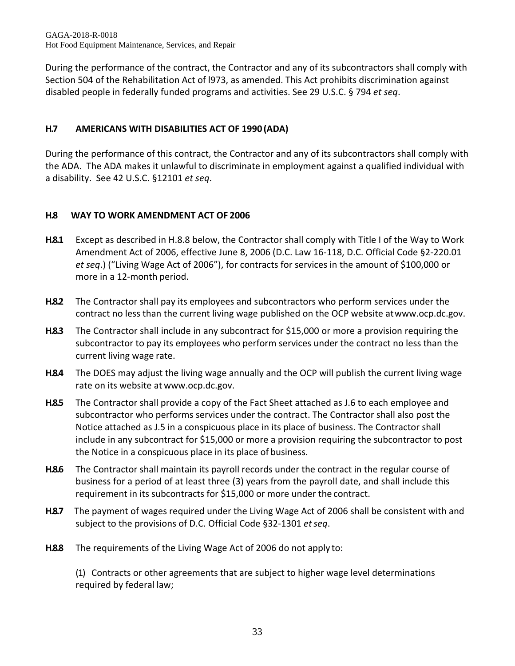GAGA-2018-R-0018 Hot Food Equipment Maintenance, Services, and Repair

During the performance of the contract, the Contractor and any of its subcontractors shall comply with Section 504 of the Rehabilitation Act of l973, as amended. This Act prohibits discrimination against disabled people in federally funded programs and activities. See 29 U.S.C. § 794 *et seq*.

# **H.7 AMERICANS WITH DISABILITIES ACT OF 1990 (ADA)**

During the performance of this contract, the Contractor and any of its subcontractors shall comply with the ADA. The ADA makes it unlawful to discriminate in employment against a qualified individual with a disability. See 42 U.S.C. §12101 *et seq*.

# **H.8 WAY TO WORK AMENDMENT ACT OF 2006**

- **H.8.1** Except as described in H.8.8 below, the Contractor shall comply with Title I of the Way to Work Amendment Act of 2006, effective June 8, 2006 (D.C. Law 16-118, D.C. Official Code §2-220.01 *et seq*.) ("Living Wage Act of 2006"), for contracts for services in the amount of \$100,000 or more in a 12-month period.
- **H.8.2** The Contractor shall pay its employees and subcontractors who perform services under the contract no less than the current living wage published on the OCP website a[twww.ocp.dc.gov.](http://www.ocp.dc.gov/)
- **H.8.3** The Contractor shall include in any subcontract for \$15,000 or more a provision requiring the subcontractor to pay its employees who perform services under the contract no less than the current living wage rate.
- **H.8.4** The DOES may adjust the living wage annually and the OCP will publish the current living wage rate on its website at [www.ocp.dc.gov.](http://www.ocp.dc.gov/)
- **H.8.5** The Contractor shall provide a copy of the Fact Sheet attached as J.6 to each employee and subcontractor who performs services under the contract. The Contractor shall also post the Notice attached as J.5 in a conspicuous place in its place of business. The Contractor shall include in any subcontract for \$15,000 or more a provision requiring the subcontractor to post the Notice in a conspicuous place in its place of business.
- **H.8.6** The Contractor shall maintain its payroll records under the contract in the regular course of business for a period of at least three (3) years from the payroll date, and shall include this requirement in its subcontracts for \$15,000 or more under the contract.
- **H.8.7** The payment of wages required under the Living Wage Act of 2006 shall be consistent with and subject to the provisions of D.C. Official Code §32-1301 *etseq*.
- **H.8.8** The requirements of the Living Wage Act of 2006 do not apply to:

(1) Contracts or other agreements that are subject to higher wage level determinations required by federal law;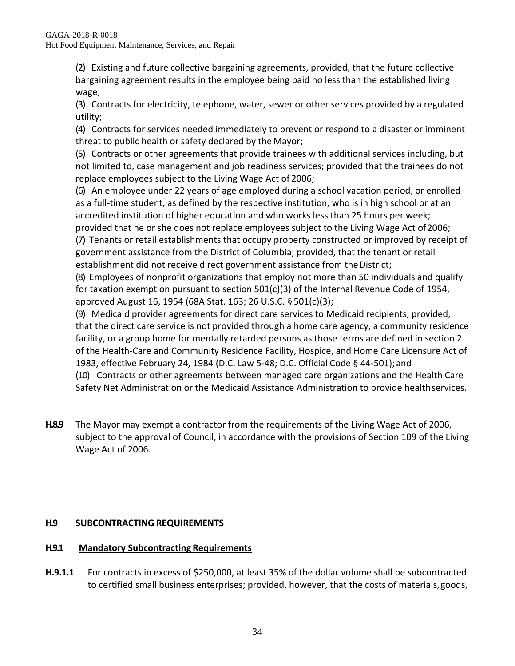(2) Existing and future collective bargaining agreements, provided, that the future collective bargaining agreement results in the employee being paid no less than the established living wage;

(3) Contracts for electricity, telephone, water, sewer or other services provided by a regulated utility;

(4) Contracts for services needed immediately to prevent or respond to a disaster or imminent threat to public health or safety declared by the Mayor;

(5) Contracts or other agreements that provide trainees with additional services including, but not limited to, case management and job readiness services; provided that the trainees do not replace employees subject to the Living Wage Act of 2006;

(6) An employee under 22 years of age employed during a school vacation period, or enrolled as a full-time student, as defined by the respective institution, who is in high school or at an accredited institution of higher education and who works less than 25 hours per week; provided that he or she does not replace employees subject to the Living Wage Act of2006;

(7) Tenants or retail establishments that occupy property constructed or improved by receipt of government assistance from the District of Columbia; provided, that the tenant or retail establishment did not receive direct government assistance from the District;

(8) Employees of nonprofit organizations that employ not more than 50 individuals and qualify for taxation exemption pursuant to section 501(c)(3) of the Internal Revenue Code of 1954, approved August 16, 1954 (68A Stat. 163; 26 U.S.C. § 501(c)(3);

(9) Medicaid provider agreements for direct care services to Medicaid recipients, provided, that the direct care service is not provided through a home care agency, a community residence facility, or a group home for mentally retarded persons as those terms are defined in section 2 of the Health-Care and Community Residence Facility, Hospice, and Home Care Licensure Act of 1983, effective February 24, 1984 (D.C. Law 5-48; D.C. Official Code § 44-501);and (10) Contracts or other agreements between managed care organizations and the Health Care Safety Net Administration or the Medicaid Assistance Administration to provide healthservices.

**H.8.9** The Mayor may exempt a contractor from the requirements of the Living Wage Act of 2006, subject to the approval of Council, in accordance with the provisions of Section 109 of the Living Wage Act of 2006.

# **H.9 SUBCONTRACTING REQUIREMENTS**

# **H.9.1 Mandatory Subcontracting Requirements**

**H.9.1.1** For contracts in excess of \$250,000, at least 35% of the dollar volume shall be subcontracted to certified small business enterprises; provided, however, that the costs of materials,goods,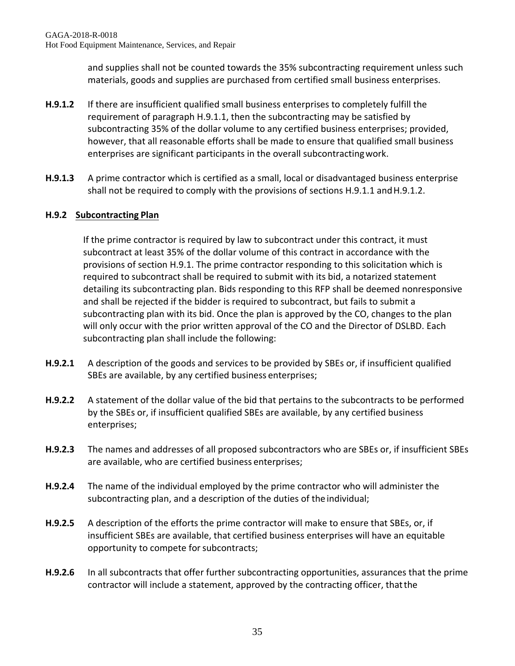and supplies shall not be counted towards the 35% subcontracting requirement unless such materials, goods and supplies are purchased from certified small business enterprises.

- **H.9.1.2** If there are insufficient qualified small business enterprises to completely fulfill the requirement of paragraph H.9.1.1, then the subcontracting may be satisfied by subcontracting 35% of the dollar volume to any certified business enterprises; provided, however, that all reasonable efforts shall be made to ensure that qualified small business enterprises are significant participants in the overall subcontractingwork.
- **H.9.1.3** A prime contractor which is certified as a small, local or disadvantaged business enterprise shall not be required to comply with the provisions of sections H.9.1.1 and H.9.1.2.

## **H.9.2 Subcontracting Plan**

If the prime contractor is required by law to subcontract under this contract, it must subcontract at least 35% of the dollar volume of this contract in accordance with the provisions of section H.9.1. The prime contractor responding to this solicitation which is required to subcontract shall be required to submit with its bid, a notarized statement detailing its subcontracting plan. Bids responding to this RFP shall be deemed nonresponsive and shall be rejected if the bidder is required to subcontract, but fails to submit a subcontracting plan with its bid. Once the plan is approved by the CO, changes to the plan will only occur with the prior written approval of the CO and the Director of DSLBD. Each subcontracting plan shall include the following:

- **H.9.2.1** A description of the goods and services to be provided by SBEs or, if insufficient qualified SBEs are available, by any certified business enterprises;
- **H.9.2.2** A statement of the dollar value of the bid that pertains to the subcontracts to be performed by the SBEs or, if insufficient qualified SBEs are available, by any certified business enterprises;
- **H.9.2.3** The names and addresses of all proposed subcontractors who are SBEs or, if insufficient SBEs are available, who are certified business enterprises;
- **H.9.2.4** The name of the individual employed by the prime contractor who will administer the subcontracting plan, and a description of the duties of the individual;
- **H.9.2.5** A description of the efforts the prime contractor will make to ensure that SBEs, or, if insufficient SBEs are available, that certified business enterprises will have an equitable opportunity to compete for subcontracts;
- **H.9.2.6** In all subcontracts that offer further subcontracting opportunities, assurances that the prime contractor will include a statement, approved by the contracting officer, thatthe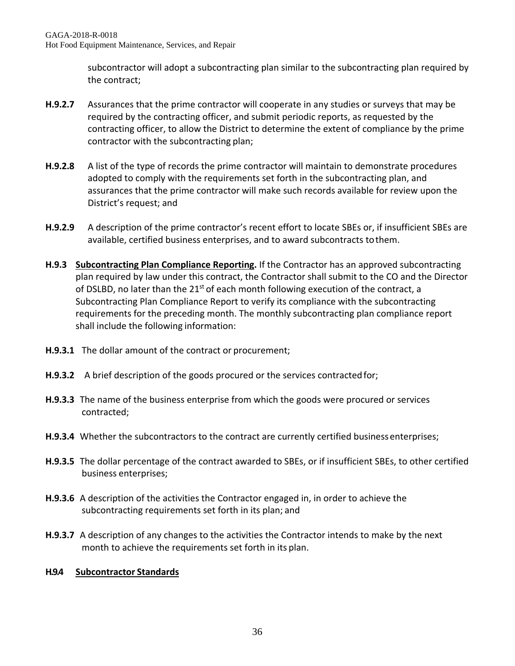subcontractor will adopt a subcontracting plan similar to the subcontracting plan required by the contract;

- **H.9.2.7** Assurances that the prime contractor will cooperate in any studies or surveys that may be required by the contracting officer, and submit periodic reports, as requested by the contracting officer, to allow the District to determine the extent of compliance by the prime contractor with the subcontracting plan;
- **H.9.2.8** A list of the type of records the prime contractor will maintain to demonstrate procedures adopted to comply with the requirements set forth in the subcontracting plan, and assurances that the prime contractor will make such records available for review upon the District's request; and
- **H.9.2.9** A description of the prime contractor's recent effort to locate SBEs or, if insufficient SBEs are available, certified business enterprises, and to award subcontracts tothem.
- **H.9.3 Subcontracting Plan Compliance Reporting.** If the Contractor has an approved subcontracting plan required by law under this contract, the Contractor shall submit to the CO and the Director of DSLBD, no later than the 21<sup>st</sup> of each month following execution of the contract, a Subcontracting Plan Compliance Report to verify its compliance with the subcontracting requirements for the preceding month. The monthly subcontracting plan compliance report shall include the following information:
- **H.9.3.1** The dollar amount of the contract or procurement;
- **H.9.3.2** A brief description of the goods procured or the services contractedfor;
- **H.9.3.3** The name of the business enterprise from which the goods were procured or services contracted;
- **H.9.3.4** Whether the subcontractors to the contract are currently certified business enterprises;
- **H.9.3.5** The dollar percentage of the contract awarded to SBEs, or if insufficient SBEs, to other certified business enterprises;
- **H.9.3.6** A description of the activities the Contractor engaged in, in order to achieve the subcontracting requirements set forth in its plan; and
- **H.9.3.7** A description of any changes to the activities the Contractor intends to make by the next month to achieve the requirements set forth in its plan.

## **H.9.4 Subcontractor Standards**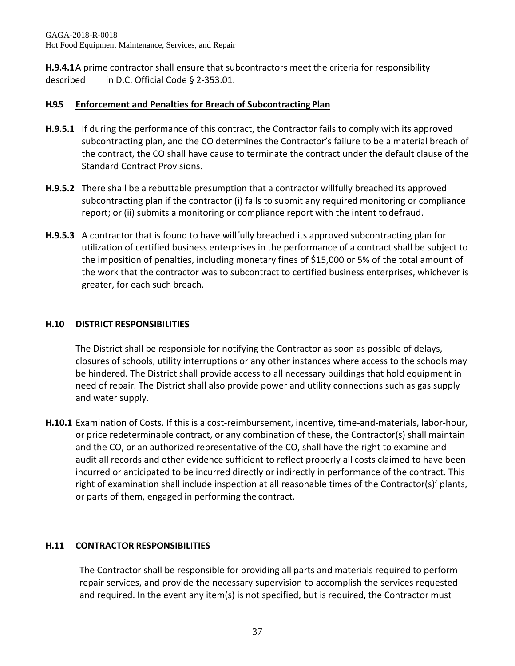GAGA-2018-R-0018 Hot Food Equipment Maintenance, Services, and Repair

**H.9.4.1**A prime contractor shall ensure that subcontractors meet the criteria for responsibility described in D.C. Official Code § 2-353.01.

#### **H.9.5 Enforcement and Penalties for Breach of Subcontracting Plan**

- **H.9.5.1** If during the performance of this contract, the Contractor fails to comply with its approved subcontracting plan, and the CO determines the Contractor's failure to be a material breach of the contract, the CO shall have cause to terminate the contract under the default clause of the Standard Contract Provisions.
- **H.9.5.2** There shall be a rebuttable presumption that a contractor willfully breached its approved subcontracting plan if the contractor (i) fails to submit any required monitoring or compliance report; or (ii) submits a monitoring or compliance report with the intent todefraud.
- **H.9.5.3** A contractor that is found to have willfully breached its approved subcontracting plan for utilization of certified business enterprises in the performance of a contract shall be subject to the imposition of penalties, including monetary fines of \$15,000 or 5% of the total amount of the work that the contractor was to subcontract to certified business enterprises, whichever is greater, for each such breach.

#### **H.10 DISTRICT RESPONSIBILITIES**

The District shall be responsible for notifying the Contractor as soon as possible of delays, closures of schools, utility interruptions or any other instances where access to the schools may be hindered. The District shall provide access to all necessary buildings that hold equipment in need of repair. The District shall also provide power and utility connections such as gas supply and water supply.

**H.10.1** Examination of Costs. If this is a cost-reimbursement, incentive, time-and-materials, labor-hour, or price redeterminable contract, or any combination of these, the Contractor(s) shall maintain and the CO, or an authorized representative of the CO, shall have the right to examine and audit all records and other evidence sufficient to reflect properly all costs claimed to have been incurred or anticipated to be incurred directly or indirectly in performance of the contract. This right of examination shall include inspection at all reasonable times of the Contractor(s)' plants, or parts of them, engaged in performing the contract.

## **H.11 CONTRACTOR RESPONSIBILITIES**

The Contractor shall be responsible for providing all parts and materials required to perform repair services, and provide the necessary supervision to accomplish the services requested and required. In the event any item(s) is not specified, but is required, the Contractor must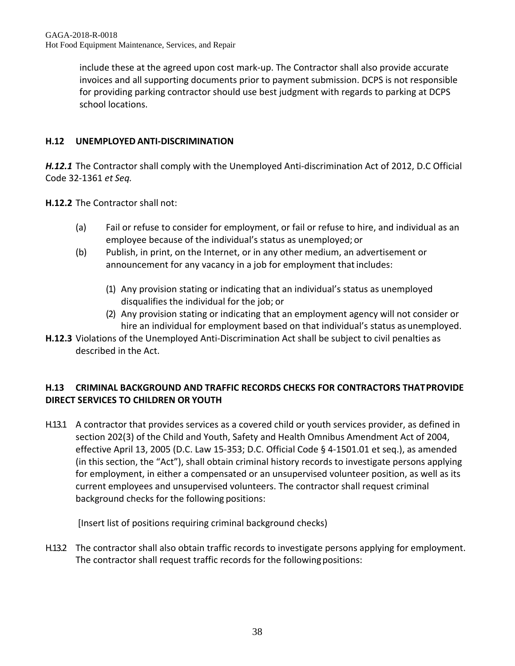include these at the agreed upon cost mark-up. The Contractor shall also provide accurate invoices and all supporting documents prior to payment submission. DCPS is not responsible for providing parking contractor should use best judgment with regards to parking at DCPS school locations.

# **H.12 UNEMPLOYED ANTI-DISCRIMINATION**

*H.12.1* The Contractor shall comply with the Unemployed Anti-discrimination Act of 2012, D.C Official Code 32-1361 *et Seq.*

**H.12.2** The Contractor shall not:

- (a) Fail or refuse to consider for employment, or fail or refuse to hire, and individual as an employee because of the individual's status as unemployed; or
- (b) Publish, in print, on the Internet, or in any other medium, an advertisement or announcement for any vacancy in a job for employment that includes:
	- (1) Any provision stating or indicating that an individual's status as unemployed disqualifies the individual for the job; or
	- (2) Any provision stating or indicating that an employment agency will not consider or hire an individual for employment based on that individual's status as unemployed.
- **H.12.3** Violations of the Unemployed Anti-Discrimination Act shall be subject to civil penalties as described in the Act.

# **H.13 CRIMINAL BACKGROUND AND TRAFFIC RECORDS CHECKS FOR CONTRACTORS THATPROVIDE DIRECT SERVICES TO CHILDREN OR YOUTH**

H.13.1 A contractor that provides services as a covered child or youth services provider, as defined in section 202(3) of the Child and Youth, Safety and Health Omnibus Amendment Act of 2004, effective April 13, 2005 (D.C. Law 15-353; D.C. Official Code § 4-1501.01 et seq.), as amended (in this section, the "Act"), shall obtain criminal history records to investigate persons applying for employment, in either a compensated or an unsupervised volunteer position, as well as its current employees and unsupervised volunteers. The contractor shall request criminal background checks for the following positions:

[Insert list of positions requiring criminal background checks)

H.13.2 The contractor shall also obtain traffic records to investigate persons applying for employment. The contractor shall request traffic records for the following positions: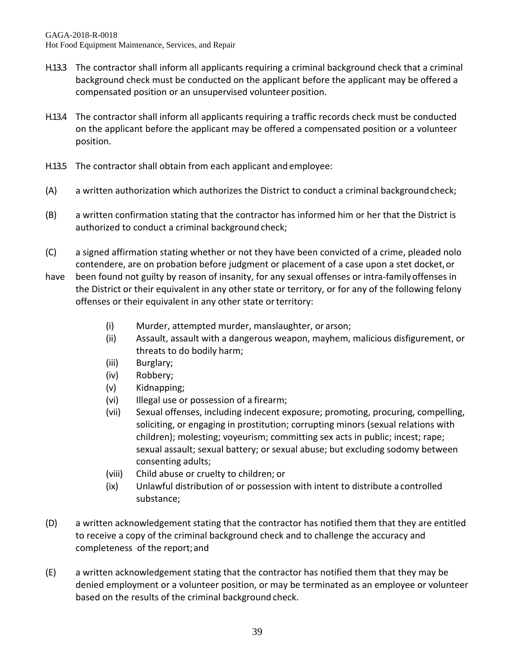- H.13.3 The contractor shall inform all applicants requiring a criminal background check that a criminal background check must be conducted on the applicant before the applicant may be offered a compensated position or an unsupervised volunteer position.
- H.13.4 The contractor shall inform all applicants requiring a traffic records check must be conducted on the applicant before the applicant may be offered a compensated position or a volunteer position.
- H.13.5 The contractor shall obtain from each applicant and employee:
- (A) a written authorization which authorizes the District to conduct a criminal backgroundcheck;
- (B) a written confirmation stating that the contractor has informed him or her that the District is authorized to conduct a criminal background check;
- (C) a signed affirmation stating whether or not they have been convicted of a crime, pleaded nolo contendere, are on probation before judgment or placement of a case upon a stet docket, or
- have been found not guilty by reason of insanity, for any sexual offenses or intra-family offenses in the District or their equivalent in any other state or territory, or for any of the following felony offenses or their equivalent in any other state or territory:
	- (i) Murder, attempted murder, manslaughter, or arson;
	- (ii) Assault, assault with a dangerous weapon, mayhem, malicious disfigurement, or threats to do bodily harm;
	- (iii) Burglary;
	- (iv) Robbery;
	- (v) Kidnapping;
	- (vi) Illegal use or possession of a firearm;
	- (vii) Sexual offenses, including indecent exposure; promoting, procuring, compelling, soliciting, or engaging in prostitution; corrupting minors (sexual relations with children); molesting; voyeurism; committing sex acts in public; incest; rape; sexual assault; sexual battery; or sexual abuse; but excluding sodomy between consenting adults;
	- (viii) Child abuse or cruelty to children; or
	- (ix) Unlawful distribution of or possession with intent to distribute a controlled substance;
- (D) a written acknowledgement stating that the contractor has notified them that they are entitled to receive a copy of the criminal background check and to challenge the accuracy and completeness of the report;and
- (E) a written acknowledgement stating that the contractor has notified them that they may be denied employment or a volunteer position, or may be terminated as an employee or volunteer based on the results of the criminal background check.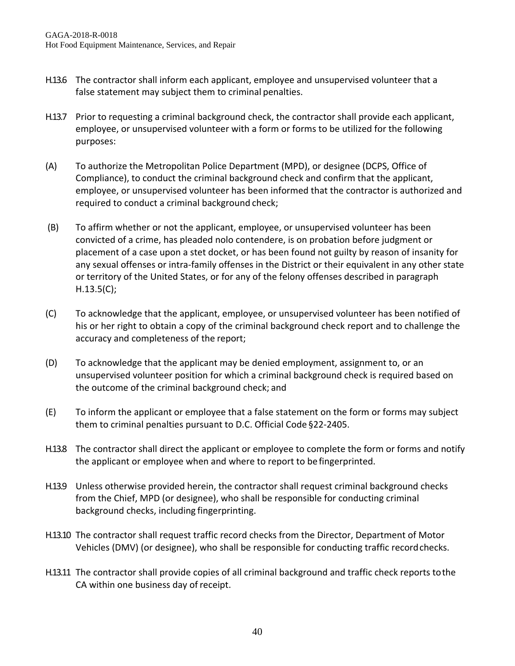- H.13.6 The contractor shall inform each applicant, employee and unsupervised volunteer that a false statement may subject them to criminal penalties.
- H.13.7 Prior to requesting a criminal background check, the contractor shall provide each applicant, employee, or unsupervised volunteer with a form or forms to be utilized for the following purposes:
- (A) To authorize the Metropolitan Police Department (MPD), or designee (DCPS, Office of Compliance), to conduct the criminal background check and confirm that the applicant, employee, or unsupervised volunteer has been informed that the contractor is authorized and required to conduct a criminal background check;
- (B) To affirm whether or not the applicant, employee, or unsupervised volunteer has been convicted of a crime, has pleaded nolo contendere, is on probation before judgment or placement of a case upon a stet docket, or has been found not guilty by reason of insanity for any sexual offenses or intra-family offenses in the District or their equivalent in any other state or territory of the United States, or for any of the felony offenses described in paragraph H.13.5(C);
- (C) To acknowledge that the applicant, employee, or unsupervised volunteer has been notified of his or her right to obtain a copy of the criminal background check report and to challenge the accuracy and completeness of the report;
- (D) To acknowledge that the applicant may be denied employment, assignment to, or an unsupervised volunteer position for which a criminal background check is required based on the outcome of the criminal background check; and
- (E) To inform the applicant or employee that a false statement on the form or forms may subject them to criminal penalties pursuant to D.C. Official Code §22-2405.
- H.13.8 The contractor shall direct the applicant or employee to complete the form or forms and notify the applicant or employee when and where to report to be fingerprinted.
- H.13.9 Unless otherwise provided herein, the contractor shall request criminal background checks from the Chief, MPD (or designee), who shall be responsible for conducting criminal background checks, including fingerprinting.
- H.13.10 The contractor shall request traffic record checks from the Director, Department of Motor Vehicles (DMV) (or designee), who shall be responsible for conducting traffic recordchecks.
- H.13.11 The contractor shall provide copies of all criminal background and traffic check reports tothe CA within one business day of receipt.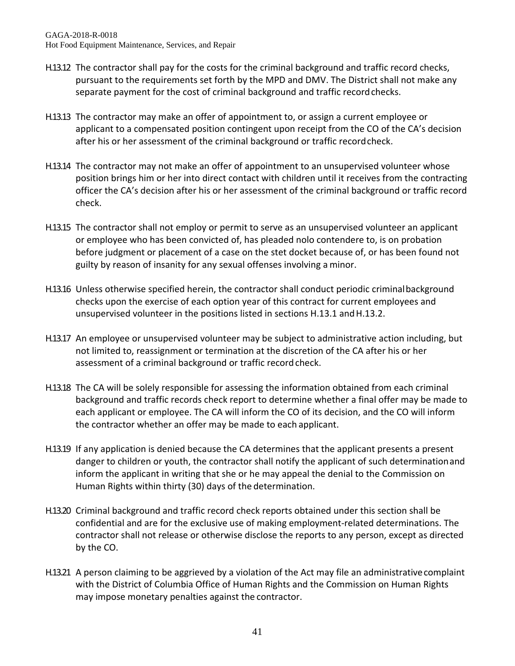- H.13.12 The contractor shall pay for the costs for the criminal background and traffic record checks, pursuant to the requirements set forth by the MPD and DMV. The District shall not make any separate payment for the cost of criminal background and traffic record checks.
- H.13.13 The contractor may make an offer of appointment to, or assign a current employee or applicant to a compensated position contingent upon receipt from the CO of the CA's decision after his or her assessment of the criminal background or traffic recordcheck.
- H.13.14 The contractor may not make an offer of appointment to an unsupervised volunteer whose position brings him or her into direct contact with children until it receives from the contracting officer the CA's decision after his or her assessment of the criminal background or traffic record check.
- H.13.15 The contractor shall not employ or permit to serve as an unsupervised volunteer an applicant or employee who has been convicted of, has pleaded nolo contendere to, is on probation before judgment or placement of a case on the stet docket because of, or has been found not guilty by reason of insanity for any sexual offenses involving a minor.
- H.13.16 Unless otherwise specified herein, the contractor shall conduct periodic criminalbackground checks upon the exercise of each option year of this contract for current employees and unsupervised volunteer in the positions listed in sections H.13.1 andH.13.2.
- H.13.17 An employee or unsupervised volunteer may be subject to administrative action including, but not limited to, reassignment or termination at the discretion of the CA after his or her assessment of a criminal background or traffic record check.
- H.13.18 The CA will be solely responsible for assessing the information obtained from each criminal background and traffic records check report to determine whether a final offer may be made to each applicant or employee. The CA will inform the CO of its decision, and the CO will inform the contractor whether an offer may be made to each applicant.
- H.13.19 If any application is denied because the CA determines that the applicant presents a present danger to children or youth, the contractor shall notify the applicant of such determinationand inform the applicant in writing that she or he may appeal the denial to the Commission on Human Rights within thirty (30) days of the determination.
- H.13.20 Criminal background and traffic record check reports obtained under this section shall be confidential and are for the exclusive use of making employment-related determinations. The contractor shall not release or otherwise disclose the reports to any person, except as directed by the CO.
- H.13.21 A person claiming to be aggrieved by a violation of the Act may file an administrativecomplaint with the District of Columbia Office of Human Rights and the Commission on Human Rights may impose monetary penalties against the contractor.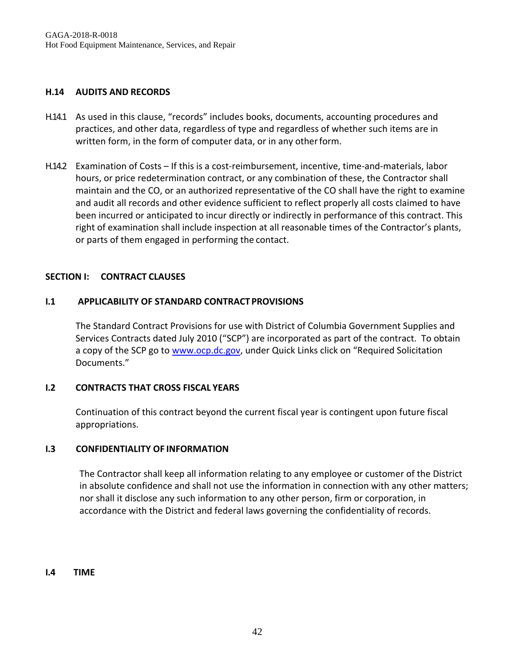#### **H.14 AUDITS AND RECORDS**

- H.14.1 As used in this clause, "records" includes books, documents, accounting procedures and practices, and other data, regardless of type and regardless of whether such items are in written form, in the form of computer data, or in any otherform.
- H.14.2 Examination of Costs If this is a cost-reimbursement, incentive, time-and-materials, labor hours, or price redetermination contract, or any combination of these, the Contractor shall maintain and the CO, or an authorized representative of the CO shall have the right to examine and audit all records and other evidence sufficient to reflect properly all costs claimed to have been incurred or anticipated to incur directly or indirectly in performance of this contract. This right of examination shall include inspection at all reasonable times of the Contractor's plants, or parts of them engaged in performing the contact.

#### **SECTION I: CONTRACT CLAUSES**

#### **I.1** APPLICABILITY OF STANDARD CONTRACT PROVISIONS

The Standard Contract Provisions for use with District of Columbia Government Supplies and Services Contracts dated July 2010 ("SCP") are incorporated as part of the contract. To obtain a copy of the SCP go to [www.ocp.dc.gov,](http://www.ocp.dc.gov/) under Quick Links click on "Required Solicitation Documents."

#### **I.2 CONTRACTS THAT CROSS FISCAL YEARS**

Continuation of this contract beyond the current fiscal year is contingent upon future fiscal appropriations.

#### **I.3 CONFIDENTIALITY OF INFORMATION**

The Contractor shall keep all information relating to any employee or customer of the District in absolute confidence and shall not use the information in connection with any other matters; nor shall it disclose any such information to any other person, firm or corporation, in accordance with the District and federal laws governing the confidentiality of records.

#### **I.4 TIME**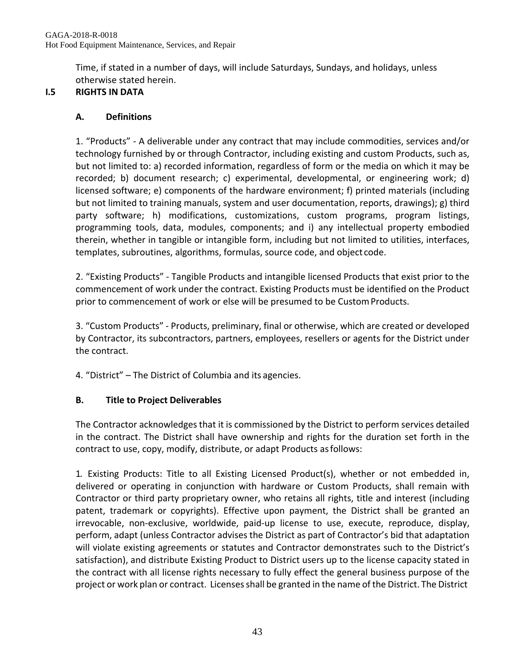Time, if stated in a number of days, will include Saturdays, Sundays, and holidays, unless otherwise stated herein.

# **I.5 RIGHTS IN DATA**

# **A. Definitions**

1. "Products" - A deliverable under any contract that may include commodities, services and/or technology furnished by or through Contractor, including existing and custom Products, such as, but not limited to: a) recorded information, regardless of form or the media on which it may be recorded; b) document research; c) experimental, developmental, or engineering work; d) licensed software; e) components of the hardware environment; f) printed materials (including but not limited to training manuals, system and user documentation, reports, drawings); g) third party software; h) modifications, customizations, custom programs, program listings, programming tools, data, modules, components; and i) any intellectual property embodied therein, whether in tangible or intangible form, including but not limited to utilities, interfaces, templates, subroutines, algorithms, formulas, source code, and object code.

2. "Existing Products" - Tangible Products and intangible licensed Products that exist prior to the commencement of work under the contract. Existing Products must be identified on the Product prior to commencement of work or else will be presumed to be CustomProducts.

3. "Custom Products" - Products, preliminary, final or otherwise, which are created or developed by Contractor, its subcontractors, partners, employees, resellers or agents for the District under the contract.

4. "District" – The District of Columbia and its agencies.

# **B. Title to Project Deliverables**

The Contractor acknowledges that it is commissioned by the District to perform services detailed in the contract. The District shall have ownership and rights for the duration set forth in the contract to use, copy, modify, distribute, or adapt Products asfollows:

1. Existing Products: Title to all Existing Licensed Product(s), whether or not embedded in, delivered or operating in conjunction with hardware or Custom Products, shall remain with Contractor or third party proprietary owner, who retains all rights, title and interest (including patent, trademark or copyrights). Effective upon payment, the District shall be granted an irrevocable, non-exclusive, worldwide, paid-up license to use, execute, reproduce, display, perform, adapt (unless Contractor advises the District as part of Contractor's bid that adaptation will violate existing agreements or statutes and Contractor demonstrates such to the District's satisfaction), and distribute Existing Product to District users up to the license capacity stated in the contract with all license rights necessary to fully effect the general business purpose of the project or work plan or contract. Licenses shall be granted in the name of the District. The District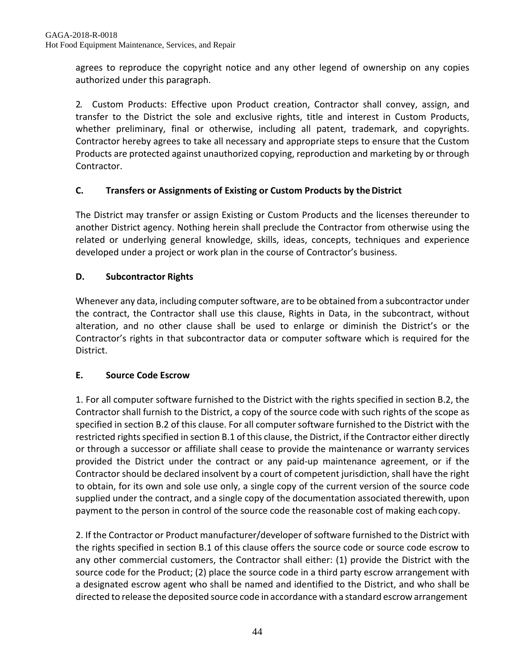agrees to reproduce the copyright notice and any other legend of ownership on any copies authorized under this paragraph.

2. Custom Products: Effective upon Product creation, Contractor shall convey, assign, and transfer to the District the sole and exclusive rights, title and interest in Custom Products, whether preliminary, final or otherwise, including all patent, trademark, and copyrights. Contractor hereby agrees to take all necessary and appropriate steps to ensure that the Custom Products are protected against unauthorized copying, reproduction and marketing by or through Contractor.

# **C. Transfers or Assignments of Existing or Custom Products by the District**

The District may transfer or assign Existing or Custom Products and the licenses thereunder to another District agency. Nothing herein shall preclude the Contractor from otherwise using the related or underlying general knowledge, skills, ideas, concepts, techniques and experience developed under a project or work plan in the course of Contractor's business.

# **D. Subcontractor Rights**

Whenever any data, including computer software, are to be obtained from a subcontractor under the contract, the Contractor shall use this clause, Rights in Data, in the subcontract, without alteration, and no other clause shall be used to enlarge or diminish the District's or the Contractor's rights in that subcontractor data or computer software which is required for the District.

## **E. Source Code Escrow**

1. For all computer software furnished to the District with the rights specified in section B.2, the Contractor shall furnish to the District, a copy of the source code with such rights of the scope as specified in section B.2 of this clause. For all computer software furnished to the District with the restricted rightsspecified in section B.1 of this clause, the District, if the Contractor either directly or through a successor or affiliate shall cease to provide the maintenance or warranty services provided the District under the contract or any paid-up maintenance agreement, or if the Contractor should be declared insolvent by a court of competent jurisdiction, shall have the right to obtain, for its own and sole use only, a single copy of the current version of the source code supplied under the contract, and a single copy of the documentation associated therewith, upon payment to the person in control of the source code the reasonable cost of making eachcopy.

2. If the Contractor or Product manufacturer/developer of software furnished to the District with the rights specified in section B.1 of this clause offers the source code or source code escrow to any other commercial customers, the Contractor shall either: (1) provide the District with the source code for the Product; (2) place the source code in a third party escrow arrangement with a designated escrow agent who shall be named and identified to the District, and who shall be directed to release the deposited source code in accordance with a standard escrow arrangement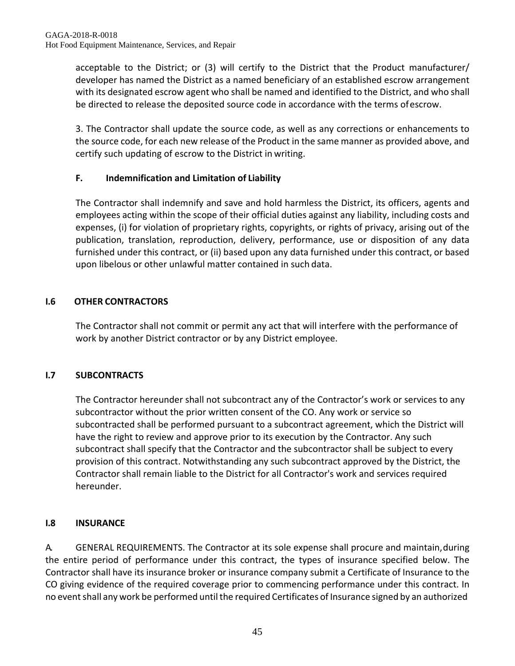acceptable to the District; or (3) will certify to the District that the Product manufacturer/ developer has named the District as a named beneficiary of an established escrow arrangement with its designated escrow agent who shall be named and identified to the District, and who shall be directed to release the deposited source code in accordance with the terms ofescrow.

3. The Contractor shall update the source code, as well as any corrections or enhancements to the source code, for each new release of the Product in the same manner as provided above, and certify such updating of escrow to the District in writing.

# **F. Indemnification and Limitation of Liability**

The Contractor shall indemnify and save and hold harmless the District, its officers, agents and employees acting within the scope of their official duties against any liability, including costs and expenses, (i) for violation of proprietary rights, copyrights, or rights of privacy, arising out of the publication, translation, reproduction, delivery, performance, use or disposition of any data furnished under this contract, or (ii) based upon any data furnished under this contract, or based upon libelous or other unlawful matter contained in such data.

# **I.6 OTHER CONTRACTORS**

The Contractor shall not commit or permit any act that will interfere with the performance of work by another District contractor or by any District employee.

# **I.7 SUBCONTRACTS**

The Contractor hereunder shall not subcontract any of the Contractor's work or services to any subcontractor without the prior written consent of the CO. Any work or service so subcontracted shall be performed pursuant to a subcontract agreement, which the District will have the right to review and approve prior to its execution by the Contractor. Any such subcontract shall specify that the Contractor and the subcontractor shall be subject to every provision of this contract. Notwithstanding any such subcontract approved by the District, the Contractor shall remain liable to the District for all Contractor's work and services required hereunder.

# **I.8 INSURANCE**

A. GENERAL REQUIREMENTS. The Contractor at its sole expense shall procure and maintain,during the entire period of performance under this contract, the types of insurance specified below. The Contractor shall have its insurance broker or insurance company submit a Certificate of Insurance to the CO giving evidence of the required coverage prior to commencing performance under this contract. In no event shall any work be performed until the required Certificates of Insurance signed by an authorized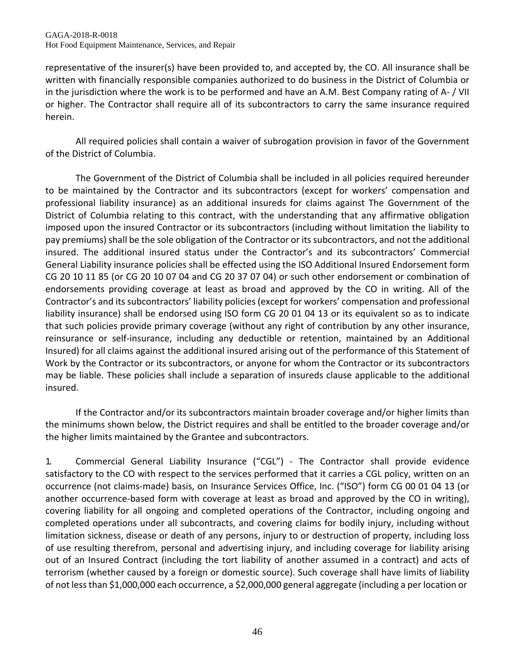representative of the insurer(s) have been provided to, and accepted by, the CO. All insurance shall be written with financially responsible companies authorized to do business in the District of Columbia or in the jurisdiction where the work is to be performed and have an A.M. Best Company rating of A- / VII or higher. The Contractor shall require all of its subcontractors to carry the same insurance required herein.

All required policies shall contain a waiver of subrogation provision in favor of the Government of the District of Columbia.

The Government of the District of Columbia shall be included in all policies required hereunder to be maintained by the Contractor and its subcontractors (except for workers' compensation and professional liability insurance) as an additional insureds for claims against The Government of the District of Columbia relating to this contract, with the understanding that any affirmative obligation imposed upon the insured Contractor or its subcontractors (including without limitation the liability to pay premiums) shall be the sole obligation of the Contractor or its subcontractors, and not the additional insured. The additional insured status under the Contractor's and its subcontractors' Commercial General Liability insurance policies shall be effected using the ISO Additional Insured Endorsement form CG 20 10 11 85 (or CG 20 10 07 04 and CG 20 37 07 04) or such other endorsement or combination of endorsements providing coverage at least as broad and approved by the CO in writing. All of the Contractor's and its subcontractors' liability policies (except for workers' compensation and professional liability insurance) shall be endorsed using ISO form CG 20 01 04 13 or its equivalent so as to indicate that such policies provide primary coverage (without any right of contribution by any other insurance, reinsurance or self-insurance, including any deductible or retention, maintained by an Additional Insured) for all claims against the additional insured arising out of the performance of this Statement of Work by the Contractor or its subcontractors, or anyone for whom the Contractor or its subcontractors may be liable. These policies shall include a separation of insureds clause applicable to the additional insured.

If the Contractor and/or its subcontractors maintain broader coverage and/or higher limits than the minimums shown below, the District requires and shall be entitled to the broader coverage and/or the higher limits maintained by the Grantee and subcontractors.

1. Commercial General Liability Insurance ("CGL") - The Contractor shall provide evidence satisfactory to the CO with respect to the services performed that it carries a CGL policy, written on an occurrence (not claims-made) basis, on Insurance Services Office, Inc. ("ISO") form CG 00 01 04 13 (or another occurrence-based form with coverage at least as broad and approved by the CO in writing), covering liability for all ongoing and completed operations of the Contractor, including ongoing and completed operations under all subcontracts, and covering claims for bodily injury, including without limitation sickness, disease or death of any persons, injury to or destruction of property, including loss of use resulting therefrom, personal and advertising injury, and including coverage for liability arising out of an Insured Contract (including the tort liability of another assumed in a contract) and acts of terrorism (whether caused by a foreign or domestic source). Such coverage shall have limits of liability of not lessthan \$1,000,000 each occurrence, a \$2,000,000 general aggregate (including a per location or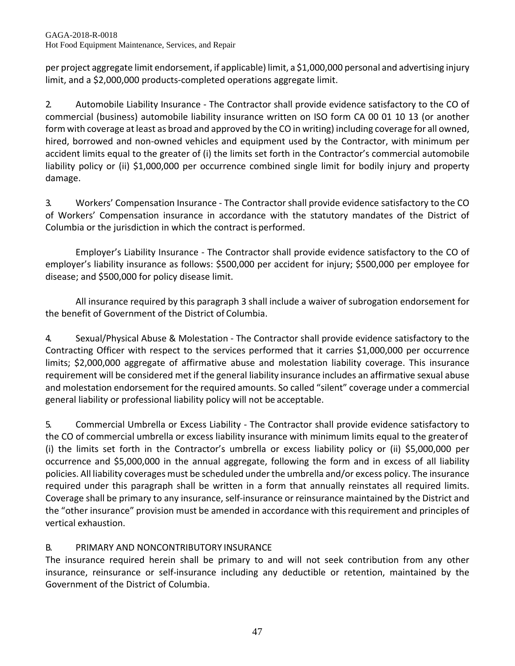per project aggregate limit endorsement, if applicable) limit, a \$1,000,000 personal and advertising injury limit, and a \$2,000,000 products-completed operations aggregate limit.

2. Automobile Liability Insurance - The Contractor shall provide evidence satisfactory to the CO of commercial (business) automobile liability insurance written on ISO form CA 00 01 10 13 (or another form with coverage at least as broad and approved by the CO in writing) including coverage for all owned, hired, borrowed and non-owned vehicles and equipment used by the Contractor, with minimum per accident limits equal to the greater of (i) the limits set forth in the Contractor's commercial automobile liability policy or (ii) \$1,000,000 per occurrence combined single limit for bodily injury and property damage.

3. Workers' Compensation Insurance - The Contractor shall provide evidence satisfactory to the CO of Workers' Compensation insurance in accordance with the statutory mandates of the District of Columbia or the jurisdiction in which the contract is performed.

Employer's Liability Insurance - The Contractor shall provide evidence satisfactory to the CO of employer's liability insurance as follows: \$500,000 per accident for injury; \$500,000 per employee for disease; and \$500,000 for policy disease limit.

All insurance required by this paragraph 3 shall include a waiver of subrogation endorsement for the benefit of Government of the District of Columbia.

4. Sexual/Physical Abuse & Molestation - The Contractor shall provide evidence satisfactory to the Contracting Officer with respect to the services performed that it carries \$1,000,000 per occurrence limits; \$2,000,000 aggregate of affirmative abuse and molestation liability coverage. This insurance requirement will be considered met if the general liability insurance includes an affirmative sexual abuse and molestation endorsement for the required amounts. So called "silent" coverage under a commercial general liability or professional liability policy will not be acceptable.

5. Commercial Umbrella or Excess Liability - The Contractor shall provide evidence satisfactory to the CO of commercial umbrella or excess liability insurance with minimum limits equal to the greaterof (i) the limits set forth in the Contractor's umbrella or excess liability policy or (ii) \$5,000,000 per occurrence and \$5,000,000 in the annual aggregate, following the form and in excess of all liability policies. All liability coverages must be scheduled under the umbrella and/or excess policy. The insurance required under this paragraph shall be written in a form that annually reinstates all required limits. Coverage shall be primary to any insurance, self-insurance or reinsurance maintained by the District and the "other insurance" provision must be amended in accordance with thisrequirement and principles of vertical exhaustion.

# B. PRIMARY AND NONCONTRIBUTORY INSURANCE

The insurance required herein shall be primary to and will not seek contribution from any other insurance, reinsurance or self-insurance including any deductible or retention, maintained by the Government of the District of Columbia.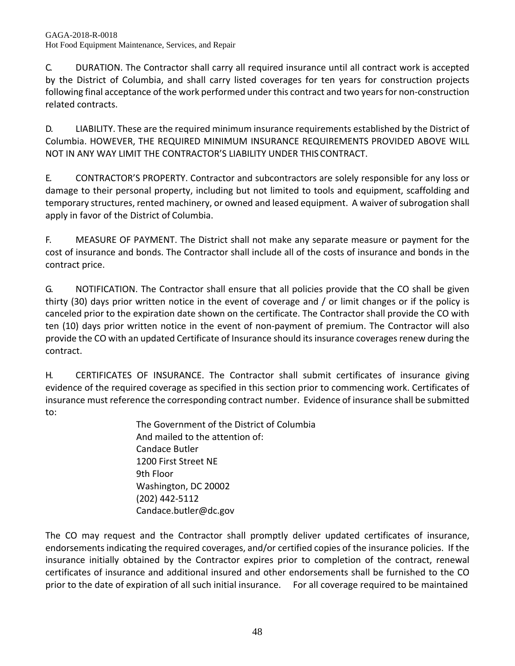C. DURATION. The Contractor shall carry all required insurance until all contract work is accepted by the District of Columbia, and shall carry listed coverages for ten years for construction projects following final acceptance of the work performed under this contract and two years for non-construction related contracts.

D. LIABILITY. These are the required minimum insurance requirements established by the District of Columbia. HOWEVER, THE REQUIRED MINIMUM INSURANCE REQUIREMENTS PROVIDED ABOVE WILL NOT IN ANY WAY LIMIT THE CONTRACTOR'S LIABILITY UNDER THISCONTRACT.

E. CONTRACTOR'S PROPERTY. Contractor and subcontractors are solely responsible for any loss or damage to their personal property, including but not limited to tools and equipment, scaffolding and temporary structures, rented machinery, or owned and leased equipment. A waiver of subrogation shall apply in favor of the District of Columbia.

F. MEASURE OF PAYMENT. The District shall not make any separate measure or payment for the cost of insurance and bonds. The Contractor shall include all of the costs of insurance and bonds in the contract price.

G. NOTIFICATION. The Contractor shall ensure that all policies provide that the CO shall be given thirty (30) days prior written notice in the event of coverage and / or limit changes or if the policy is canceled prior to the expiration date shown on the certificate. The Contractor shall provide the CO with ten (10) days prior written notice in the event of non-payment of premium. The Contractor will also provide the CO with an updated Certificate of Insurance should its insurance coverages renew during the contract.

H. CERTIFICATES OF INSURANCE. The Contractor shall submit certificates of insurance giving evidence of the required coverage as specified in this section prior to commencing work. Certificates of insurance must reference the corresponding contract number. Evidence of insurance shall be submitted to:

The Government of the District of Columbia And mailed to the attention of: Candace Butler 1200 First Street NE 9th Floor Washington, DC 20002 (202) 442-5112 [Candace.butler@dc.gov](mailto:Candace.butler@dc.gov)

The CO may request and the Contractor shall promptly deliver updated certificates of insurance, endorsementsindicating the required coverages, and/or certified copies of the insurance policies. If the insurance initially obtained by the Contractor expires prior to completion of the contract, renewal certificates of insurance and additional insured and other endorsements shall be furnished to the CO prior to the date of expiration of all such initial insurance. For all coverage required to be maintained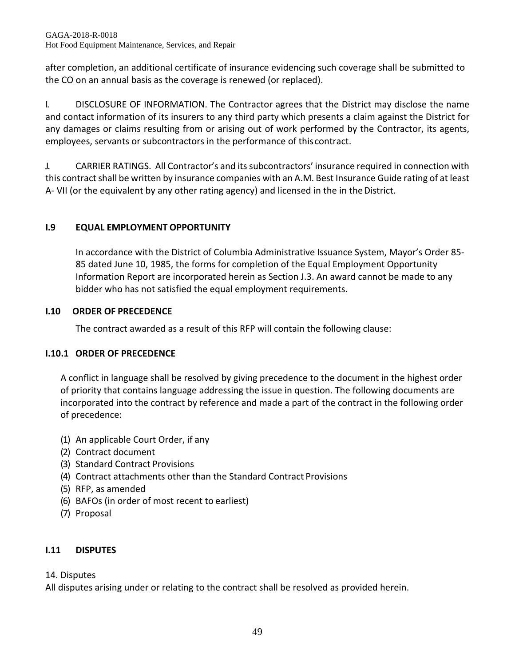after completion, an additional certificate of insurance evidencing such coverage shall be submitted to the CO on an annual basis as the coverage is renewed (or replaced).

I. DISCLOSURE OF INFORMATION. The Contractor agrees that the District may disclose the name and contact information of its insurers to any third party which presents a claim against the District for any damages or claims resulting from or arising out of work performed by the Contractor, its agents, employees, servants or subcontractors in the performance of thiscontract.

J. CARRIER RATINGS. All Contractor's and its subcontractors' insurance required in connection with this contract shall be written by insurance companies with an A.M. Best Insurance Guide rating of at least A- VII (or the equivalent by any other rating agency) and licensed in the in the District.

# **I.9 EQUAL EMPLOYMENT OPPORTUNITY**

In accordance with the District of Columbia Administrative Issuance System, Mayor's Order 85- 85 dated June 10, 1985, the forms for completion of the Equal Employment Opportunity Information Report are incorporated herein as Section J.3. An award cannot be made to any bidder who has not satisfied the equal employment requirements.

## **I.10 ORDER OF PRECEDENCE**

The contract awarded as a result of this RFP will contain the following clause:

# **I.10.1 ORDER OF PRECEDENCE**

A conflict in language shall be resolved by giving precedence to the document in the highest order of priority that contains language addressing the issue in question. The following documents are incorporated into the contract by reference and made a part of the contract in the following order of precedence:

- (1) An applicable Court Order, if any
- (2) Contract document
- (3) Standard Contract Provisions
- (4) Contract attachments other than the Standard Contract Provisions
- (5) RFP, as amended
- (6) BAFOs (in order of most recent to earliest)
- (7) Proposal

# **I.11 DISPUTES**

## 14. Disputes

All disputes arising under or relating to the contract shall be resolved as provided herein.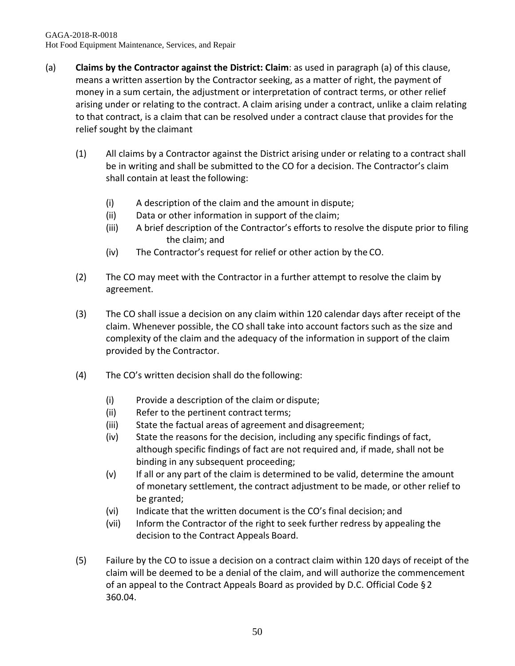- (a) **Claims by the Contractor against the District: Claim**: as used in paragraph (a) of this clause, means a written assertion by the Contractor seeking, as a matter of right, the payment of money in a sum certain, the adjustment or interpretation of contract terms, or other relief arising under or relating to the contract. A claim arising under a contract, unlike a claim relating to that contract, is a claim that can be resolved under a contract clause that provides for the relief sought by the claimant
	- (1) All claims by a Contractor against the District arising under or relating to a contract shall be in writing and shall be submitted to the CO for a decision. The Contractor's claim shall contain at least the following:
		- (i) A description of the claim and the amount in dispute;
		- (ii) Data or other information in support of the claim;
		- (iii) A brief description of the Contractor's efforts to resolve the dispute prior to filing the claim; and
		- (iv) The Contractor's request for relief or other action by the CO.
	- (2) The CO may meet with the Contractor in a further attempt to resolve the claim by agreement.
	- (3) The CO shall issue a decision on any claim within 120 calendar days after receipt of the claim. Whenever possible, the CO shall take into account factors such as the size and complexity of the claim and the adequacy of the information in support of the claim provided by the Contractor.
	- (4) The CO's written decision shall do the following:
		- (i) Provide a description of the claim or dispute;
		- (ii) Refer to the pertinent contract terms;
		- (iii) State the factual areas of agreement and disagreement;
		- (iv) State the reasons for the decision, including any specific findings of fact, although specific findings of fact are not required and, if made, shall not be binding in any subsequent proceeding;
		- (v) If all or any part of the claim is determined to be valid, determine the amount of monetary settlement, the contract adjustment to be made, or other relief to be granted;
		- (vi) Indicate that the written document is the CO's final decision; and
		- (vii) Inform the Contractor of the right to seek further redress by appealing the decision to the Contract Appeals Board.
	- (5) Failure by the CO to issue a decision on a contract claim within 120 days of receipt of the claim will be deemed to be a denial of the claim, and will authorize the commencement of an appeal to the Contract Appeals Board as provided by D.C. Official Code §2 360.04.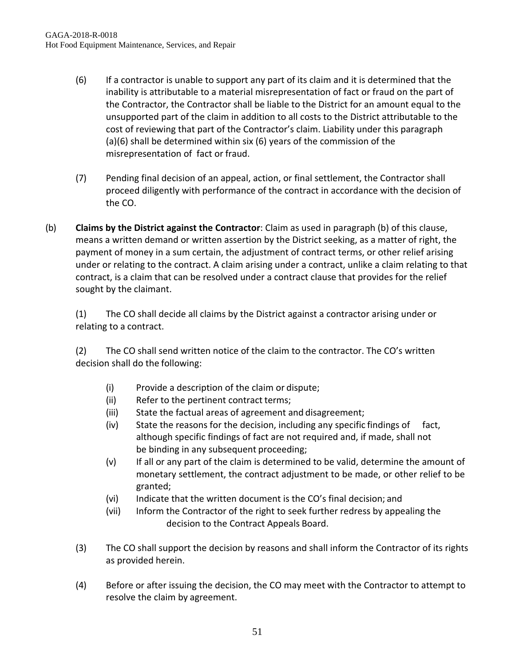- (6) If a contractor is unable to support any part of its claim and it is determined that the inability is attributable to a material misrepresentation of fact or fraud on the part of the Contractor, the Contractor shall be liable to the District for an amount equal to the unsupported part of the claim in addition to all costs to the District attributable to the cost of reviewing that part of the Contractor's claim. Liability under this paragraph (a)(6) shall be determined within six (6) years of the commission of the misrepresentation of fact or fraud.
- (7) Pending final decision of an appeal, action, or final settlement, the Contractor shall proceed diligently with performance of the contract in accordance with the decision of the CO.
- (b) **Claims by the District against the Contractor**: Claim as used in paragraph (b) of this clause, means a written demand or written assertion by the District seeking, as a matter of right, the payment of money in a sum certain, the adjustment of contract terms, or other relief arising under or relating to the contract. A claim arising under a contract, unlike a claim relating to that contract, is a claim that can be resolved under a contract clause that provides for the relief sought by the claimant.

(1) The CO shall decide all claims by the District against a contractor arising under or relating to a contract.

(2) The CO shall send written notice of the claim to the contractor. The CO's written decision shall do the following:

- (i) Provide a description of the claim or dispute;
- (ii) Refer to the pertinent contract terms;
- (iii) State the factual areas of agreement and disagreement;
- (iv) State the reasons for the decision, including any specific findings of fact, although specific findings of fact are not required and, if made, shall not be binding in any subsequent proceeding;
- (v) If all or any part of the claim is determined to be valid, determine the amount of monetary settlement, the contract adjustment to be made, or other relief to be granted;
- (vi) Indicate that the written document is the CO's final decision; and
- (vii) Inform the Contractor of the right to seek further redress by appealing the decision to the Contract Appeals Board.
- (3) The CO shall support the decision by reasons and shall inform the Contractor of its rights as provided herein.
- (4) Before or after issuing the decision, the CO may meet with the Contractor to attempt to resolve the claim by agreement.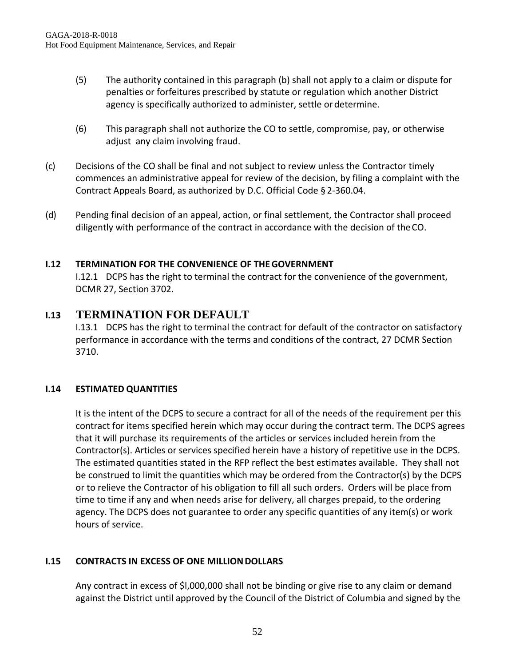- (5) The authority contained in this paragraph (b) shall not apply to a claim or dispute for penalties or forfeitures prescribed by statute or regulation which another District agency is specifically authorized to administer, settle or determine.
- (6) This paragraph shall not authorize the CO to settle, compromise, pay, or otherwise adjust any claim involving fraud.
- (c) Decisions of the CO shall be final and not subject to review unless the Contractor timely commences an administrative appeal for review of the decision, by filing a complaint with the Contract Appeals Board, as authorized by D.C. Official Code § 2-360.04.
- (d) Pending final decision of an appeal, action, or final settlement, the Contractor shall proceed diligently with performance of the contract in accordance with the decision of theCO.

## **I.12 TERMINATION FOR THE CONVENIENCE OF THEGOVERNMENT**

I.12.1 DCPS has the right to terminal the contract for the convenience of the government, DCMR 27, Section 3702.

# **I.13 TERMINATION FOR DEFAULT**

I.13.1 DCPS has the right to terminal the contract for default of the contractor on satisfactory performance in accordance with the terms and conditions of the contract, 27 DCMR Section 3710.

## **I.14 ESTIMATED QUANTITIES**

It is the intent of the DCPS to secure a contract for all of the needs of the requirement per this contract for items specified herein which may occur during the contract term. The DCPS agrees that it will purchase its requirements of the articles or services included herein from the Contractor(s). Articles or services specified herein have a history of repetitive use in the DCPS. The estimated quantities stated in the RFP reflect the best estimates available. They shall not be construed to limit the quantities which may be ordered from the Contractor(s) by the DCPS or to relieve the Contractor of his obligation to fill all such orders. Orders will be place from time to time if any and when needs arise for delivery, all charges prepaid, to the ordering agency. The DCPS does not guarantee to order any specific quantities of any item(s) or work hours of service.

## **I.15 CONTRACTS IN EXCESS OF ONE MILLION DOLLARS**

Any contract in excess of \$l,000,000 shall not be binding or give rise to any claim or demand against the District until approved by the Council of the District of Columbia and signed by the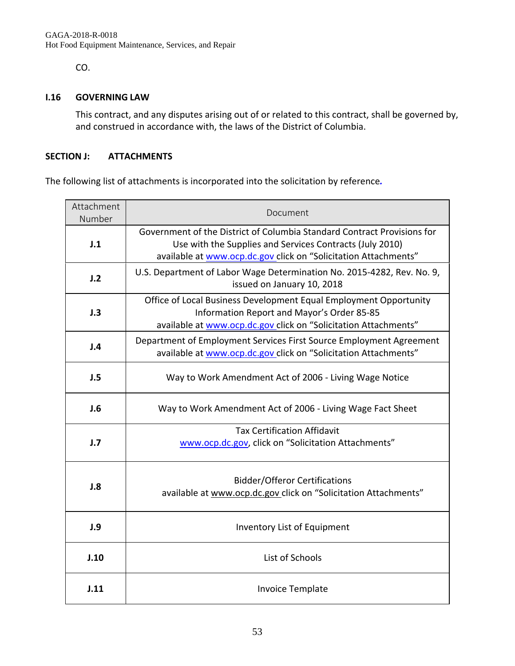CO.

#### **I.16 GOVERNING LAW**

This contract, and any disputes arising out of or related to this contract, shall be governed by, and construed in accordance with, the laws of the District of Columbia.

#### **SECTION J: ATTACHMENTS**

The following list of attachments is incorporated into the solicitation by reference*.*

| Attachment<br>Number | Document                                                                                                                                                                                               |  |  |
|----------------------|--------------------------------------------------------------------------------------------------------------------------------------------------------------------------------------------------------|--|--|
| J.1                  | Government of the District of Columbia Standard Contract Provisions for<br>Use with the Supplies and Services Contracts (July 2010)<br>available at www.ocp.dc.gov click on "Solicitation Attachments" |  |  |
| J.2                  | U.S. Department of Labor Wage Determination No. 2015-4282, Rev. No. 9,<br>issued on January 10, 2018                                                                                                   |  |  |
| J.3                  | Office of Local Business Development Equal Employment Opportunity<br>Information Report and Mayor's Order 85-85<br>available at www.ocp.dc.gov click on "Solicitation Attachments"                     |  |  |
| J.4                  | Department of Employment Services First Source Employment Agreement<br>available at www.ocp.dc.gov click on "Solicitation Attachments"                                                                 |  |  |
| J.5                  | Way to Work Amendment Act of 2006 - Living Wage Notice                                                                                                                                                 |  |  |
| J.6                  | Way to Work Amendment Act of 2006 - Living Wage Fact Sheet                                                                                                                                             |  |  |
| J.7                  | <b>Tax Certification Affidavit</b><br>www.ocp.dc.gov, click on "Solicitation Attachments"                                                                                                              |  |  |
| J.8                  | <b>Bidder/Offeror Certifications</b><br>available at www.ocp.dc.gov_click on "Solicitation Attachments"                                                                                                |  |  |
| J.9                  | Inventory List of Equipment                                                                                                                                                                            |  |  |
| J.10                 | List of Schools                                                                                                                                                                                        |  |  |
| J.11                 | <b>Invoice Template</b>                                                                                                                                                                                |  |  |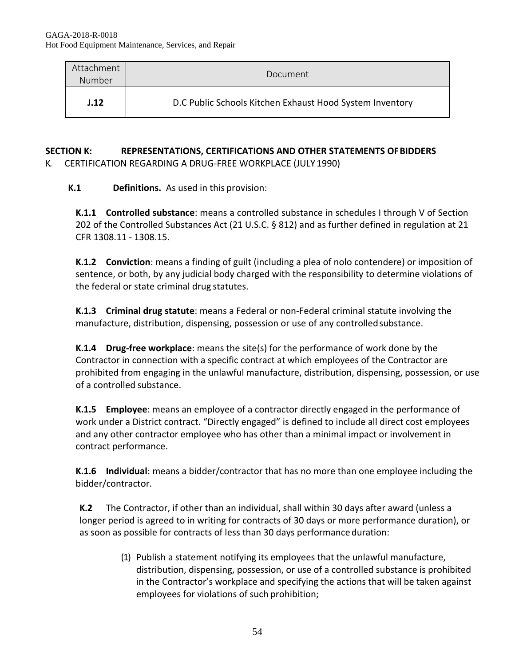| Attachment<br>Number | Document                                                 |
|----------------------|----------------------------------------------------------|
| J.12                 | D.C Public Schools Kitchen Exhaust Hood System Inventory |

#### **SECTION K: REPRESENTATIONS, CERTIFICATIONS AND OTHER STATEMENTS OFBIDDERS** K. CERTIFICATION REGARDING A DRUG-FREE WORKPLACE (JULY 1990)

**K.1 Definitions.** As used in this provision:

**K.1.1 Controlled substance**: means a controlled substance in schedules I through V of Section 202 of the Controlled Substances Act (21 U.S.C. § 812) and as further defined in regulation at 21 CFR 1308.11 - 1308.15.

**K.1.2 Conviction**: means a finding of guilt (including a plea of nolo contendere) or imposition of sentence, or both, by any judicial body charged with the responsibility to determine violations of the federal or state criminal drug statutes.

**K.1.3 Criminal drug statute**: means a Federal or non-Federal criminal statute involving the manufacture, distribution, dispensing, possession or use of any controlledsubstance.

**K.1.4 Drug-free workplace**: means the site(s) for the performance of work done by the Contractor in connection with a specific contract at which employees of the Contractor are prohibited from engaging in the unlawful manufacture, distribution, dispensing, possession, or use of a controlled substance.

**K.1.5 Employee**: means an employee of a contractor directly engaged in the performance of work under a District contract. "Directly engaged" is defined to include all direct cost employees and any other contractor employee who has other than a minimal impact or involvement in contract performance.

**K.1.6 Individual**: means a bidder/contractor that has no more than one employee including the bidder/contractor.

**K.2** The Contractor, if other than an individual, shall within 30 days after award (unless a longer period is agreed to in writing for contracts of 30 days or more performance duration), or as soon as possible for contracts of less than 30 days performance duration:

> (1) Publish a statement notifying its employees that the unlawful manufacture, distribution, dispensing, possession, or use of a controlled substance is prohibited in the Contractor's workplace and specifying the actions that will be taken against employees for violations of such prohibition;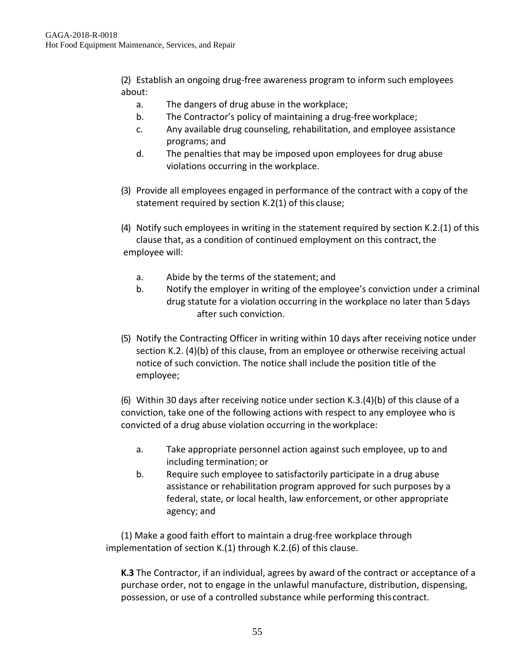(2) Establish an ongoing drug-free awareness program to inform such employees about:

- a. The dangers of drug abuse in the workplace;
- b. The Contractor's policy of maintaining a drug-free workplace;
- c. Any available drug counseling, rehabilitation, and employee assistance programs; and
- d. The penalties that may be imposed upon employees for drug abuse violations occurring in the workplace.
- (3) Provide all employees engaged in performance of the contract with a copy of the statement required by section K.2(1) of this clause;
- (4) Notify such employees in writing in the statement required by section K.2.(1) of this clause that, as a condition of continued employment on this contract, the employee will:
	- a. Abide by the terms of the statement; and
	- b. Notify the employer in writing of the employee's conviction under a criminal drug statute for a violation occurring in the workplace no later than 5days after such conviction.
- (5) Notify the Contracting Officer in writing within 10 days after receiving notice under section K.2. (4)(b) of this clause, from an employee or otherwise receiving actual notice of such conviction. The notice shall include the position title of the employee;

(6) Within 30 days after receiving notice under section K.3.(4)(b) of this clause of a conviction, take one of the following actions with respect to any employee who is convicted of a drug abuse violation occurring in the workplace:

- a. Take appropriate personnel action against such employee, up to and including termination; or
- b. Require such employee to satisfactorily participate in a drug abuse assistance or rehabilitation program approved for such purposes by a federal, state, or local health, law enforcement, or other appropriate agency; and

(1) Make a good faith effort to maintain a drug-free workplace through implementation of section K.(1) through K.2.(6) of this clause.

**K.3** The Contractor, if an individual, agrees by award of the contract or acceptance of a purchase order, not to engage in the unlawful manufacture, distribution, dispensing, possession, or use of a controlled substance while performing thiscontract.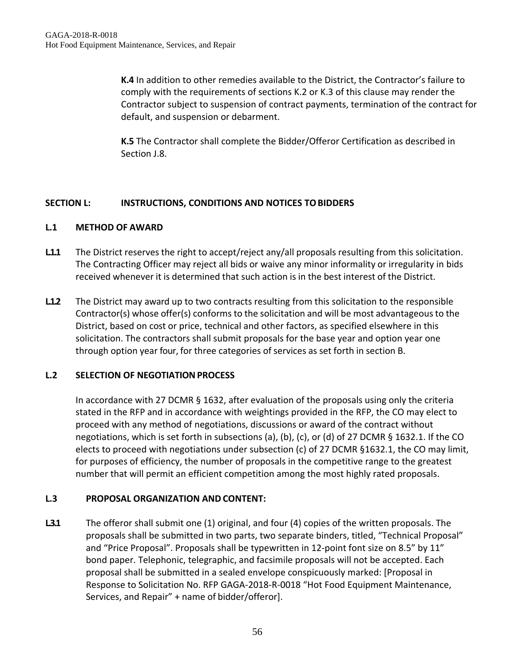**K.4** In addition to other remedies available to the District, the Contractor's failure to comply with the requirements of sections K.2 or K.3 of this clause may render the Contractor subject to suspension of contract payments, termination of the contract for default, and suspension or debarment.

**K.5** The Contractor shall complete the Bidder/Offeror Certification as described in Section J.8.

#### **SECTION L: INSTRUCTIONS, CONDITIONS AND NOTICES TOBIDDERS**

#### **L.1 METHOD OF AWARD**

- L1.1 The District reserves the right to accept/reject any/all proposals resulting from this solicitation. The Contracting Officer may reject all bids or waive any minor informality or irregularity in bids received whenever it is determined that such action is in the best interest of the District.
- **L.1.2** The District may award up to two contracts resulting from this solicitation to the responsible Contractor(s) whose offer(s) conforms to the solicitation and will be most advantageousto the District, based on cost or price, technical and other factors, as specified elsewhere in this solicitation. The contractors shall submit proposals for the base year and option year one through option year four, for three categories of services as set forth in section B.

#### **L.2 SELECTION OF NEGOTIATIONPROCESS**

In accordance with 27 DCMR § 1632, after evaluation of the proposals using only the criteria stated in the RFP and in accordance with weightings provided in the RFP, the CO may elect to proceed with any method of negotiations, discussions or award of the contract without negotiations, which is set forth in subsections (a), (b), (c), or (d) of 27 DCMR § 1632.1. If the CO elects to proceed with negotiations under subsection (c) of 27 DCMR §1632.1, the CO may limit, for purposes of efficiency, the number of proposals in the competitive range to the greatest number that will permit an efficient competition among the most highly rated proposals.

#### **L.3 PROPOSAL ORGANIZATION AND CONTENT:**

**L3.1** The offeror shall submit one (1) original, and four (4) copies of the written proposals. The proposals shall be submitted in two parts, two separate binders, titled, "Technical Proposal" and "Price Proposal". Proposals shall be typewritten in 12-point font size on 8.5" by 11" bond paper. Telephonic, telegraphic, and facsimile proposals will not be accepted. Each proposal shall be submitted in a sealed envelope conspicuously marked: [Proposal in Response to Solicitation No. RFP GAGA-2018-R-0018 "Hot Food Equipment Maintenance, Services, and Repair" + name of bidder/offeror].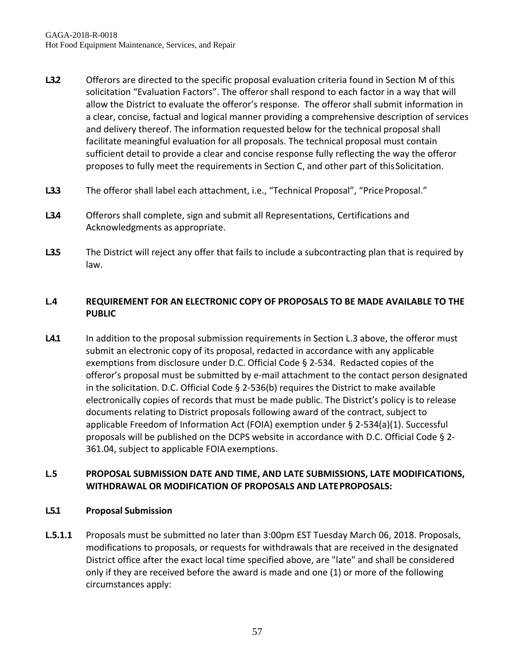- **L.3.2** Offerors are directed to the specific proposal evaluation criteria found in Section M of this solicitation "Evaluation Factors". The offeror shall respond to each factor in a way that will allow the District to evaluate the offeror's response. The offeror shall submit information in a clear, concise, factual and logical manner providing a comprehensive description of services and delivery thereof. The information requested below for the technical proposal shall facilitate meaningful evaluation for all proposals. The technical proposal must contain sufficient detail to provide a clear and concise response fully reflecting the way the offeror proposes to fully meet the requirements in Section C, and other part of thisSolicitation.
- L33 The offeror shall label each attachment, i.e., "Technical Proposal", "Price Proposal."
- **L.3.4** Offerors shall complete, sign and submit all Representations, Certifications and Acknowledgments as appropriate.
- L35 The District will reject any offer that fails to include a subcontracting plan that is required by law.

# **L.4 REQUIREMENT FOR AN ELECTRONIC COPY OF PROPOSALS TO BE MADE AVAILABLE TO THE PUBLIC**

L4.1 In addition to the proposal submission requirements in Section L.3 above, the offeror must submit an electronic copy of its proposal, redacted in accordance with any applicable exemptions from disclosure under D.C. Official Code § 2-534. Redacted copies of the offeror's proposal must be submitted by e-mail attachment to the contact person designated in the solicitation. D.C. Official Code § 2-536(b) requires the District to make available electronically copies of records that must be made public. The District's policy is to release documents relating to District proposals following award of the contract, subject to applicable Freedom of Information Act (FOIA) exemption under § 2-534(a)(1). Successful proposals will be published on the DCPS website in accordance with D.C. Official Code § 2- 361.04, subject to applicable FOIA exemptions.

# **L.5 PROPOSAL SUBMISSION DATE AND TIME, AND LATE SUBMISSIONS, LATE MODIFICATIONS, WITHDRAWAL OR MODIFICATION OF PROPOSALS AND LATEPROPOSALS:**

## **L.5.1 Proposal Submission**

**L.5.1.1** Proposals must be submitted no later than 3:00pm EST Tuesday March 06, 2018. Proposals, modifications to proposals, or requests for withdrawals that are received in the designated District office after the exact local time specified above, are "late" and shall be considered only if they are received before the award is made and one (1) or more of the following circumstances apply: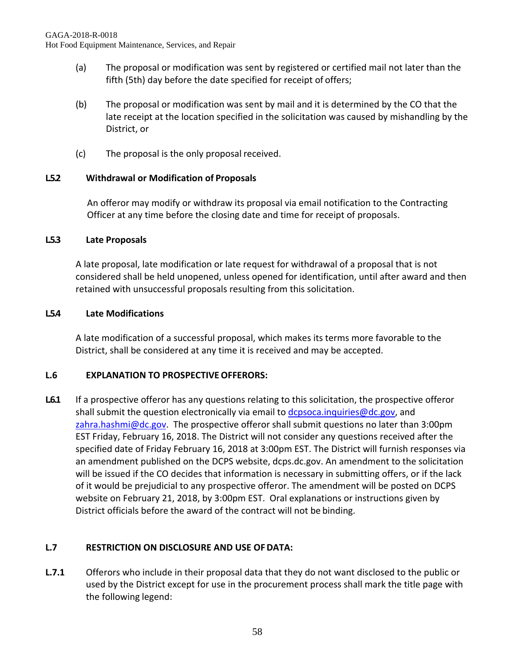- (a) The proposal or modification was sent by registered or certified mail not later than the fifth (5th) day before the date specified for receipt of offers;
- (b) The proposal or modification was sent by mail and it is determined by the CO that the late receipt at the location specified in the solicitation was caused by mishandling by the District, or
- (c) The proposal is the only proposal received.

# **L.5.2 Withdrawal or Modification of Proposals**

An offeror may modify or withdraw its proposal via email notification to the Contracting Officer at any time before the closing date and time for receipt of proposals.

## **L.5.3 Late Proposals**

A late proposal, late modification or late request for withdrawal of a proposal that is not considered shall be held unopened, unless opened for identification, until after award and then retained with unsuccessful proposals resulting from this solicitation.

#### **L.5.4 Late Modifications**

A late modification of a successful proposal, which makes its terms more favorable to the District, shall be considered at any time it is received and may be accepted.

## **L.6 EXPLANATION TO PROSPECTIVEOFFERORS:**

L6.1 If a prospective offeror has any questions relating to this solicitation, the prospective offeror shall submit the question electronically via email to [dcpsoca.inquiries@dc.gov,](mailto:dcpsoca.inquiries@dc.gov) and  $zahra.hashmi@dc.gov$ . The prospective offeror shall submit questions no later than 3:00pm EST Friday, February 16, 2018. The District will not consider any questions received after the specified date of Friday February 16, 2018 at 3:00pm EST. The District will furnish responses via an amendment published on the DCPS website, dcps.dc.gov. An amendment to the solicitation will be issued if the CO decides that information is necessary in submitting offers, or if the lack of it would be prejudicial to any prospective offeror. The amendment will be posted on DCPS website on February 21, 2018, by 3:00pm EST. Oral explanations or instructions given by District officials before the award of the contract will not be binding.

## **L.7 RESTRICTION ON DISCLOSURE AND USE OFDATA:**

**L.7.1** Offerors who include in their proposal data that they do not want disclosed to the public or used by the District except for use in the procurement process shall mark the title page with the following legend: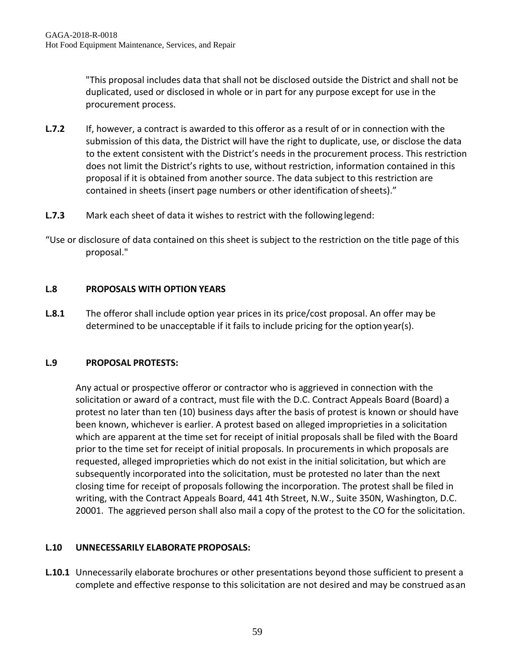"This proposal includes data that shall not be disclosed outside the District and shall not be duplicated, used or disclosed in whole or in part for any purpose except for use in the procurement process.

- **L.7.2** If, however, a contract is awarded to this offeror as a result of or in connection with the submission of this data, the District will have the right to duplicate, use, or disclose the data to the extent consistent with the District's needs in the procurement process. This restriction does not limit the District's rights to use, without restriction, information contained in this proposal if it is obtained from another source. The data subject to this restriction are contained in sheets (insert page numbers or other identification ofsheets)."
- **L.7.3** Mark each sheet of data it wishes to restrict with the followinglegend:
- "Use or disclosure of data contained on this sheet is subject to the restriction on the title page of this proposal."

## **L.8 PROPOSALS WITH OPTION YEARS**

**L.8.1** The offeror shall include option year prices in its price/cost proposal. An offer may be determined to be unacceptable if it fails to include pricing for the option year(s).

## **L.9 PROPOSAL PROTESTS:**

Any actual or prospective offeror or contractor who is aggrieved in connection with the solicitation or award of a contract, must file with the D.C. Contract Appeals Board (Board) a protest no later than ten (10) business days after the basis of protest is known or should have been known, whichever is earlier. A protest based on alleged improprieties in a solicitation which are apparent at the time set for receipt of initial proposals shall be filed with the Board prior to the time set for receipt of initial proposals. In procurements in which proposals are requested, alleged improprieties which do not exist in the initial solicitation, but which are subsequently incorporated into the solicitation, must be protested no later than the next closing time for receipt of proposals following the incorporation. The protest shall be filed in writing, with the Contract Appeals Board, 441 4th Street, N.W., Suite 350N, Washington, D.C. 20001. The aggrieved person shall also mail a copy of the protest to the CO for the solicitation.

## **L.10 UNNECESSARILY ELABORATE PROPOSALS:**

**L.10.1** Unnecessarily elaborate brochures or other presentations beyond those sufficient to present a complete and effective response to this solicitation are not desired and may be construed asan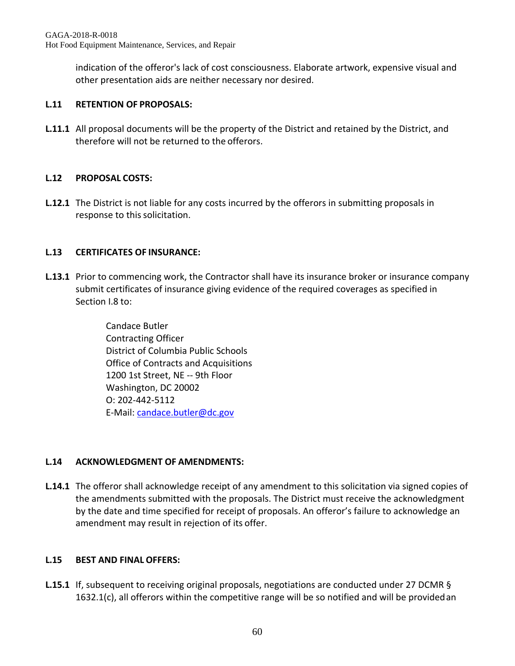indication of the offeror's lack of cost consciousness. Elaborate artwork, expensive visual and other presentation aids are neither necessary nor desired.

# **L.11 RETENTION OF PROPOSALS:**

**L.11.1** All proposal documents will be the property of the District and retained by the District, and therefore will not be returned to the offerors.

# **L.12 PROPOSAL COSTS:**

**L.12.1** The District is not liable for any costs incurred by the offerors in submitting proposals in response to this solicitation.

# **L.13 CERTIFICATES OF INSURANCE:**

**L.13.1** Prior to commencing work, the Contractor shall have its insurance broker or insurance company submit certificates of insurance giving evidence of the required coverages as specified in Section I.8 to:

> Candace Butler Contracting Officer District of Columbia Public Schools Office of Contracts and Acquisitions 1200 1st Street, NE -- 9th Floor Washington, DC 20002 O: 202-442-5112 E-Mail: [candace.butler@dc.gov](mailto:candace.butler@dc.gov)

## **L.14 ACKNOWLEDGMENT OF AMENDMENTS:**

**L.14.1** The offeror shall acknowledge receipt of any amendment to this solicitation via signed copies of the amendments submitted with the proposals. The District must receive the acknowledgment by the date and time specified for receipt of proposals. An offeror's failure to acknowledge an amendment may result in rejection of its offer.

## **L.15 BEST AND FINAL OFFERS:**

**L.15.1** If, subsequent to receiving original proposals, negotiations are conducted under 27 DCMR § 1632.1(c), all offerors within the competitive range will be so notified and will be providedan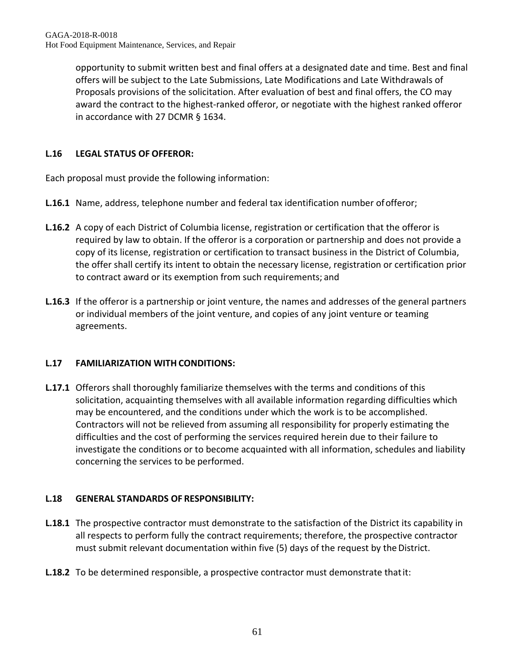opportunity to submit written best and final offers at a designated date and time. Best and final offers will be subject to the Late Submissions, Late Modifications and Late Withdrawals of Proposals provisions of the solicitation. After evaluation of best and final offers, the CO may award the contract to the highest-ranked offeror, or negotiate with the highest ranked offeror in accordance with 27 DCMR § 1634.

# **L.16 LEGAL STATUS OF OFFEROR:**

Each proposal must provide the following information:

- **L.16.1** Name, address, telephone number and federal tax identification number ofofferor;
- **L.16.2** A copy of each District of Columbia license, registration or certification that the offeror is required by law to obtain. If the offeror is a corporation or partnership and does not provide a copy of its license, registration or certification to transact business in the District of Columbia, the offer shall certify its intent to obtain the necessary license, registration or certification prior to contract award or its exemption from such requirements; and
- **L.16.3** If the offeror is a partnership or joint venture, the names and addresses of the general partners or individual members of the joint venture, and copies of any joint venture or teaming agreements.

# **L.17 FAMILIARIZATION WITH CONDITIONS:**

**L.17.1** Offerors shall thoroughly familiarize themselves with the terms and conditions of this solicitation, acquainting themselves with all available information regarding difficulties which may be encountered, and the conditions under which the work is to be accomplished. Contractors will not be relieved from assuming all responsibility for properly estimating the difficulties and the cost of performing the services required herein due to their failure to investigate the conditions or to become acquainted with all information, schedules and liability concerning the services to be performed.

# **L.18 GENERAL STANDARDS OF RESPONSIBILITY:**

- **L.18.1** The prospective contractor must demonstrate to the satisfaction of the District its capability in all respects to perform fully the contract requirements; therefore, the prospective contractor must submit relevant documentation within five (5) days of the request by the District.
- **L.18.2** To be determined responsible, a prospective contractor must demonstrate thatit: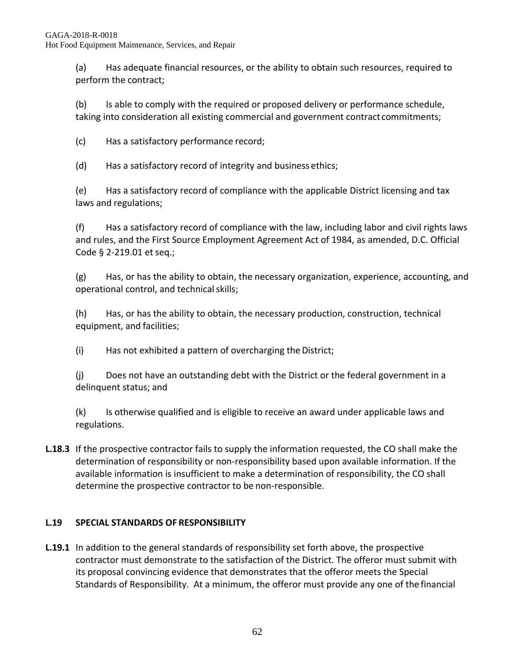(a) Has adequate financial resources, or the ability to obtain such resources, required to perform the contract;

(b) Is able to comply with the required or proposed delivery or performance schedule, taking into consideration all existing commercial and government contract commitments;

(c) Has a satisfactory performance record;

(d) Has a satisfactory record of integrity and business ethics;

(e) Has a satisfactory record of compliance with the applicable District licensing and tax laws and regulations;

(f) Has a satisfactory record of compliance with the law, including labor and civil rights laws and rules, and the First Source Employment Agreement Act of 1984, as amended, D.C. Official Code § 2-219.01 et seq.;

(g) Has, or has the ability to obtain, the necessary organization, experience, accounting, and operational control, and technical skills;

(h) Has, or has the ability to obtain, the necessary production, construction, technical equipment, and facilities;

(i) Has not exhibited a pattern of overcharging the District;

(j) Does not have an outstanding debt with the District or the federal government in a delinquent status; and

(k) Is otherwise qualified and is eligible to receive an award under applicable laws and regulations.

**L.18.3** If the prospective contractor fails to supply the information requested, the CO shall make the determination of responsibility or non-responsibility based upon available information. If the available information is insufficient to make a determination of responsibility, the CO shall determine the prospective contractor to be non-responsible.

# **L.19 SPECIAL STANDARDS OF RESPONSIBILITY**

**L.19.1** In addition to the general standards of responsibility set forth above, the prospective contractor must demonstrate to the satisfaction of the District. The offeror must submit with its proposal convincing evidence that demonstrates that the offeror meets the Special Standards of Responsibility. At a minimum, the offeror must provide any one of the financial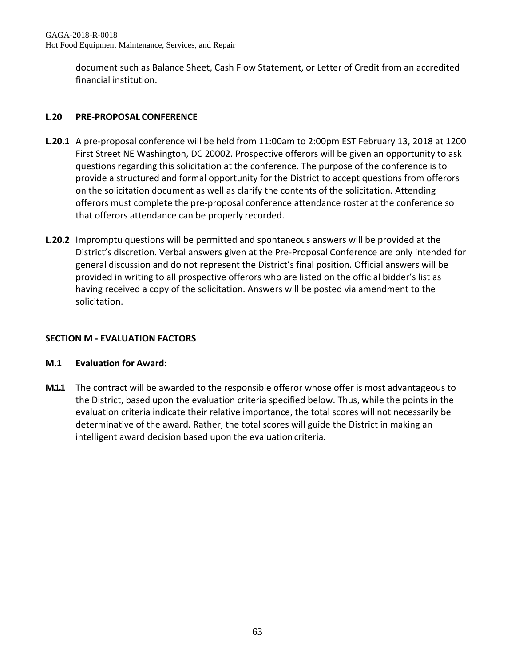document such as Balance Sheet, Cash Flow Statement, or Letter of Credit from an accredited financial institution.

## **L.20 PRE-PROPOSAL CONFERENCE**

- **L.20.1** A pre-proposal conference will be held from 11:00am to 2:00pm EST February 13, 2018 at 1200 First Street NE Washington, DC 20002. Prospective offerors will be given an opportunity to ask questions regarding this solicitation at the conference. The purpose of the conference is to provide a structured and formal opportunity for the District to accept questions from offerors on the solicitation document as well as clarify the contents of the solicitation. Attending offerors must complete the pre-proposal conference attendance roster at the conference so that offerors attendance can be properly recorded.
- **L.20.2** Impromptu questions will be permitted and spontaneous answers will be provided at the District's discretion. Verbal answers given at the Pre-Proposal Conference are only intended for general discussion and do not represent the District's final position. Official answers will be provided in writing to all prospective offerors who are listed on the official bidder's list as having received a copy of the solicitation. Answers will be posted via amendment to the solicitation.

## **SECTION M - EVALUATION FACTORS**

## **M.1 Evaluation for Award**:

**M.1.1** The contract will be awarded to the responsible offeror whose offer is most advantageous to the District, based upon the evaluation criteria specified below. Thus, while the points in the evaluation criteria indicate their relative importance, the total scores will not necessarily be determinative of the award. Rather, the total scores will guide the District in making an intelligent award decision based upon the evaluation criteria.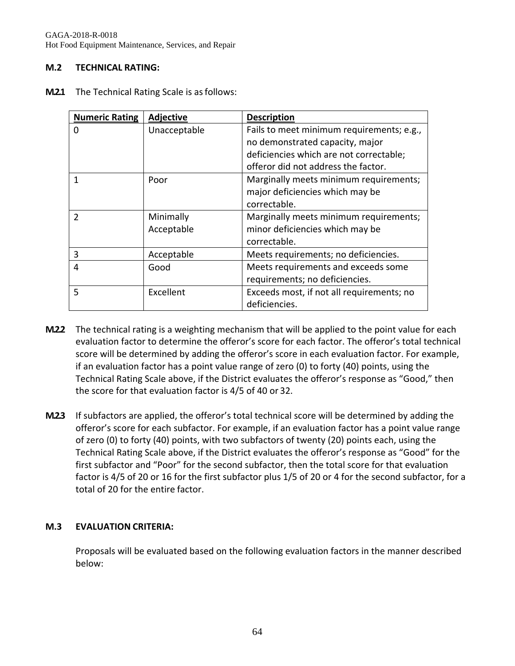GAGA-2018-R-0018 Hot Food Equipment Maintenance, Services, and Repair

#### **M.2 TECHNICAL RATING:**

**M.2.1** The Technical Rating Scale is as follows:

| <b>Numeric Rating</b> | Adjective    | <b>Description</b>                        |
|-----------------------|--------------|-------------------------------------------|
| 0                     | Unacceptable | Fails to meet minimum requirements; e.g., |
|                       |              | no demonstrated capacity, major           |
|                       |              | deficiencies which are not correctable;   |
|                       |              | offeror did not address the factor.       |
|                       | Poor         | Marginally meets minimum requirements;    |
|                       |              | major deficiencies which may be           |
|                       |              | correctable.                              |
| $\mathcal{P}$         | Minimally    | Marginally meets minimum requirements;    |
|                       | Acceptable   | minor deficiencies which may be           |
|                       |              | correctable.                              |
| 3                     | Acceptable   | Meets requirements; no deficiencies.      |
| 4                     | Good         | Meets requirements and exceeds some       |
|                       |              | requirements; no deficiencies.            |
| 5                     | Excellent    | Exceeds most, if not all requirements; no |
|                       |              | deficiencies.                             |

- **M.2.2** The technical rating is a weighting mechanism that will be applied to the point value for each evaluation factor to determine the offeror's score for each factor. The offeror's total technical score will be determined by adding the offeror's score in each evaluation factor. For example, if an evaluation factor has a point value range of zero (0) to forty (40) points, using the Technical Rating Scale above, if the District evaluates the offeror's response as "Good," then the score for that evaluation factor is 4/5 of 40 or 32.
- **M.2.3** If subfactors are applied, the offeror's total technical score will be determined by adding the offeror's score for each subfactor. For example, if an evaluation factor has a point value range of zero (0) to forty (40) points, with two subfactors of twenty (20) points each, using the Technical Rating Scale above, if the District evaluates the offeror's response as "Good" for the first subfactor and "Poor" for the second subfactor, then the total score for that evaluation factor is 4/5 of 20 or 16 for the first subfactor plus 1/5 of 20 or 4 for the second subfactor, for a total of 20 for the entire factor.

#### **M.3 EVALUATION CRITERIA:**

Proposals will be evaluated based on the following evaluation factors in the manner described below: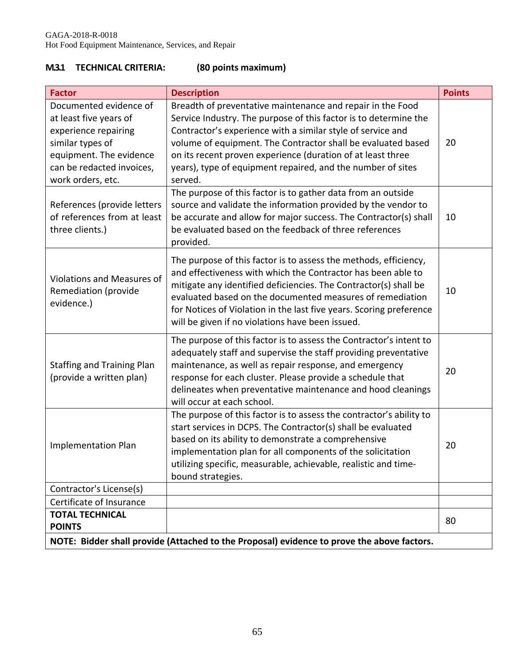# **M.3.1 TECHNICAL CRITERIA: (80 points maximum)**

| <b>Factor</b>                                                                                                                                                             | <b>Description</b>                                                                                                                                                                                                                                                                                                                                                                                     | <b>Points</b> |  |  |
|---------------------------------------------------------------------------------------------------------------------------------------------------------------------------|--------------------------------------------------------------------------------------------------------------------------------------------------------------------------------------------------------------------------------------------------------------------------------------------------------------------------------------------------------------------------------------------------------|---------------|--|--|
| Documented evidence of<br>at least five years of<br>experience repairing<br>similar types of<br>equipment. The evidence<br>can be redacted invoices,<br>work orders, etc. | Breadth of preventative maintenance and repair in the Food<br>Service Industry. The purpose of this factor is to determine the<br>Contractor's experience with a similar style of service and<br>volume of equipment. The Contractor shall be evaluated based<br>on its recent proven experience (duration of at least three<br>years), type of equipment repaired, and the number of sites<br>served. | 20            |  |  |
| References (provide letters<br>of references from at least<br>three clients.)                                                                                             | The purpose of this factor is to gather data from an outside<br>source and validate the information provided by the vendor to<br>be accurate and allow for major success. The Contractor(s) shall<br>be evaluated based on the feedback of three references<br>provided.                                                                                                                               | 10            |  |  |
| Violations and Measures of<br>Remediation (provide<br>evidence.)                                                                                                          | The purpose of this factor is to assess the methods, efficiency,<br>and effectiveness with which the Contractor has been able to<br>mitigate any identified deficiencies. The Contractor(s) shall be<br>evaluated based on the documented measures of remediation<br>for Notices of Violation in the last five years. Scoring preference<br>will be given if no violations have been issued.           | 10            |  |  |
| <b>Staffing and Training Plan</b><br>(provide a written plan)                                                                                                             | The purpose of this factor is to assess the Contractor's intent to<br>adequately staff and supervise the staff providing preventative<br>maintenance, as well as repair response, and emergency<br>response for each cluster. Please provide a schedule that<br>delineates when preventative maintenance and hood cleanings<br>will occur at each school.                                              | 20            |  |  |
| <b>Implementation Plan</b>                                                                                                                                                | The purpose of this factor is to assess the contractor's ability to<br>start services in DCPS. The Contractor(s) shall be evaluated<br>based on its ability to demonstrate a comprehensive<br>implementation plan for all components of the solicitation<br>utilizing specific, measurable, achievable, realistic and time-<br>bound strategies.                                                       | 20            |  |  |
| Contractor's License(s)                                                                                                                                                   |                                                                                                                                                                                                                                                                                                                                                                                                        |               |  |  |
| Certificate of Insurance                                                                                                                                                  |                                                                                                                                                                                                                                                                                                                                                                                                        |               |  |  |
| <b>TOTAL TECHNICAL</b><br><b>POINTS</b>                                                                                                                                   |                                                                                                                                                                                                                                                                                                                                                                                                        | 80            |  |  |
| NOTE: Bidder shall provide (Attached to the Proposal) evidence to prove the above factors.                                                                                |                                                                                                                                                                                                                                                                                                                                                                                                        |               |  |  |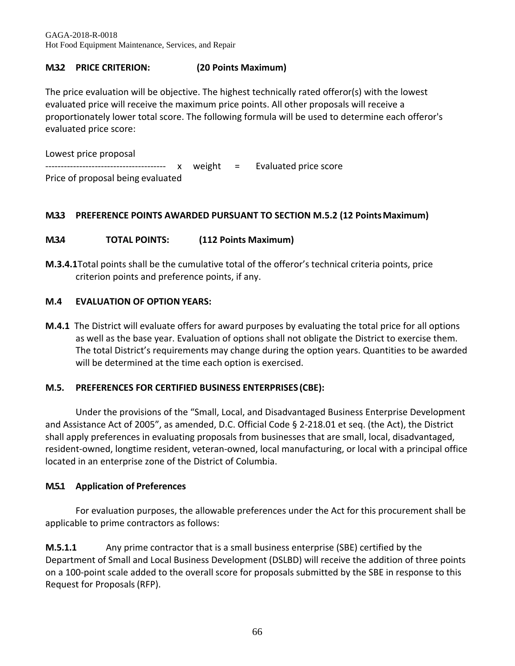GAGA-2018-R-0018 Hot Food Equipment Maintenance, Services, and Repair

## **M.3.2 PRICE CRITERION: (20 Points Maximum)**

The price evaluation will be objective. The highest technically rated offeror(s) with the lowest evaluated price will receive the maximum price points. All other proposals will receive a proportionately lower total score. The following formula will be used to determine each offeror's evaluated price score:

Lowest price proposal --------------------------------------- x weight = Evaluated price score Price of proposal being evaluated

#### **M.3.3 PREFERENCE POINTS AWARDED PURSUANT TO SECTION M.5.2 (12 PointsMaximum)**

#### **M.3.4 TOTAL POINTS: (112 Points Maximum)**

**M.3.4.1**Total points shall be the cumulative total of the offeror's technical criteria points, price criterion points and preference points, if any.

#### **M.4 EVALUATION OF OPTION YEARS:**

**M.4.1** The District will evaluate offers for award purposes by evaluating the total price for all options as well as the base year. Evaluation of options shall not obligate the District to exercise them. The total District's requirements may change during the option years. Quantities to be awarded will be determined at the time each option is exercised.

#### **M.5. PREFERENCES FOR CERTIFIED BUSINESS ENTERPRISES (CBE):**

Under the provisions of the "Small, Local, and Disadvantaged Business Enterprise Development and Assistance Act of 2005", as amended, D.C. Official Code § 2-218.01 et seq. (the Act), the District shall apply preferences in evaluating proposals from businesses that are small, local, disadvantaged, resident-owned, longtime resident, veteran-owned, local manufacturing, or local with a principal office located in an enterprise zone of the District of Columbia.

## **M.5.1 Application of Preferences**

For evaluation purposes, the allowable preferences under the Act for this procurement shall be applicable to prime contractors as follows:

**M.5.1.1** Any prime contractor that is a small business enterprise (SBE) certified by the Department of Small and Local Business Development (DSLBD) will receive the addition of three points on a 100-point scale added to the overall score for proposals submitted by the SBE in response to this Request for Proposals(RFP).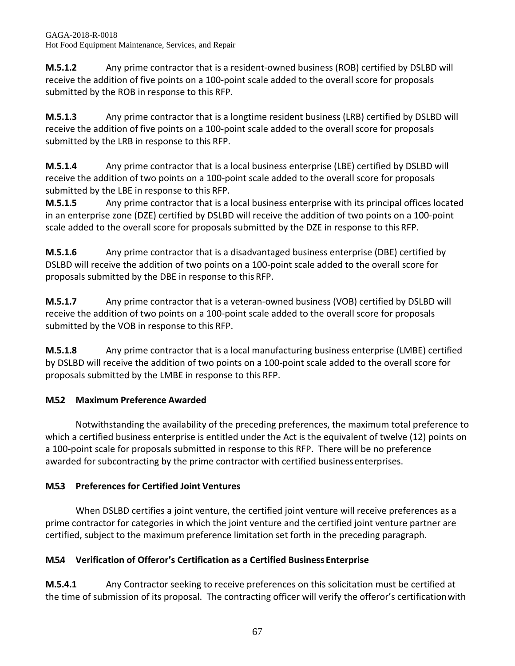**M.5.1.2** Any prime contractor that is a resident-owned business (ROB) certified by DSLBD will receive the addition of five points on a 100-point scale added to the overall score for proposals submitted by the ROB in response to this RFP.

**M.5.1.3** Any prime contractor that is a longtime resident business (LRB) certified by DSLBD will receive the addition of five points on a 100-point scale added to the overall score for proposals submitted by the LRB in response to this RFP.

**M.5.1.4** Any prime contractor that is a local business enterprise (LBE) certified by DSLBD will receive the addition of two points on a 100-point scale added to the overall score for proposals submitted by the LBE in response to this RFP.

**M.5.1.5** Any prime contractor that is a local business enterprise with its principal offices located in an enterprise zone (DZE) certified by DSLBD will receive the addition of two points on a 100-point scale added to the overall score for proposals submitted by the DZE in response to this RFP.

**M.5.1.6** Any prime contractor that is a disadvantaged business enterprise (DBE) certified by DSLBD will receive the addition of two points on a 100-point scale added to the overall score for proposals submitted by the DBE in response to this RFP.

**M.5.1.7** Any prime contractor that is a veteran-owned business (VOB) certified by DSLBD will receive the addition of two points on a 100-point scale added to the overall score for proposals submitted by the VOB in response to this RFP.

**M.5.1.8** Any prime contractor that is a local manufacturing business enterprise (LMBE) certified by DSLBD will receive the addition of two points on a 100-point scale added to the overall score for proposals submitted by the LMBE in response to this RFP.

# **M.5.2 Maximum Preference Awarded**

Notwithstanding the availability of the preceding preferences, the maximum total preference to which a certified business enterprise is entitled under the Act is the equivalent of twelve (12) points on a 100-point scale for proposals submitted in response to this RFP. There will be no preference awarded for subcontracting by the prime contractor with certified business enterprises.

# **M.5.3 Preferences for Certified Joint Ventures**

When DSLBD certifies a joint venture, the certified joint venture will receive preferences as a prime contractor for categories in which the joint venture and the certified joint venture partner are certified, subject to the maximum preference limitation set forth in the preceding paragraph.

# **M.5.4 Verification of Offeror's Certification as a Certified Business Enterprise**

**M.5.4.1** Any Contractor seeking to receive preferences on this solicitation must be certified at the time of submission of its proposal. The contracting officer will verify the offeror's certificationwith